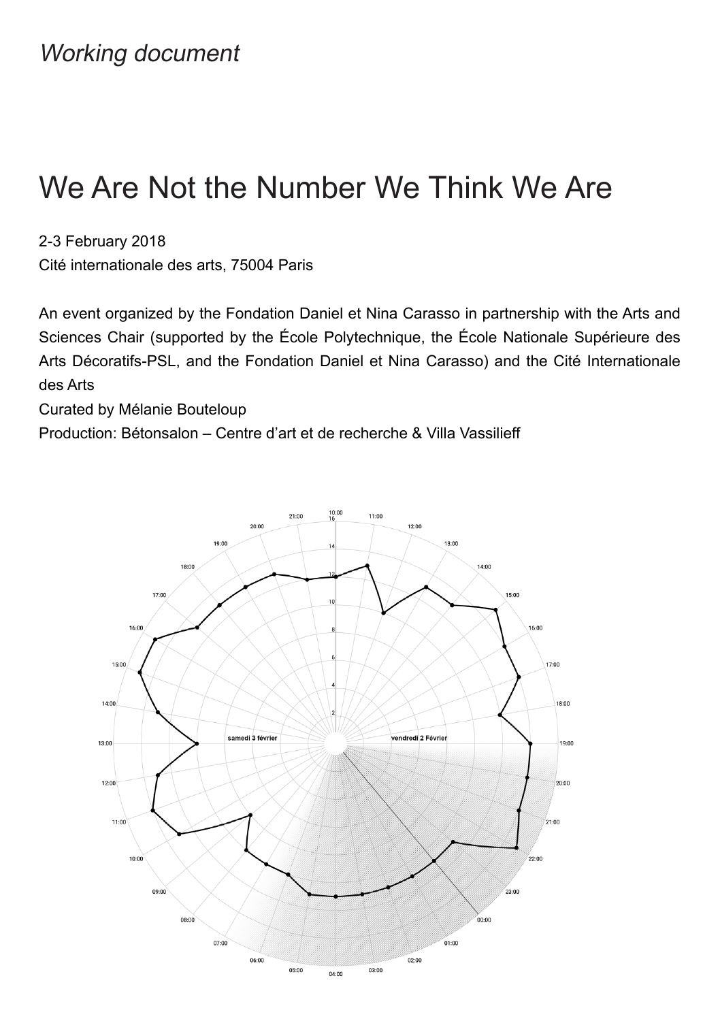# We Are Not the Number We Think We Are

2-3 February 2018

Cité internationale des arts, 75004 Paris

An event organized by the Fondation Daniel et Nina Carasso in partnership with the Arts and Sciences Chair (supported by the École Polytechnique, the École Nationale Supérieure des Arts Décoratifs-PSL, and the Fondation Daniel et Nina Carasso) and the Cité Internationale des Arts

Curated by Mélanie Bouteloup

Production: Bétonsalon – Centre d'art et de recherche & Villa Vassilieff

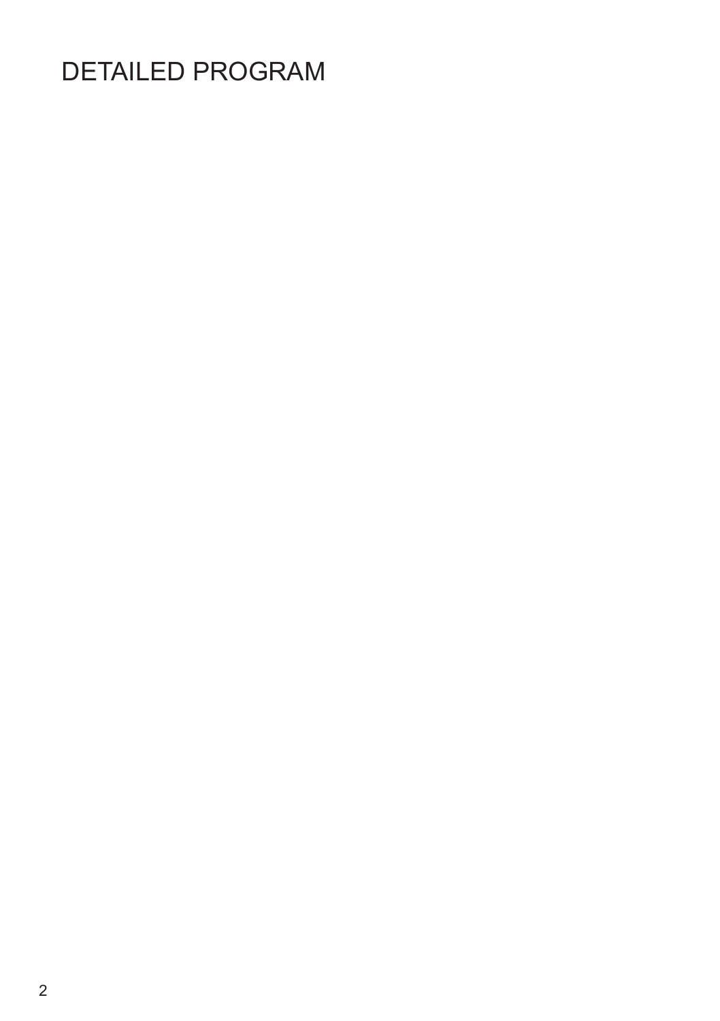# DETAILED PROGRAM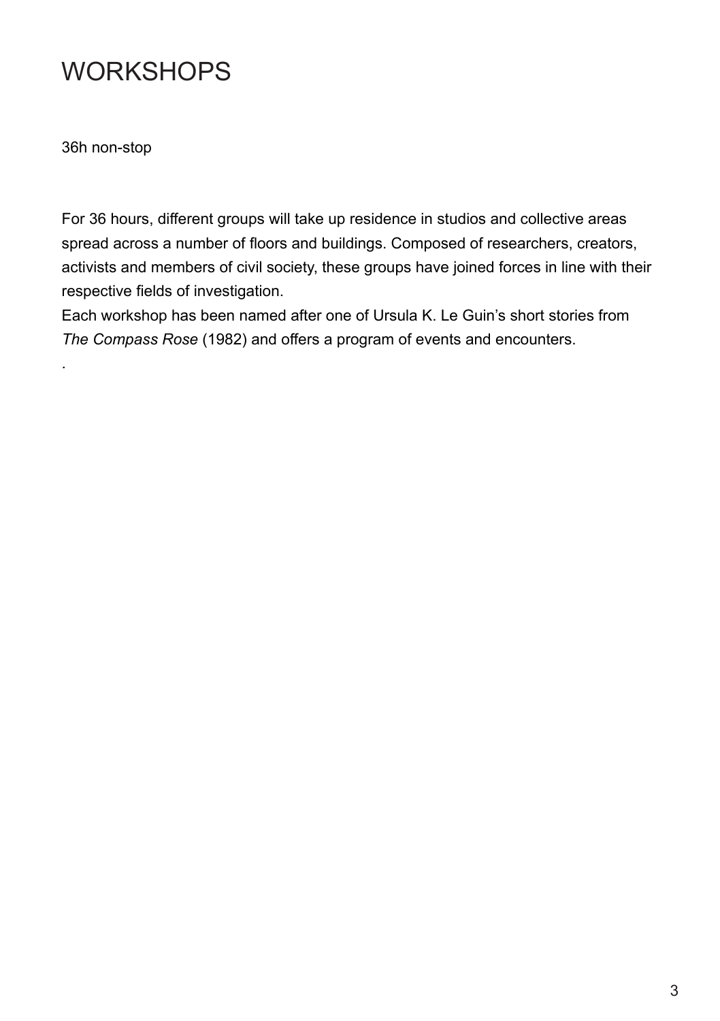# **WORKSHOPS**

36h non-stop

.

For 36 hours, different groups will take up residence in studios and collective areas spread across a number of floors and buildings. Composed of researchers, creators, activists and members of civil society, these groups have joined forces in line with their respective fields of investigation.

Each workshop has been named after one of Ursula K. Le Guin's short stories from *The Compass Rose* (1982) and offers a program of events and encounters.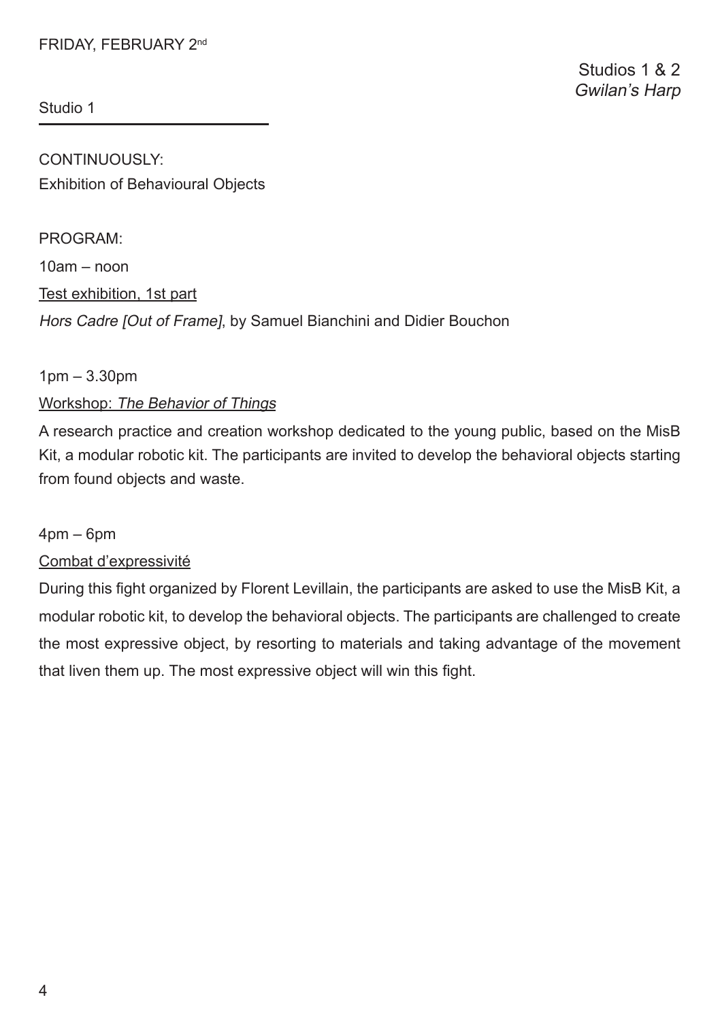# FRIDAY, FEBRUARY 2nd

Studio 1

CONTINUOUSLY: Exhibition of Behavioural Objects

PROGRAM: 10am – noon Test exhibition, 1st part Hors Cadre [Out of Frame], by Samuel Bianchini and Didier Bouchon

#### 1pm – 3.30pm

# Workshop: The Behavior of Things

A research practice and creation workshop dedicated to the young public, based on the MisB Kit, a modular robotic kit. The participants are invited to develop the behavioral objects starting from found objects and waste.

#### $4$ pm – 6pm

#### Combat d'expressivité

During this fght organized by Florent Levillain, the participants are asked to use the MisB Kit, a modular robotic kit, to develop the behavioral objects. The participants are challenged to create the most expressive object, by resorting to materials and taking advantage of the movement that liven them up. The most expressive object will win this fght.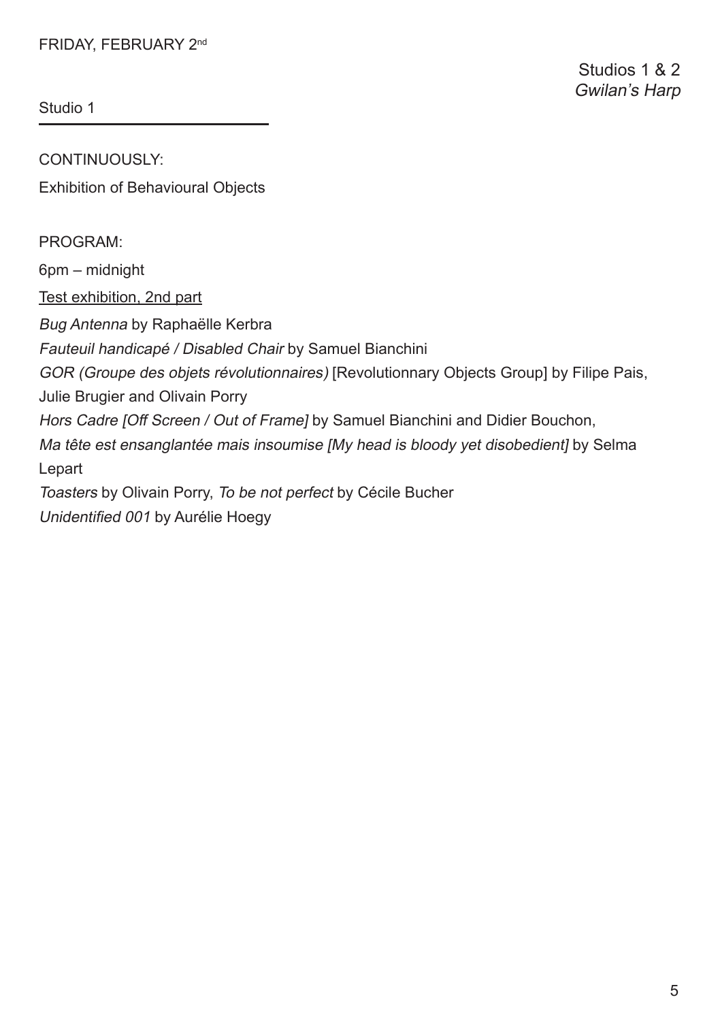# FRIDAY, FEBRUARY 2nd

Studio 1

CONTINUOUSLY: Exhibition of Behavioural Objects

PROGRAM:

6pm – midnight

Test exhibition, 2nd part

Bug Antenna by Raphaëlle Kerbra

Fauteuil handicapé / Disabled Chair by Samuel Bianchini

GOR (Groupe des objets révolutionnaires) [Revolutionnary Objects Group] by Filipe Pais,

Julie Brugier and Olivain Porry

Hors Cadre [Off Screen / Out of Frame] by Samuel Bianchini and Didier Bouchon,

Ma tête est ensanglantée mais insoumise [My head is bloody yet disobedient] by Selma Lepart

Toasters by Olivain Porry, To be not perfect by Cécile Bucher

Unidentifed 001 by Aurélie Hoegy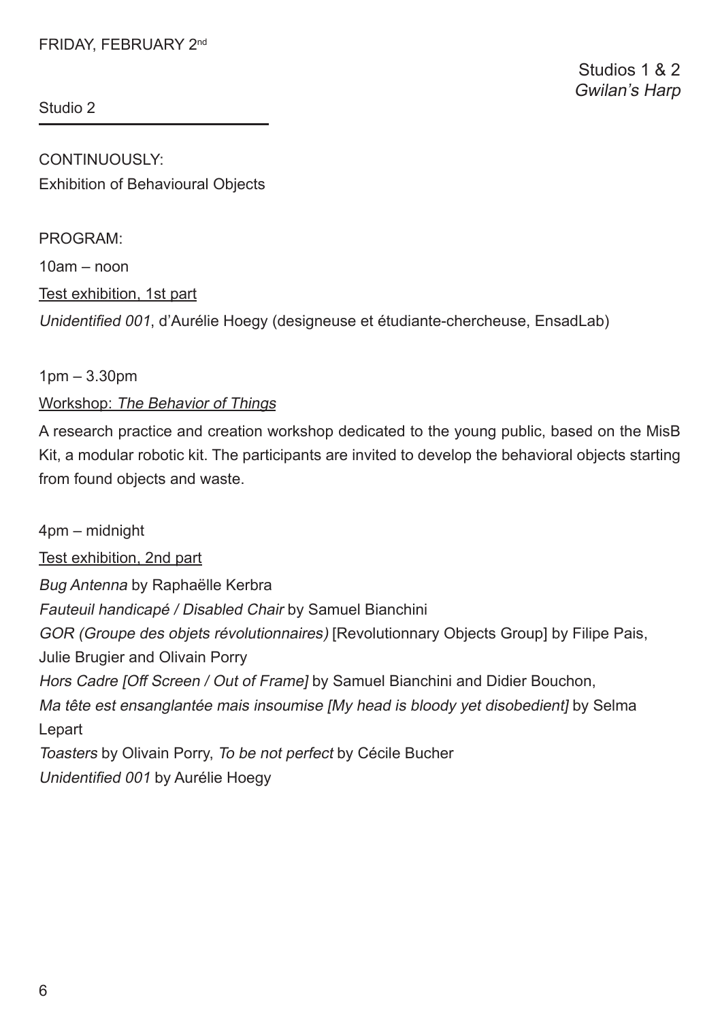CONTINUOUSLY: Exhibition of Behavioural Objects

PROGRAM: 10am – noon Test exhibition, 1st part Unidentifed 001, d'Aurélie Hoegy (designeuse et étudiante-chercheuse, EnsadLab)

# 1pm – 3.30pm

# Workshop: The Behavior of Things

A research practice and creation workshop dedicated to the young public, based on the MisB Kit, a modular robotic kit. The participants are invited to develop the behavioral objects starting from found objects and waste.

4pm – midnight Test exhibition, 2nd part Bug Antenna by Raphaëlle Kerbra Fauteuil handicapé / Disabled Chair by Samuel Bianchini GOR (Groupe des objets révolutionnaires) [Revolutionnary Objects Group] by Filipe Pais, Julie Brugier and Olivain Porry Hors Cadre [Off Screen / Out of Frame] by Samuel Bianchini and Didier Bouchon, Ma tête est ensanglantée mais insoumise [My head is bloody yet disobedient] by Selma Lepart Toasters by Olivain Porry, To be not perfect by Cécile Bucher Unidentifed 001 by Aurélie Hoegy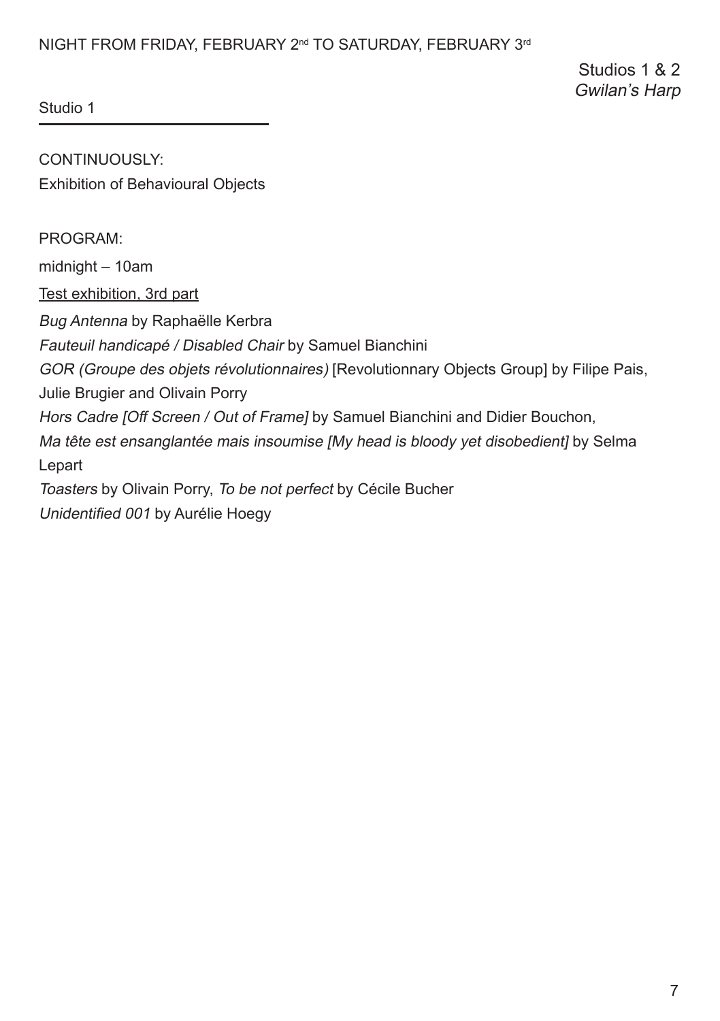# NIGHT FROM FRIDAY, FEBRUARY 2<sup>nd</sup> TO SATURDAY, FEBRUARY 3<sup>rd</sup>

Studios 1 & 2 Gwilan's Harp

Studio 1

CONTINUOUSLY: Exhibition of Behavioural Objects

PROGRAM:

midnight – 10am

Test exhibition, 3rd part

Bug Antenna by Raphaëlle Kerbra

Fauteuil handicapé / Disabled Chair by Samuel Bianchini

GOR (Groupe des objets révolutionnaires) [Revolutionnary Objects Group] by Filipe Pais,

Julie Brugier and Olivain Porry

Hors Cadre [Off Screen / Out of Frame] by Samuel Bianchini and Didier Bouchon,

Ma tête est ensanglantée mais insoumise IMy head is bloody vet disobedientl by Selma Lepart

Toasters by Olivain Porry, To be not perfect by Cécile Bucher

Unidentifed 001 by Aurélie Hoegy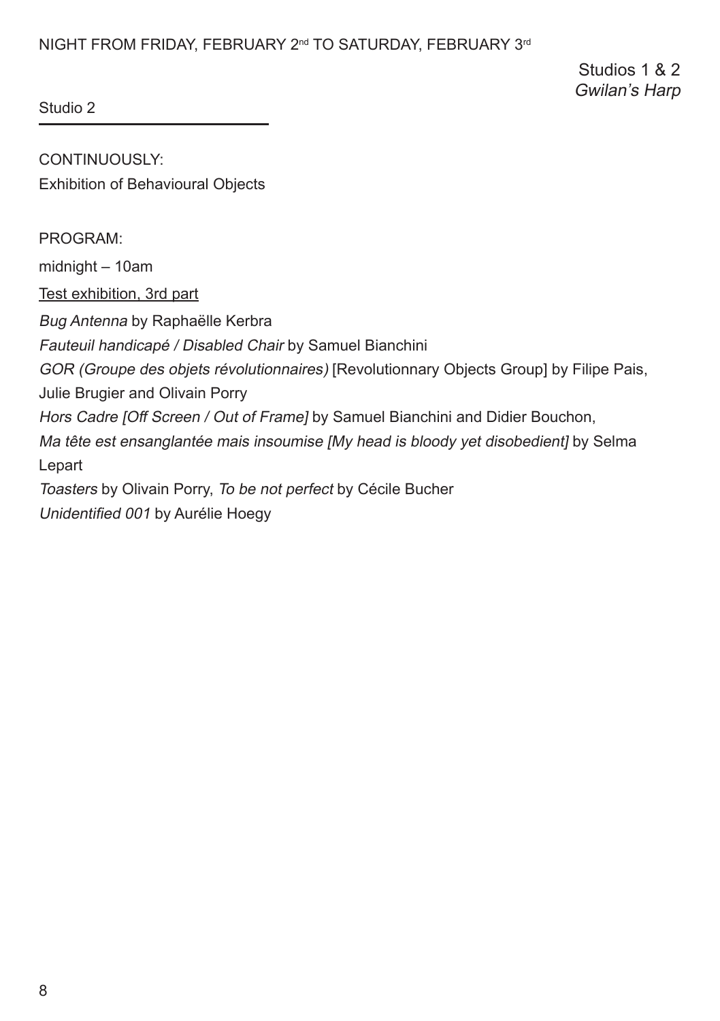# NIGHT FROM FRIDAY, FEBRUARY 2<sup>nd</sup> TO SATURDAY, FEBRUARY 3<sup>rd</sup>

Studios 1 & 2 Gwilan's Harp

Studio 2

CONTINUOUSLY: Exhibition of Behavioural Objects

PROGRAM:

midnight – 10am

Test exhibition, 3rd part

Bug Antenna by Raphaëlle Kerbra

Fauteuil handicapé / Disabled Chair by Samuel Bianchini

GOR (Groupe des objets révolutionnaires) [Revolutionnary Objects Group] by Filipe Pais,

Julie Brugier and Olivain Porry

Hors Cadre [Off Screen / Out of Frame] by Samuel Bianchini and Didier Bouchon,

Ma tête est ensanglantée mais insoumise IMy head is bloody vet disobedientl by Selma Lepart

Toasters by Olivain Porry, To be not perfect by Cécile Bucher

Unidentifed 001 by Aurélie Hoegy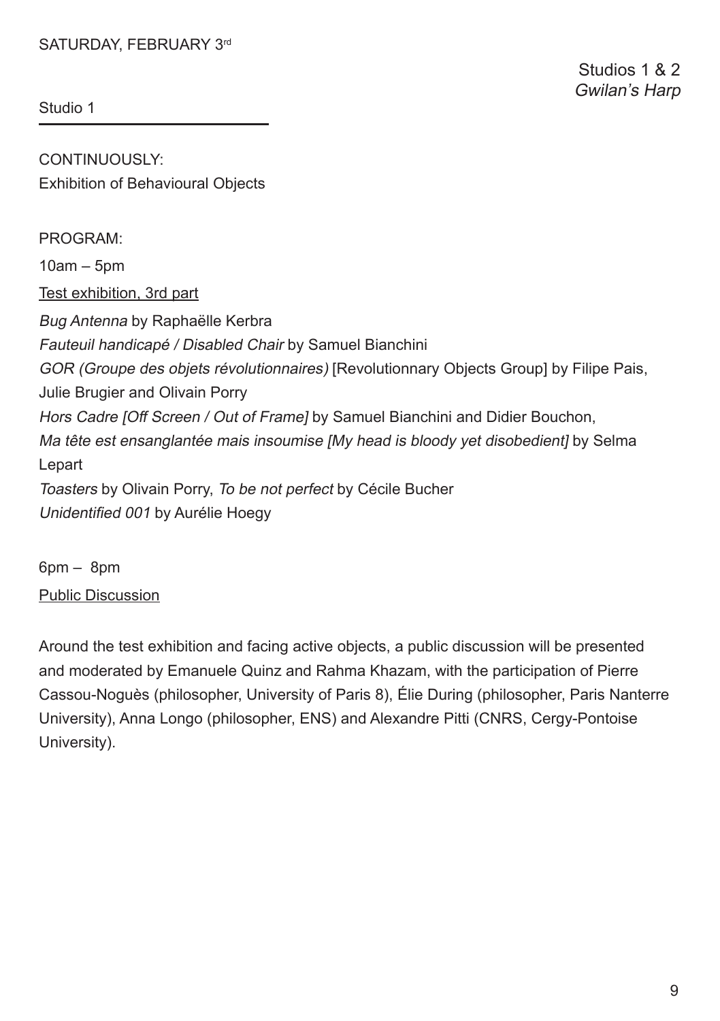CONTINUOUSLY: Exhibition of Behavioural Objects

PROGRAM:

10am – 5pm

Test exhibition, 3rd part

Bug Antenna by Raphaëlle Kerbra Fauteuil handicapé / Disabled Chair by Samuel Bianchini GOR (Groupe des objets révolutionnaires) [Revolutionnary Objects Group] by Filipe Pais, Julie Brugier and Olivain Porry Hors Cadre [Off Screen / Out of Frame] by Samuel Bianchini and Didier Bouchon, Ma tête est ensanglantée mais insoumise [My head is bloody vet disobedient] bv Selma Lepart Toasters by Olivain Porry, To be not perfect by Cécile Bucher Unidentifed 001 by Aurélie Hoegy

6pm – 8pm Public Discussion

Around the test exhibition and facing active objects, a public discussion will be presented and moderated by Emanuele Quinz and Rahma Khazam, with the participation of Pierre Cassou-Noguès (philosopher, University of Paris 8), Élie During (philosopher, Paris Nanterre University), Anna Longo (philosopher, ENS) and Alexandre Pitti (CNRS, Cergy-Pontoise University).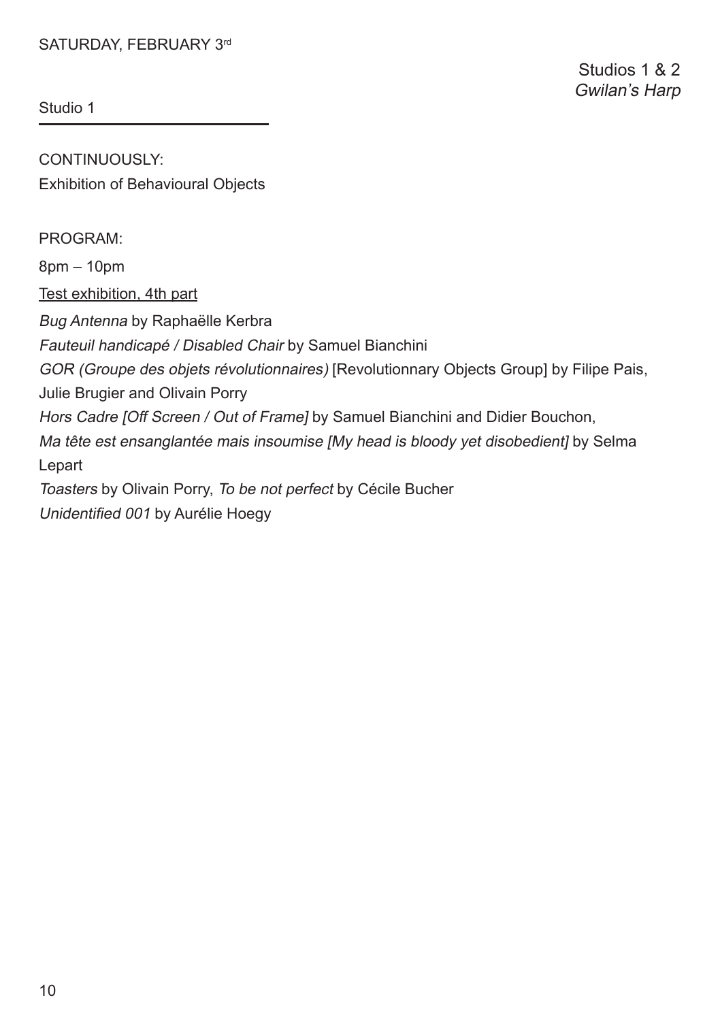CONTINUOUSLY: Exhibition of Behavioural Objects

PROGRAM:

8pm – 10pm

Test exhibition, 4th part

Bug Antenna by Raphaëlle Kerbra

Fauteuil handicapé / Disabled Chair by Samuel Bianchini

GOR (Groupe des objets révolutionnaires) [Revolutionnary Objects Group] by Filipe Pais,

Julie Brugier and Olivain Porry

Hors Cadre [Off Screen / Out of Frame] by Samuel Bianchini and Didier Bouchon,

Ma tête est ensanglantée mais insoumise IMy head is bloody vet disobedientl by Selma Lepart

Toasters by Olivain Porry, To be not perfect by Cécile Bucher

Unidentifed 001 by Aurélie Hoegy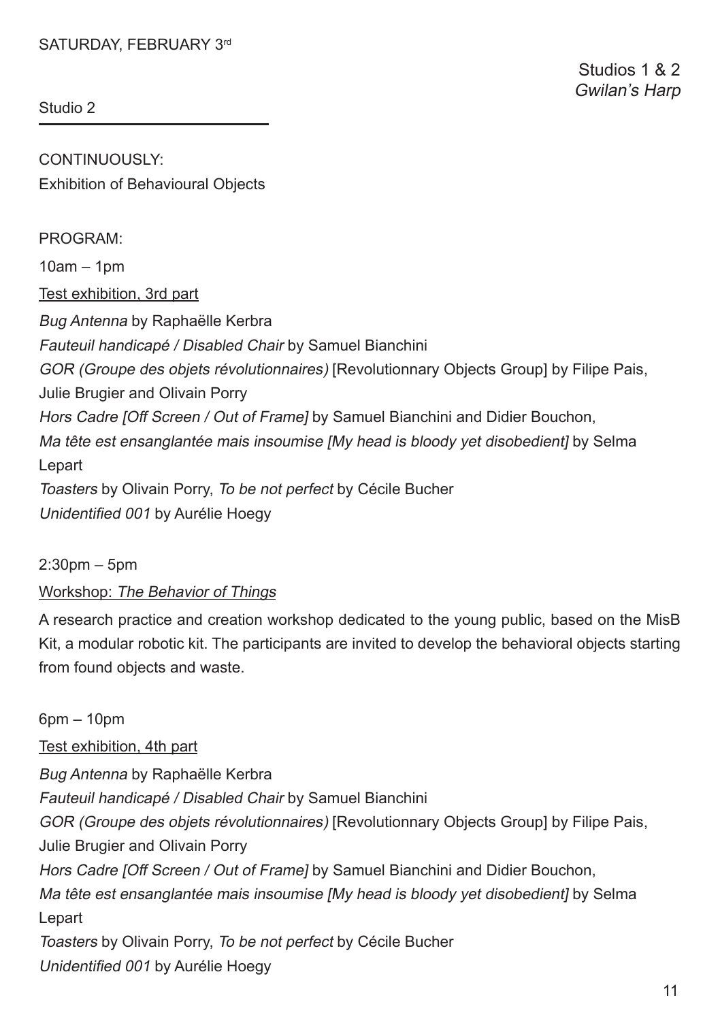CONTINUOUSLY: Exhibition of Behavioural Objects

PROGRAM:

 $10am - 1nm$ 

Test exhibition, 3rd part

Bug Antenna by Raphaëlle Kerbra

Fauteuil handicapé / Disabled Chair by Samuel Bianchini

GOR (Groupe des objets révolutionnaires) [Revolutionnary Objects Group] by Filipe Pais,

Julie Brugier and Olivain Porry

Hors Cadre [Off Screen / Out of Frame] by Samuel Bianchini and Didier Bouchon,

Ma tête est ensanglantée mais insoumise [My head is bloody yet disobedient] by Selma Lepart

Toasters by Olivain Porry, To be not perfect by Cécile Bucher Unidentifed 001 by Aurélie Hoegy

 $2:30$ pm – 5pm

# Workshop: The Behavior of Things

A research practice and creation workshop dedicated to the young public, based on the MisB Kit, a modular robotic kit. The participants are invited to develop the behavioral objects starting from found objects and waste.

6pm – 10pm Test exhibition, 4th part Bug Antenna by Raphaëlle Kerbra Fauteuil handicapé / Disabled Chair by Samuel Bianchini GOR (Groupe des objets révolutionnaires) [Revolutionnary Objects Group] by Filipe Pais, Julie Brugier and Olivain Porry Hors Cadre [Off Screen / Out of Frame] by Samuel Bianchini and Didier Bouchon, Ma tête est ensanglantée mais insoumise IMy head is bloody vet disobedienti by Selma Lepart Toasters by Olivain Porry, To be not perfect by Cécile Bucher Unidentifed 001 by Aurélie Hoegy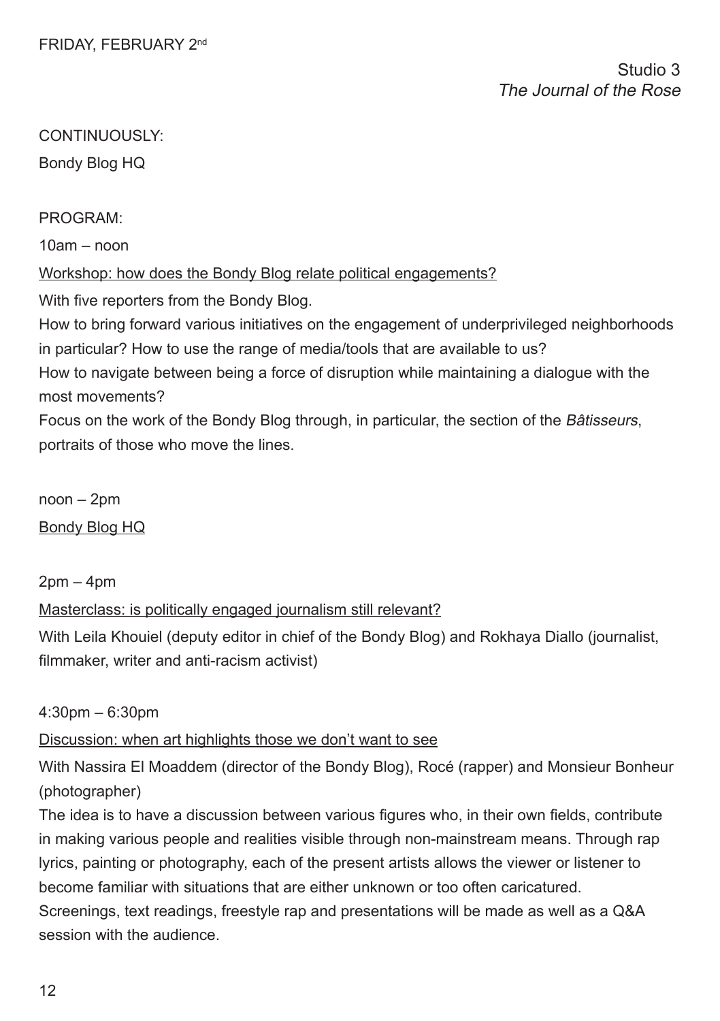Bondy Blog HQ

## PROGRAM:

 $10am - non$ 

# Workshop: how does the Bondy Blog relate political engagements?

With five reporters from the Bondy Blog.

How to bring forward various initiatives on the engagement of underprivileged neighborhoods in particular? How to use the range of media/tools that are available to us?

How to navigate between being a force of disruption while maintaining a dialogue with the most movements?

Focus on the work of the Bondy Blog through, in particular, the section of the Bâtisseurs, portraits of those who move the lines.

noon – 2pm Bondy Blog HQ

# $2$ pm – 4pm

# Masterclass: is politically engaged journalism still relevant?

With Leila Khouiel (deputy editor in chief of the Bondy Blog) and Rokhaya Diallo (journalist, flmmaker, writer and anti-racism activist)

# 4:30pm – 6:30pm

# Discussion: when art highlights those we don't want to see

With Nassira El Moaddem (director of the Bondy Blog), Rocé (rapper) and Monsieur Bonheur (photographer)

The idea is to have a discussion between various figures who, in their own fields, contribute in making various people and realities visible through non-mainstream means. Through rap lyrics, painting or photography, each of the present artists allows the viewer or listener to become familiar with situations that are either unknown or too often caricatured. Screenings, text readings, freestyle rap and presentations will be made as well as a Q&A session with the audience.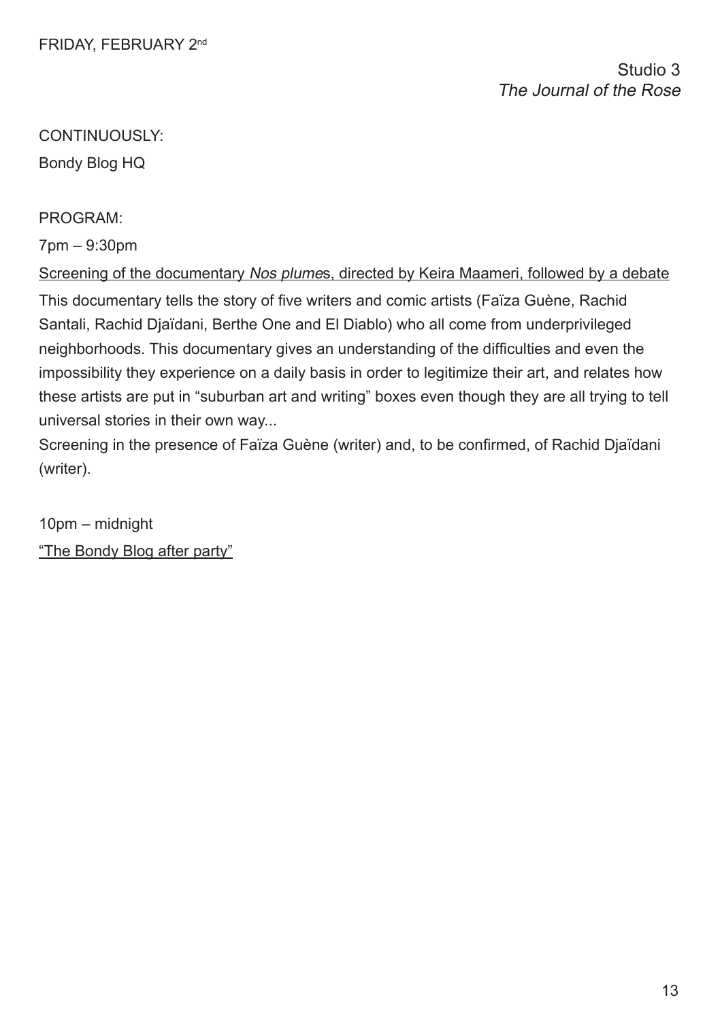Studio 3 The Journal of the Rose

# CONTINUOUSLY:

Bondy Blog HQ

PROGRAM:

7pm – 9:30pm

Screening of the documentary Nos plumes, directed by Keira Maameri, followed by a debate This documentary tells the story of fve writers and comic artists (Faïza Guène, Rachid Santali, Rachid Djaïdani, Berthe One and El Diablo) who all come from underprivileged neighborhoods. This documentary gives an understanding of the diffculties and even the impossibility they experience on a daily basis in order to legitimize their art, and relates how these artists are put in "suburban art and writing" boxes even though they are all trying to tell universal stories in their own way...

Screening in the presence of Faïza Guène (writer) and, to be confrmed, of Rachid Djaïdani (writer).

10pm – midnight "The Bondy Blog after party"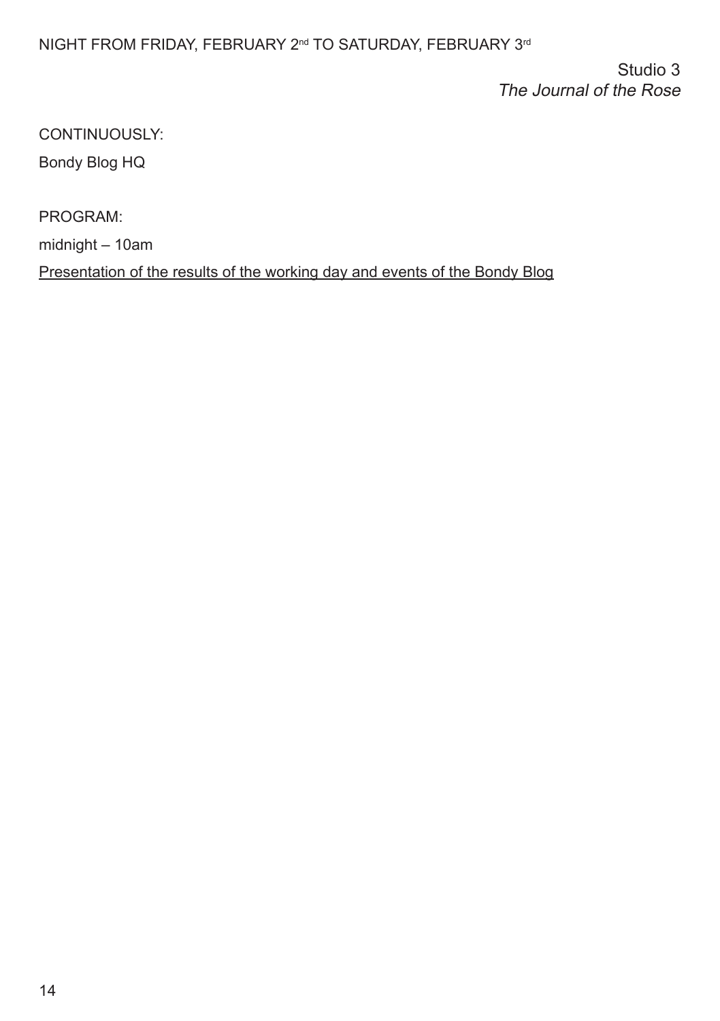# NIGHT FROM FRIDAY, FEBRUARY 2<sup>nd</sup> TO SATURDAY, FEBRUARY 3<sup>rd</sup>

Studio 3 The Journal of the Rose

CONTINUOUSLY: Bondy Blog HQ

PROGRAM: midnight – 10am Presentation of the results of the working day and events of the Bondy Blog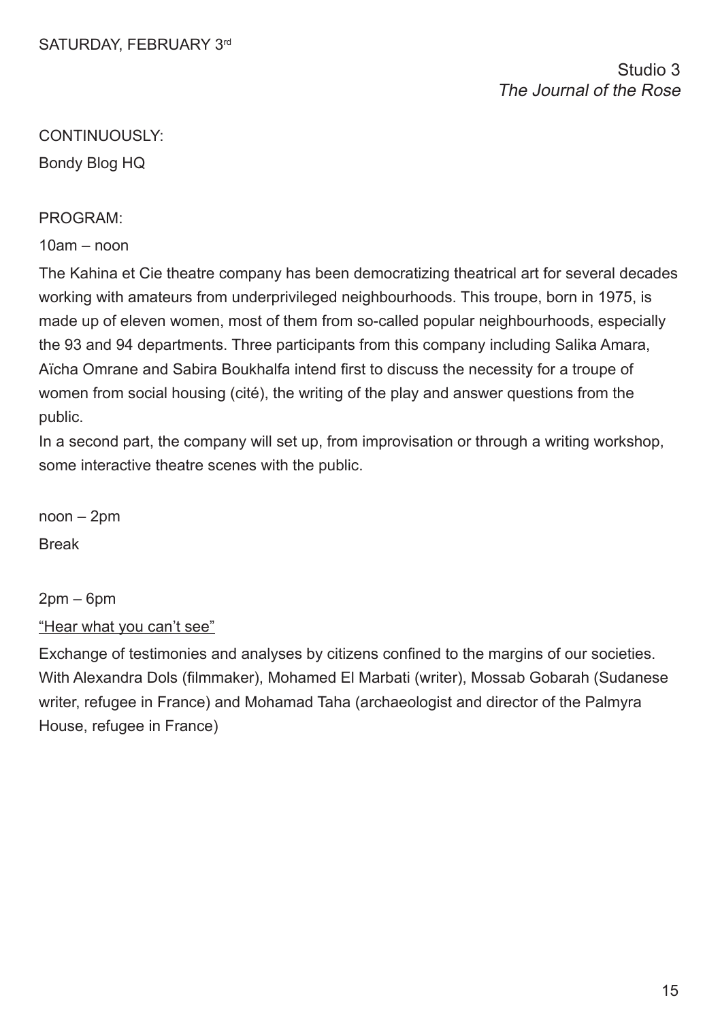Bondy Blog HQ

#### PROGRAM:

 $10am - non$ 

The Kahina et Cie theatre company has been democratizing theatrical art for several decades working with amateurs from underprivileged neighbourhoods. This troupe, born in 1975, is made up of eleven women, most of them from so-called popular neighbourhoods, especially the 93 and 94 departments. Three participants from this company including Salika Amara, Aïcha Omrane and Sabira Boukhalfa intend frst to discuss the necessity for a troupe of women from social housing (cité), the writing of the play and answer questions from the public.

In a second part, the company will set up, from improvisation or through a writing workshop, some interactive theatre scenes with the public.

noon – 2pm Break

2pm – 6pm "Hear what you can't see"

Exchange of testimonies and analyses by citizens confned to the margins of our societies. With Alexandra Dols (flmmaker), Mohamed El Marbati (writer), Mossab Gobarah (Sudanese writer, refugee in France) and Mohamad Taha (archaeologist and director of the Palmyra House, refugee in France)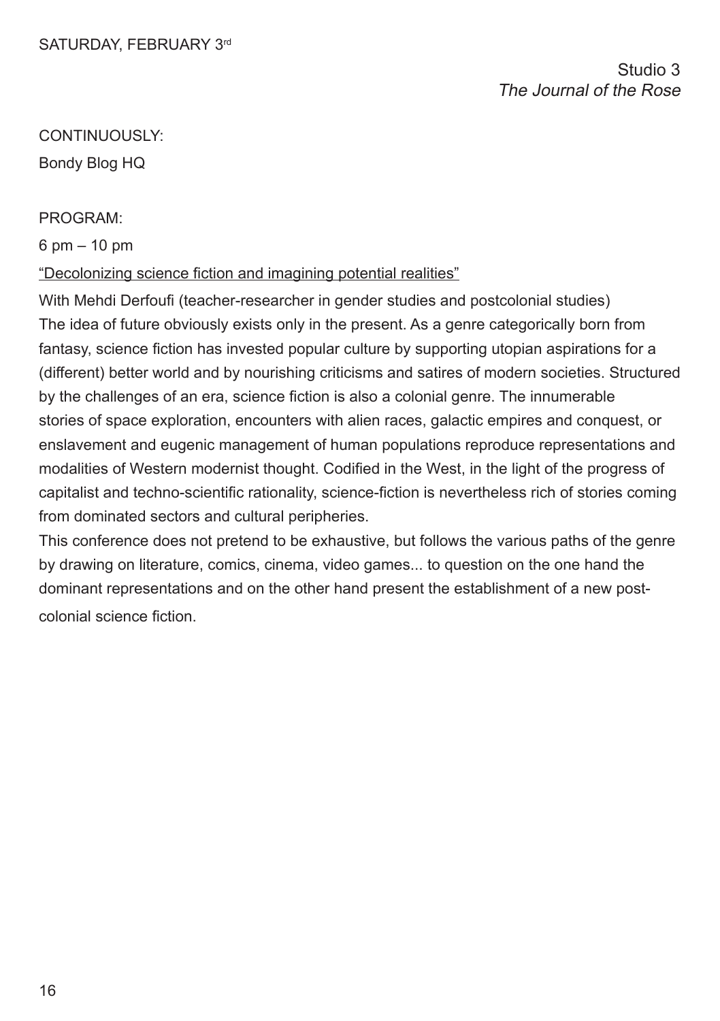Bondy Blog HQ

## PROGRAM:

6 pm – 10 pm

# "Decolonizing science fiction and imagining potential realities"

With Mehdi Derfoufi (teacher-researcher in gender studies and postcolonial studies) The idea of future obviously exists only in the present. As a genre categorically born from fantasy, science fiction has invested popular culture by supporting utopian aspirations for a (different) better world and by nourishing criticisms and satires of modern societies. Structured by the challenges of an era, science fction is also a colonial genre. The innumerable stories of space exploration, encounters with alien races, galactic empires and conquest, or enslavement and eugenic management of human populations reproduce representations and modalities of Western modernist thought. Codifed in the West, in the light of the progress of capitalist and techno-scientifc rationality, science-fction is nevertheless rich of stories coming from dominated sectors and cultural peripheries.

This conference does not pretend to be exhaustive, but follows the various paths of the genre by drawing on literature, comics, cinema, video games... to question on the one hand the dominant representations and on the other hand present the establishment of a new postcolonial science fiction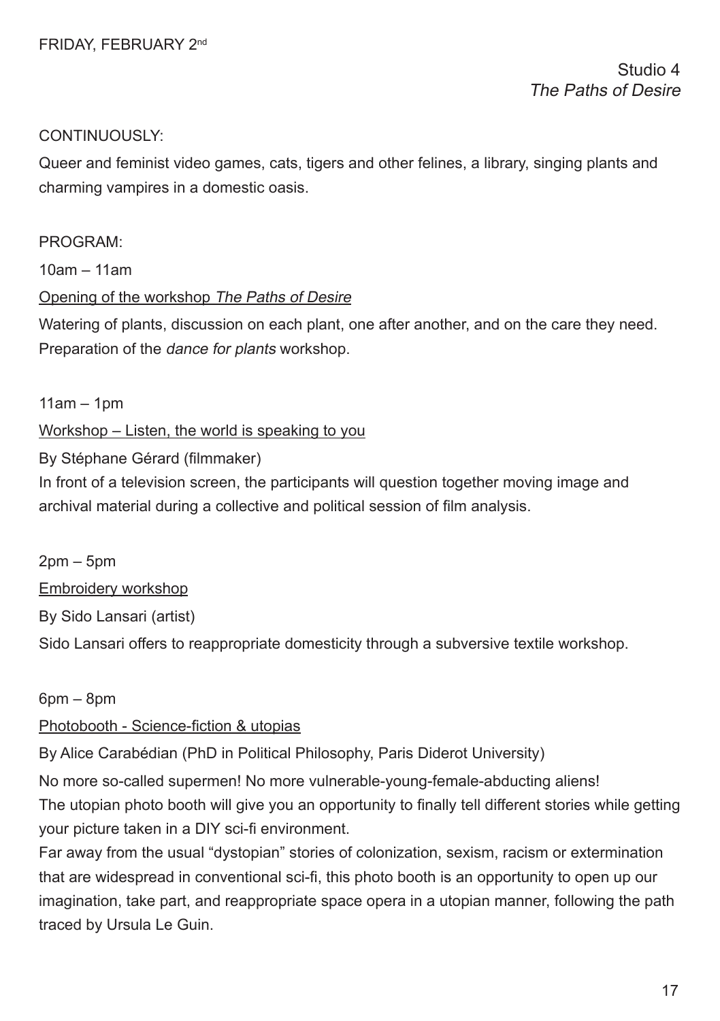Queer and feminist video games, cats, tigers and other felines, a library, singing plants and charming vampires in a domestic oasis.

## PROGRAM:

10am – 11am

# Opening of the workshop The Paths of Desire

Watering of plants, discussion on each plant, one after another, and on the care they need. Preparation of the dance for plants workshop.

 $11am - 1pm$ 

# Workshop – Listen, the world is speaking to you

By Stéphane Gérard (flmmaker)

In front of a television screen, the participants will question together moving image and archival material during a collective and political session of flm analysis.

2pm – 5pm Embroidery workshop By Sido Lansari (artist) Sido Lansari offers to reappropriate domesticity through a subversive textile workshop.

6pm – 8pm

# Photobooth - Science-fiction & utopias

By Alice Carabédian (PhD in Political Philosophy, Paris Diderot University)

No more so-called supermen! No more vulnerable-young-female-abducting aliens! The utopian photo booth will give you an opportunity to fnally tell different stories while getting your picture taken in a DIY sci-fi environment.

Far away from the usual "dystopian" stories of colonization, sexism, racism or extermination that are widespread in conventional sci-fi, this photo booth is an opportunity to open up our imagination, take part, and reappropriate space opera in a utopian manner, following the path traced by Ursula Le Guin.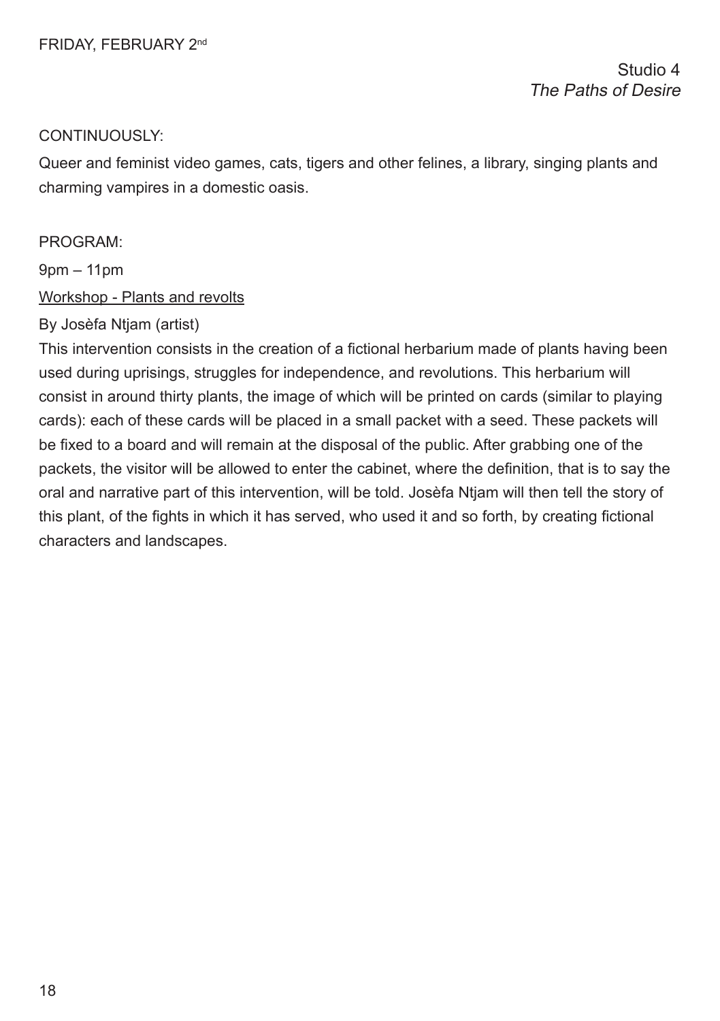Studio 4 The Paths of Desire

#### CONTINUOUSLY:

Queer and feminist video games, cats, tigers and other felines, a library, singing plants and charming vampires in a domestic oasis.

#### PROGRAM:

9pm – 11pm

#### Workshop - Plants and revolts

# By Josèfa Ntjam (artist)

This intervention consists in the creation of a fictional herbarium made of plants having been used during uprisings, struggles for independence, and revolutions. This herbarium will consist in around thirty plants, the image of which will be printed on cards (similar to playing cards): each of these cards will be placed in a small packet with a seed. These packets will be fxed to a board and will remain at the disposal of the public. After grabbing one of the packets, the visitor will be allowed to enter the cabinet, where the defnition, that is to say the oral and narrative part of this intervention, will be told. Josèfa Ntjam will then tell the story of this plant, of the fghts in which it has served, who used it and so forth, by creating fctional characters and landscapes.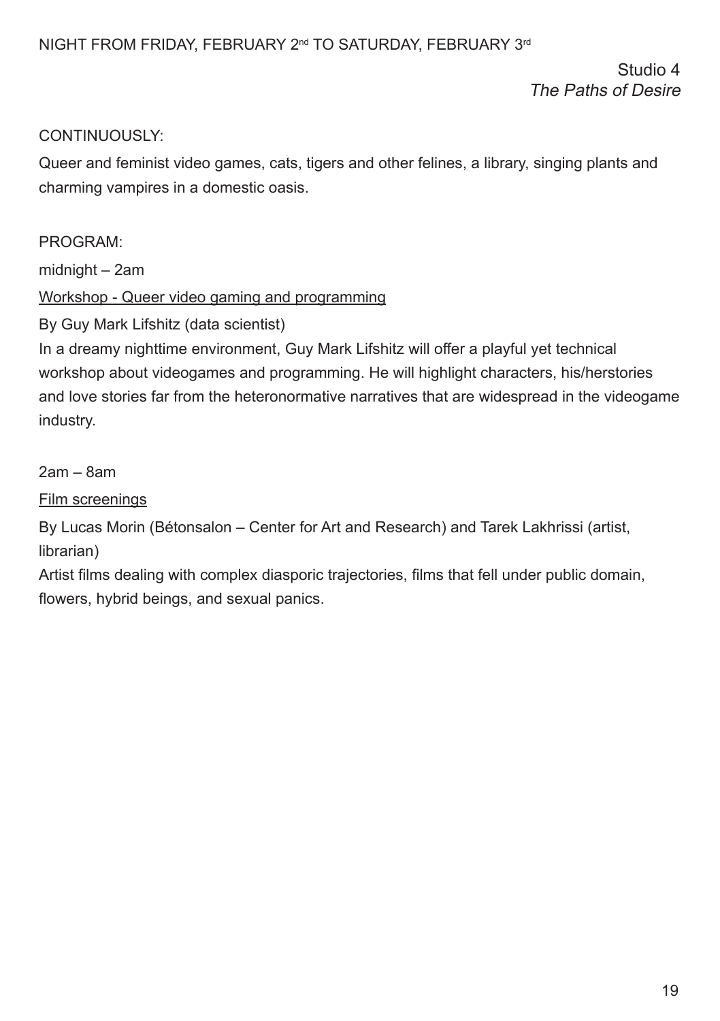Studio 4 The Paths of Desire

# CONTINUOUSLY:

Queer and feminist video games, cats, tigers and other felines, a library, singing plants and charming vampires in a domestic oasis.

# PROGRAM:

midnight – 2am

# Workshop - Queer video gaming and programming

By Guy Mark Lifshitz (data scientist)

In a dreamy nighttime environment, Guy Mark Lifshitz will offer a playful yet technical workshop about videogames and programming. He will highlight characters, his/herstories and love stories far from the heteronormative narratives that are widespread in the videogame industry.

2am – 8am

Film screenings

By Lucas Morin (Bétonsalon – Center for Art and Research) and Tarek Lakhrissi (artist, librarian)

Artist flms dealing with complex diasporic trajectories, flms that fell under public domain, flowers, hybrid beings, and sexual panics.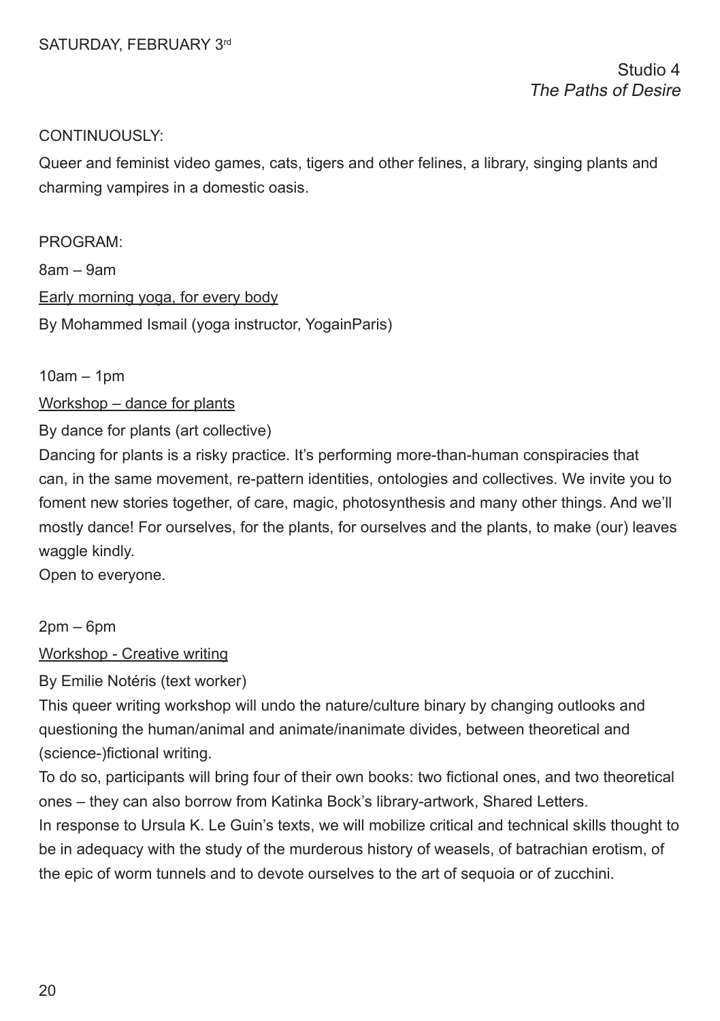Queer and feminist video games, cats, tigers and other felines, a library, singing plants and charming vampires in a domestic oasis.

PROGRAM: 8am – 9am Early morning yoga, for every body By Mohammed Ismail (yoga instructor, YogainParis)

10am – 1pm

Workshop – dance for plants

By dance for plants (art collective)

Dancing for plants is a risky practice. It's performing more-than-human conspiracies that can, in the same movement, re-pattern identities, ontologies and collectives. We invite you to foment new stories together, of care, magic, photosynthesis and many other things. And we'll mostly dance! For ourselves, for the plants, for ourselves and the plants, to make (our) leaves waggle kindly.

Open to everyone.

 $2$ pm – 6pm

Workshop - Creative writing

By Emilie Notéris (text worker)

This queer writing workshop will undo the nature/culture binary by changing outlooks and questioning the human/animal and animate/inanimate divides, between theoretical and (science-)fictional writing.

To do so, participants will bring four of their own books: two fctional ones, and two theoretical ones – they can also borrow from Katinka Bock's library-artwork, Shared Letters.

In response to Ursula K. Le Guin's texts, we will mobilize critical and technical skills thought to be in adequacy with the study of the murderous history of weasels, of batrachian erotism, of the epic of worm tunnels and to devote ourselves to the art of sequoia or of zucchini.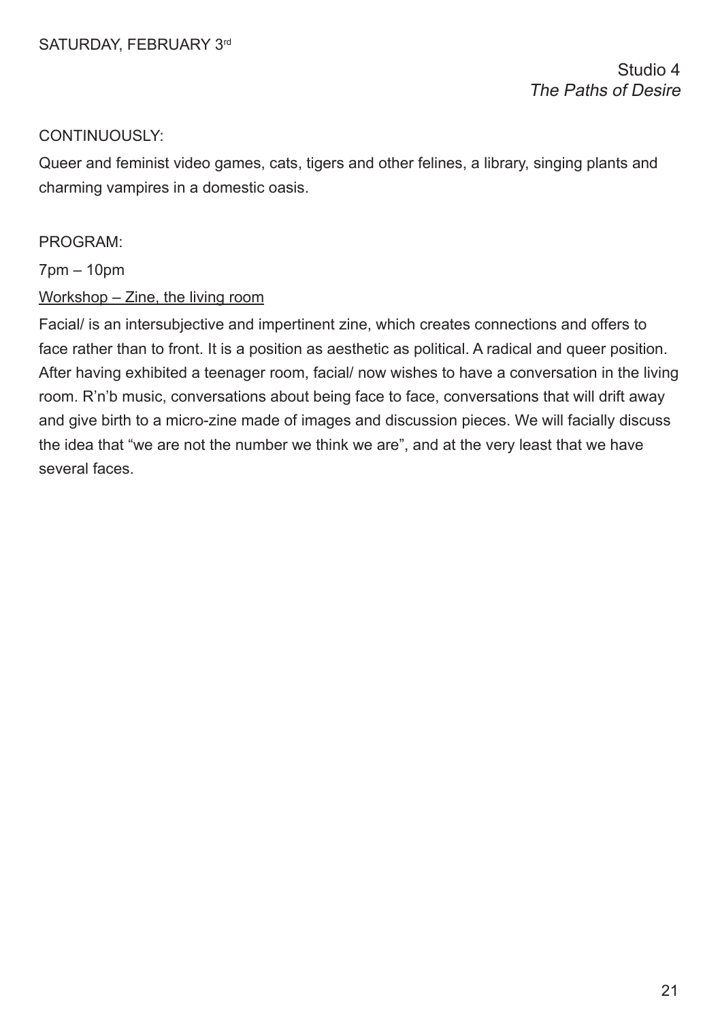Studio 4 The Paths of Desire

#### CONTINUOUSLY:

Queer and feminist video games, cats, tigers and other felines, a library, singing plants and charming vampires in a domestic oasis.

#### PROGRAM:

7pm – 10pm

#### Workshop – Zine, the living room

Facial/ is an intersubjective and impertinent zine, which creates connections and offers to face rather than to front. It is a position as aesthetic as political. A radical and queer position. After having exhibited a teenager room, facial/ now wishes to have a conversation in the living room. R'n'b music, conversations about being face to face, conversations that will drift away and give birth to a micro-zine made of images and discussion pieces. We will facially discuss the idea that "we are not the number we think we are", and at the very least that we have several faces.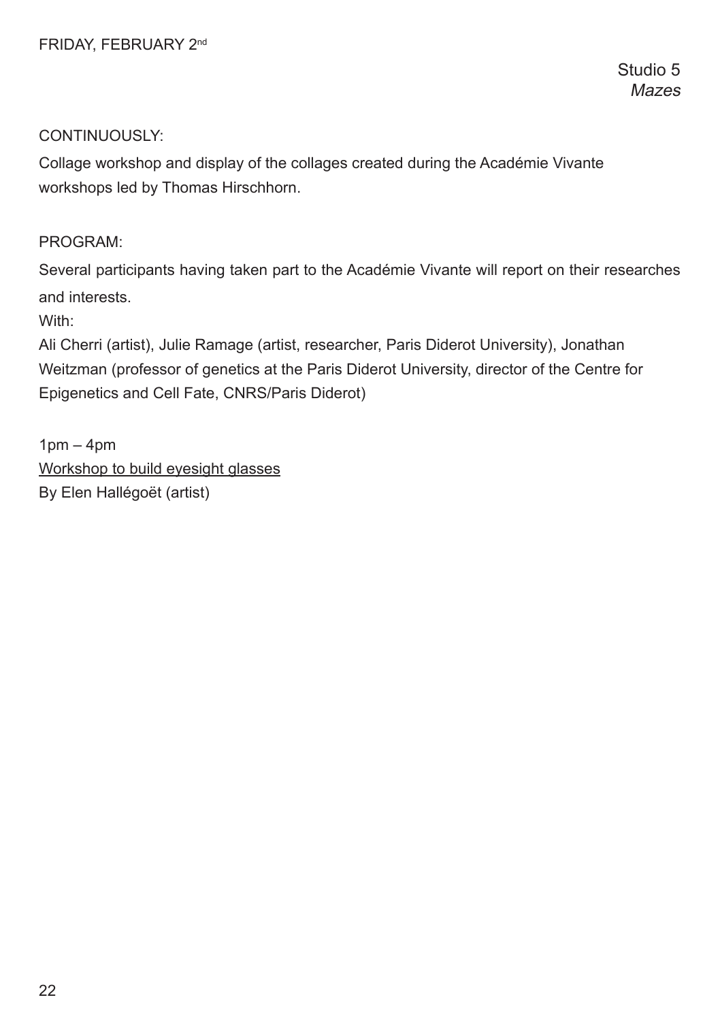Studio 5 **Mazes** 

## CONTINUOUSLY:

Collage workshop and display of the collages created during the Académie Vivante workshops led by Thomas Hirschhorn.

PROGRAM:

Several participants having taken part to the Académie Vivante will report on their researches and interests.

With:

Ali Cherri (artist), Julie Ramage (artist, researcher, Paris Diderot University), Jonathan Weitzman (professor of genetics at the Paris Diderot University, director of the Centre for Epigenetics and Cell Fate, CNRS/Paris Diderot)

 $1pm - 4pm$ Workshop to build eyesight glasses By Elen Hallégoët (artist)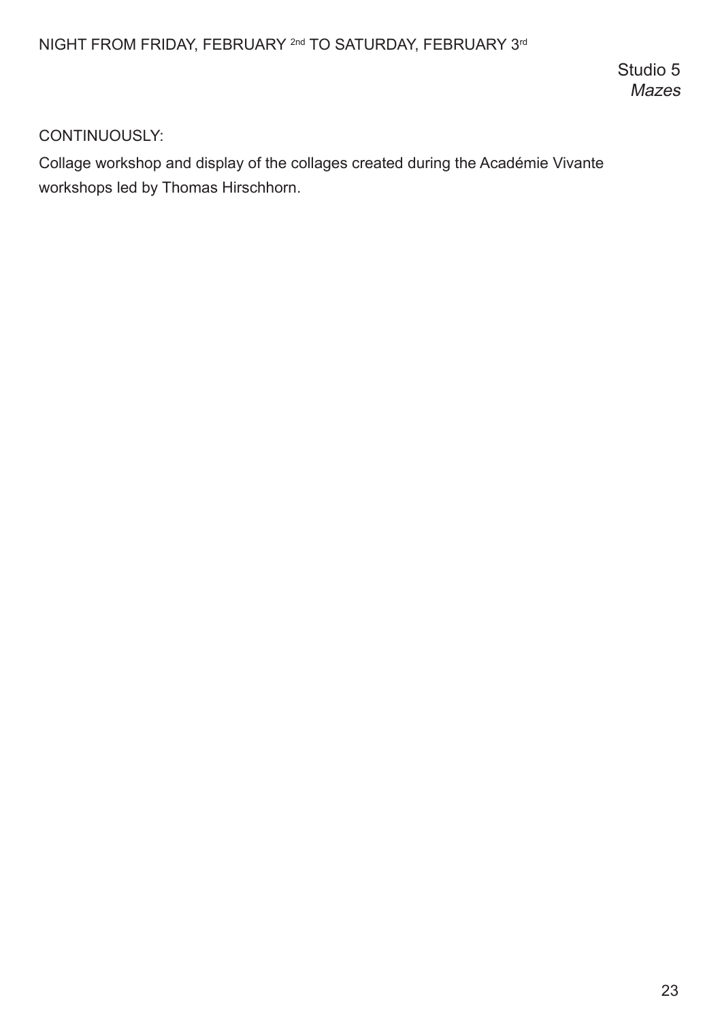Studio 5 Mazes

# CONTINUOUSLY:

Collage workshop and display of the collages created during the Académie Vivante workshops led by Thomas Hirschhorn.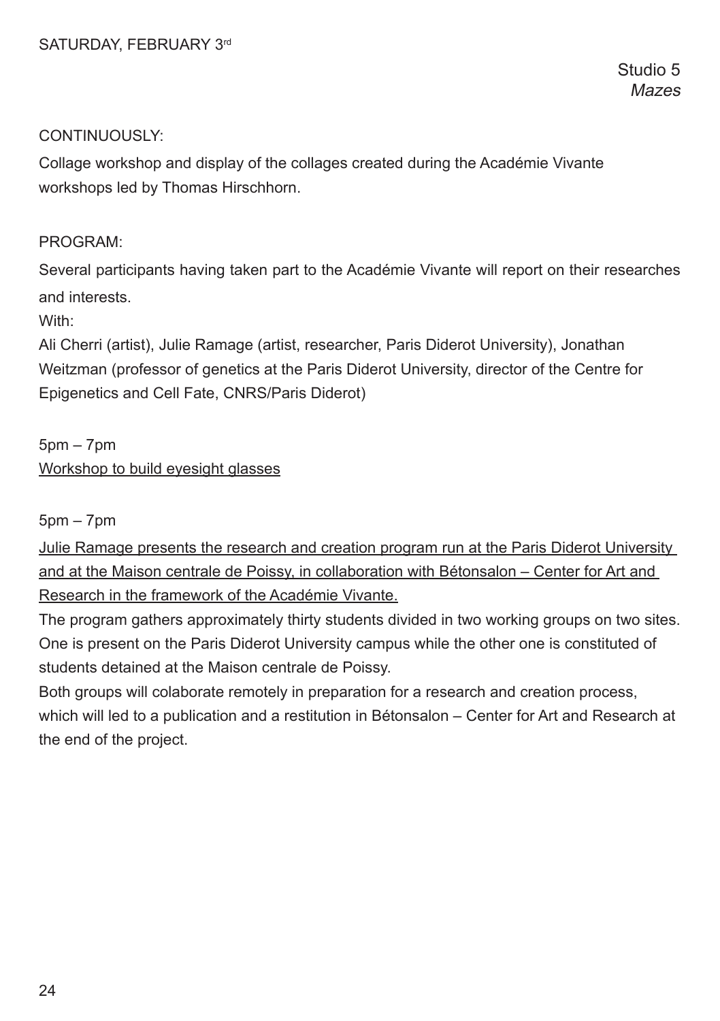Studio 5 **Mazes** 

#### CONTINUOUSLY:

Collage workshop and display of the collages created during the Académie Vivante workshops led by Thomas Hirschhorn.

#### PROGRAM:

Several participants having taken part to the Académie Vivante will report on their researches and interests.

With:

Ali Cherri (artist), Julie Ramage (artist, researcher, Paris Diderot University), Jonathan Weitzman (professor of genetics at the Paris Diderot University, director of the Centre for Epigenetics and Cell Fate, CNRS/Paris Diderot)

5pm – 7pm Workshop to build eyesight glasses

5pm – 7pm

Julie Ramage presents the research and creation program run at the Paris Diderot University and at the Maison centrale de Poissy, in collaboration with Bétonsalon – Center for Art and Research in the framework of the Académie Vivante.

The program gathers approximately thirty students divided in two working groups on two sites. One is present on the Paris Diderot University campus while the other one is constituted of students detained at the Maison centrale de Poissy.

Both groups will colaborate remotely in preparation for a research and creation process, which will led to a publication and a restitution in Bétonsalon – Center for Art and Research at the end of the project.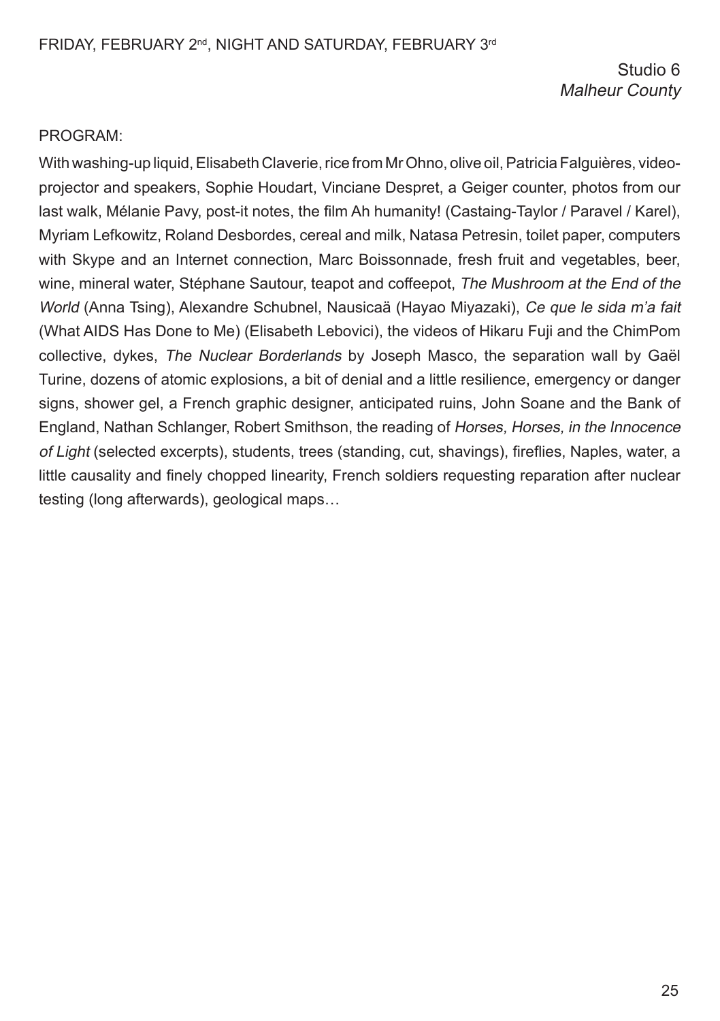Studio 6 Malheur County

#### PROGRAM:

With washing-up liquid, Elisabeth Claverie, rice from Mr Ohno, olive oil, Patricia Falguières, videoprojector and speakers, Sophie Houdart, Vinciane Despret, a Geiger counter, photos from our last walk, Mélanie Pavy, post-it notes, the flm Ah humanity! (Castaing-Taylor / Paravel / Karel), Myriam Lefkowitz, Roland Desbordes, cereal and milk, Natasa Petresin, toilet paper, computers with Skype and an Internet connection, Marc Boissonnade, fresh fruit and vegetables, beer, wine, mineral water, Stéphane Sautour, teapot and coffeepot, The Mushroom at the End of the World (Anna Tsing), Alexandre Schubnel, Nausicaä (Hayao Miyazaki), Ce que le sida m'a fait (What AIDS Has Done to Me) (Elisabeth Lebovici), the videos of Hikaru Fuji and the ChimPom collective, dykes, The Nuclear Borderlands by Joseph Masco, the separation wall by Gaël Turine, dozens of atomic explosions, a bit of denial and a little resilience, emergency or danger signs, shower gel, a French graphic designer, anticipated ruins, John Soane and the Bank of England, Nathan Schlanger, Robert Smithson, the reading of Horses, Horses, in the Innocence of Light (selected excerpts), students, trees (standing, cut, shavings), frefies, Naples, water, a little causality and fnely chopped linearity, French soldiers requesting reparation after nuclear testing (long afterwards), geological maps…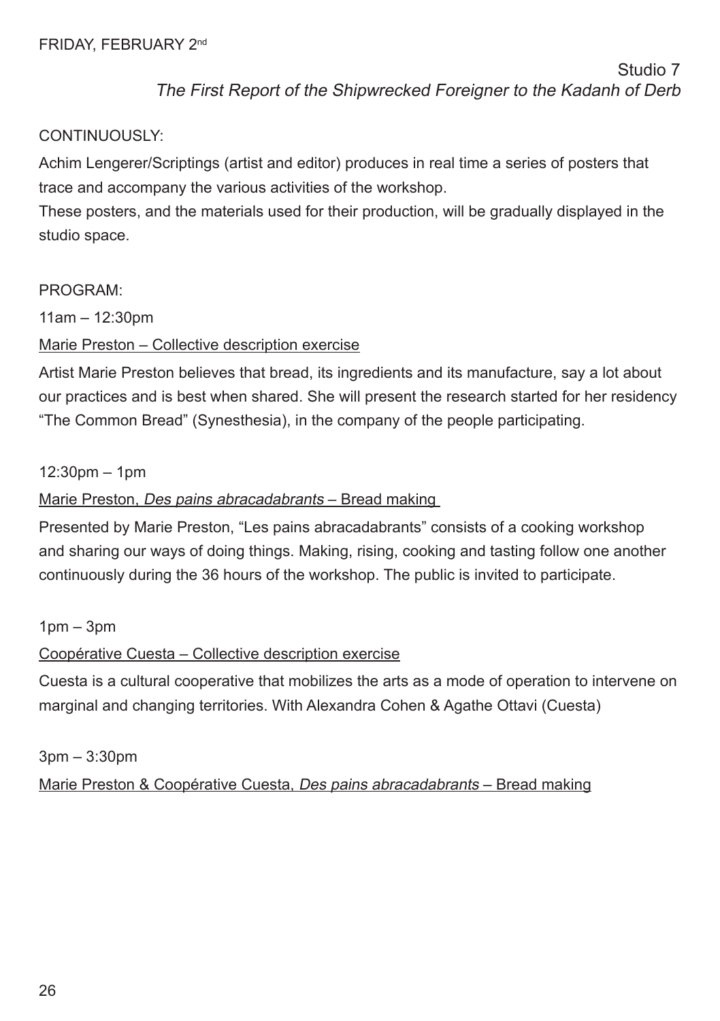# CONTINUOUSLY:

Achim Lengerer/Scriptings (artist and editor) produces in real time a series of posters that trace and accompany the various activities of the workshop.

These posters, and the materials used for their production, will be gradually displayed in the studio space.

# PROGRAM:

 $11am - 12:30nm$ 

Marie Preston – Collective description exercise

Artist Marie Preston believes that bread, its ingredients and its manufacture, say a lot about our practices and is best when shared. She will present the research started for her residency "The Common Bread" (Synesthesia), in the company of the people participating.

# 12:30pm – 1pm

# Marie Preston, Des pains abracadabrants – Bread making

Presented by Marie Preston, "Les pains abracadabrants" consists of a cooking workshop and sharing our ways of doing things. Making, rising, cooking and tasting follow one another continuously during the 36 hours of the workshop. The public is invited to participate.

# $1$ pm  $-3$ pm

# Coopérative Cuesta – Collective description exercise

Cuesta is a cultural cooperative that mobilizes the arts as a mode of operation to intervene on marginal and changing territories. With Alexandra Cohen & Agathe Ottavi (Cuesta)

# 3pm – 3:30pm Marie Preston & Coopérative Cuesta, Des pains abracadabrants – Bread making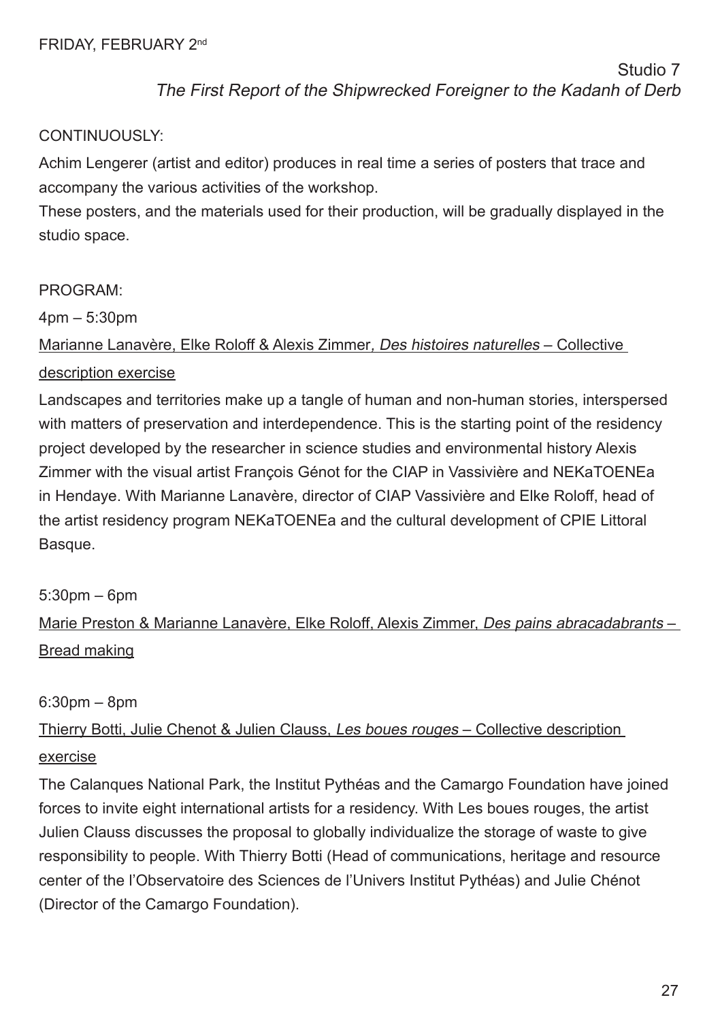# CONTINUOUSLY:

Achim Lengerer (artist and editor) produces in real time a series of posters that trace and accompany the various activities of the workshop.

These posters, and the materials used for their production, will be gradually displayed in the studio space.

# PROGRAM:

4pm – 5:30pm

# Marianne Lanavère, Elke Roloff & Alexis Zimmer, Des histoires naturelles – Collective description exercise

Landscapes and territories make up a tangle of human and non-human stories, interspersed with matters of preservation and interdependence. This is the starting point of the residency project developed by the researcher in science studies and environmental history Alexis Zimmer with the visual artist François Génot for the CIAP in Vassivière and NEKaTOENEa in Hendaye. With Marianne Lanavère, director of CIAP Vassivière and Elke Roloff, head of the artist residency program NEKaTOENEa and the cultural development of CPIE Littoral Basque.

# 5:30pm – 6pm

Marie Preston & Marianne Lanavère, Elke Roloff, Alexis Zimmer, Des pains abracadabrants – Bread making

# 6:30pm – 8pm

# Thierry Botti, Julie Chenot & Julien Clauss, Les boues rouges – Collective description exercise

The Calanques National Park, the Institut Pythéas and the Camargo Foundation have joined forces to invite eight international artists for a residency. With Les boues rouges, the artist Julien Clauss discusses the proposal to globally individualize the storage of waste to give responsibility to people. With Thierry Botti (Head of communications, heritage and resource center of the l'Observatoire des Sciences de l'Univers Institut Pythéas) and Julie Chénot (Director of the Camargo Foundation).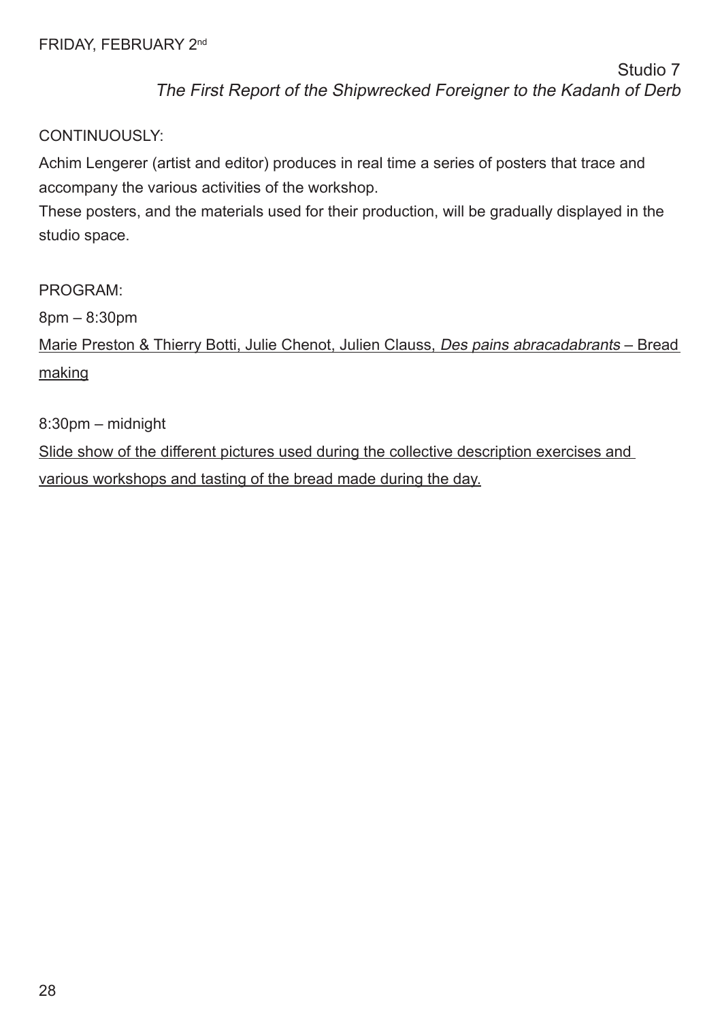# CONTINUOUSLY:

Achim Lengerer (artist and editor) produces in real time a series of posters that trace and accompany the various activities of the workshop.

These posters, and the materials used for their production, will be gradually displayed in the studio space.

PROGRAM:

8pm – 8:30pm

Marie Preston & Thierry Botti, Julie Chenot, Julien Clauss, Des pains abracadabrants – Bread making

8:30pm – midnight

Slide show of the different pictures used during the collective description exercises and various workshops and tasting of the bread made during the day.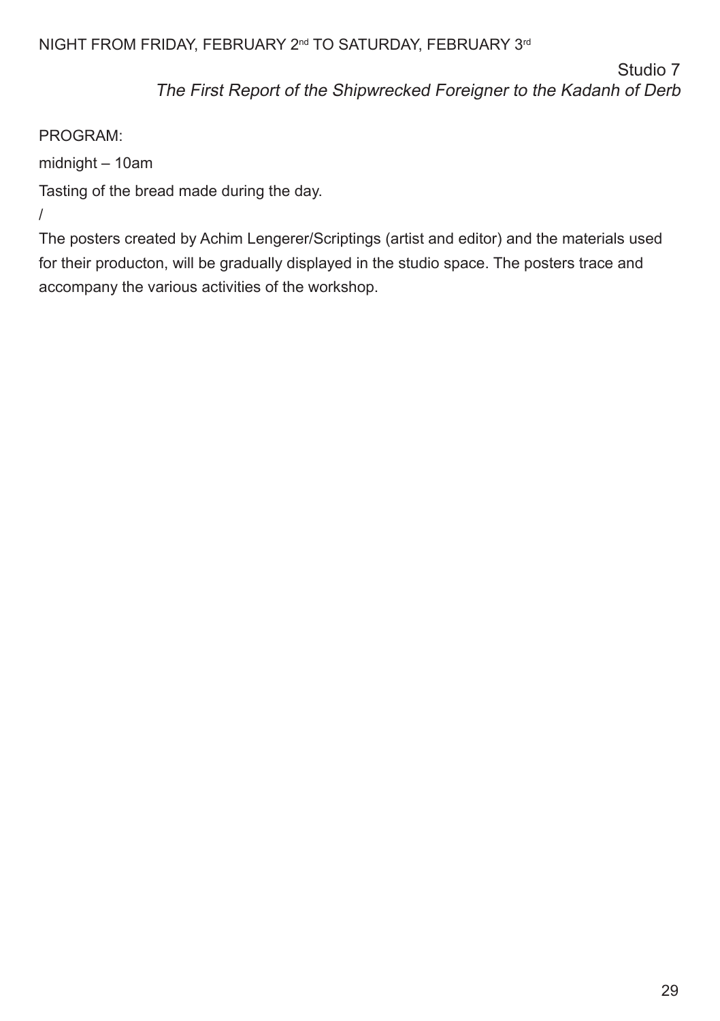# NIGHT FROM FRIDAY, FEBRUARY 2<sup>nd</sup> TO SATURDAY, FEBRUARY 3<sup>rd</sup>

Studio 7

The First Report of the Shipwrecked Foreigner to the Kadanh of Derb

# PROGRAM:

midnight – 10am

Tasting of the bread made during the day.

/

The posters created by Achim Lengerer/Scriptings (artist and editor) and the materials used for their producton, will be gradually displayed in the studio space. The posters trace and accompany the various activities of the workshop.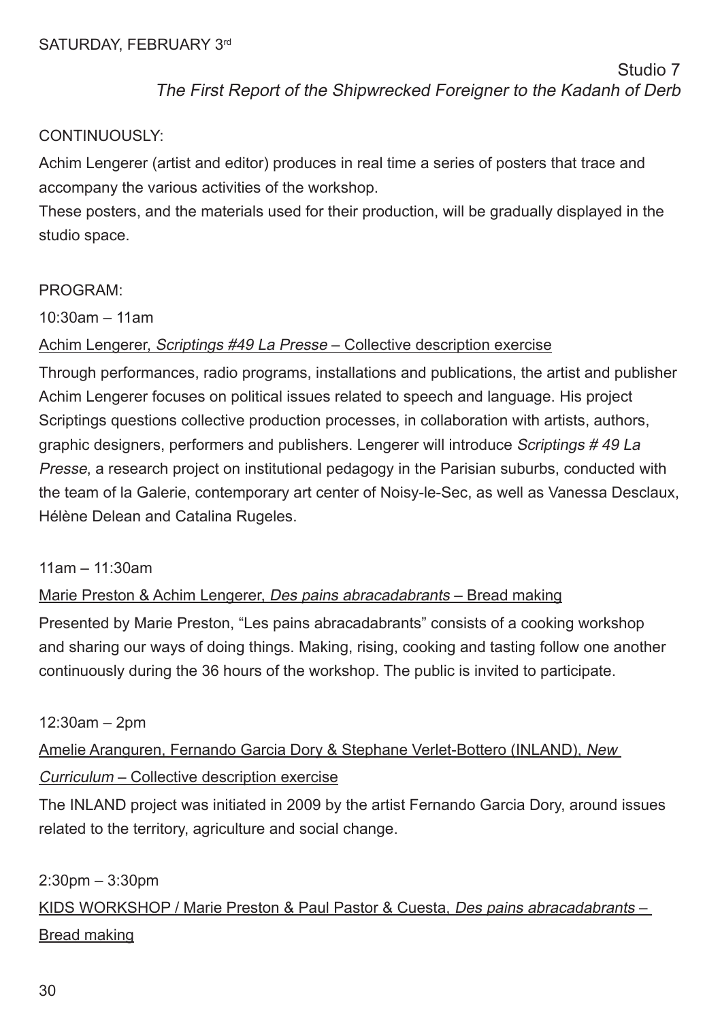# CONTINUOUSLY:

Achim Lengerer (artist and editor) produces in real time a series of posters that trace and accompany the various activities of the workshop.

These posters, and the materials used for their production, will be gradually displayed in the studio space.

# PROGRAM:

10:30am – 11am

# Achim Lengerer, Scriptings #49 La Presse – Collective description exercise

Through performances, radio programs, installations and publications, the artist and publisher Achim Lengerer focuses on political issues related to speech and language. His project Scriptings questions collective production processes, in collaboration with artists, authors, graphic designers, performers and publishers. Lengerer will introduce Scriptings # 49 La Presse, a research project on institutional pedagogy in the Parisian suburbs, conducted with the team of la Galerie, contemporary art center of Noisy-le-Sec, as well as Vanessa Desclaux, Hélène Delean and Catalina Rugeles.

#### 11am – 11:30am

# Marie Preston & Achim Lengerer, Des pains abracadabrants – Bread making

Presented by Marie Preston, "Les pains abracadabrants" consists of a cooking workshop and sharing our ways of doing things. Making, rising, cooking and tasting follow one another continuously during the 36 hours of the workshop. The public is invited to participate.

#### 12:30am – 2pm

Amelie Aranguren, Fernando Garcia Dory & Stephane Verlet-Bottero (INLAND), New Curriculum – Collective description exercise

The INLAND project was initiated in 2009 by the artist Fernando Garcia Dory, around issues related to the territory, agriculture and social change.

#### 2:30pm – 3:30pm

KIDS WORKSHOP / Marie Preston & Paul Pastor & Cuesta, Des pains abracadabrants – Bread making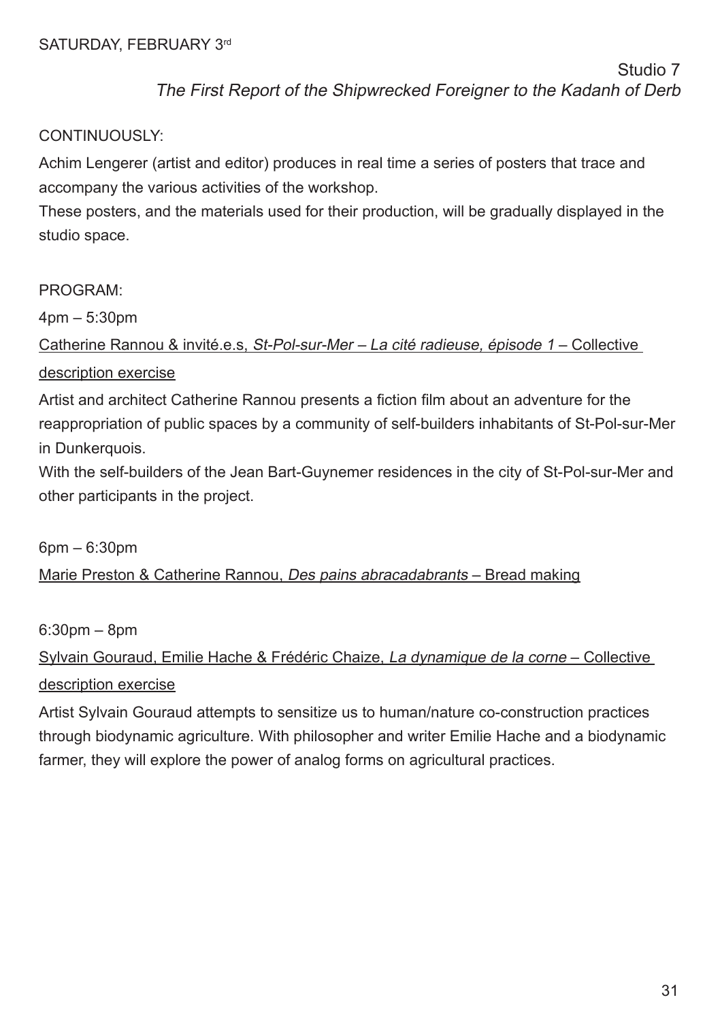# CONTINUOUSLY:

Achim Lengerer (artist and editor) produces in real time a series of posters that trace and accompany the various activities of the workshop.

These posters, and the materials used for their production, will be gradually displayed in the studio space.

# PROGRAM:

4pm – 5:30pm

# Catherine Rannou & invité.e.s, St-Pol-sur-Mer – La cité radieuse, épisode 1 – Collective description exercise

Artist and architect Catherine Rannou presents a fction flm about an adventure for the reappropriation of public spaces by a community of self-builders inhabitants of St-Pol-sur-Mer in Dunkerquois.

With the self-builders of the Jean Bart-Guynemer residences in the city of St-Pol-sur-Mer and other participants in the project.

6pm – 6:30pm Marie Preston & Catherine Rannou, Des pains abracadabrants – Bread making

6:30pm – 8pm

# Sylvain Gouraud, Emilie Hache & Frédéric Chaize, La dynamique de la corne – Collective description exercise

Artist Sylvain Gouraud attempts to sensitize us to human/nature co-construction practices through biodynamic agriculture. With philosopher and writer Emilie Hache and a biodynamic farmer, they will explore the power of analog forms on agricultural practices.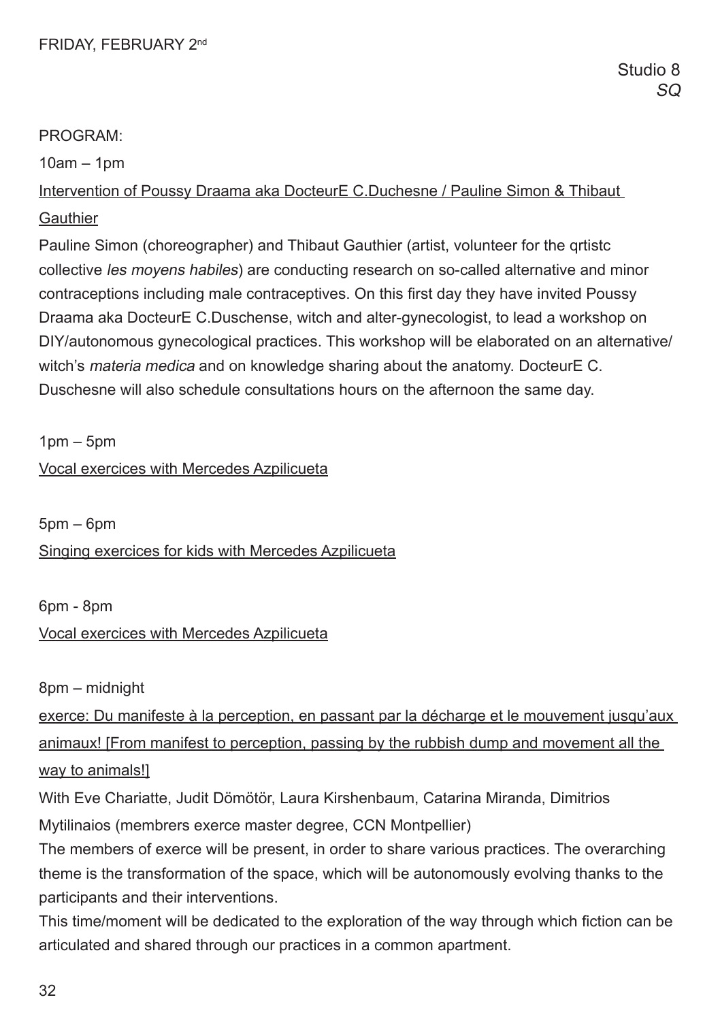10am – 1pm

Intervention of Poussy Draama aka DocteurE C.Duchesne / Pauline Simon & Thibaut **Gauthier** 

Pauline Simon (choreographer) and Thibaut Gauthier (artist, volunteer for the qrtistc collective les moyens habiles) are conducting research on so-called alternative and minor contraceptions including male contraceptives. On this frst day they have invited Poussy Draama aka DocteurE C.Duschense, witch and alter-gynecologist, to lead a workshop on DIY/autonomous gynecological practices. This workshop will be elaborated on an alternative/ witch's materia medica and on knowledge sharing about the anatomy. DocteurE C. Duschesne will also schedule consultations hours on the afternoon the same day.

 $1$ pm –  $5$ pm

Vocal exercices with Mercedes Azpilicueta

 $5$ pm –  $6$ pm

Singing exercices for kids with Mercedes Azpilicueta

6pm - 8pm

# Vocal exercices with Mercedes Azpilicueta

8pm – midnight

exerce: Du manifeste à la perception, en passant par la décharge et le mouvement jusqu'aux animaux! [From manifest to perception, passing by the rubbish dump and movement all the way to animals!]

With Eve Chariatte, Judit Dömötör, Laura Kirshenbaum, Catarina Miranda, Dimitrios Mytilinaios (membrers exerce master degree, CCN Montpellier)

The members of exerce will be present, in order to share various practices. The overarching theme is the transformation of the space, which will be autonomously evolving thanks to the participants and their interventions.

This time/moment will be dedicated to the exploration of the way through which fiction can be articulated and shared through our practices in a common apartment.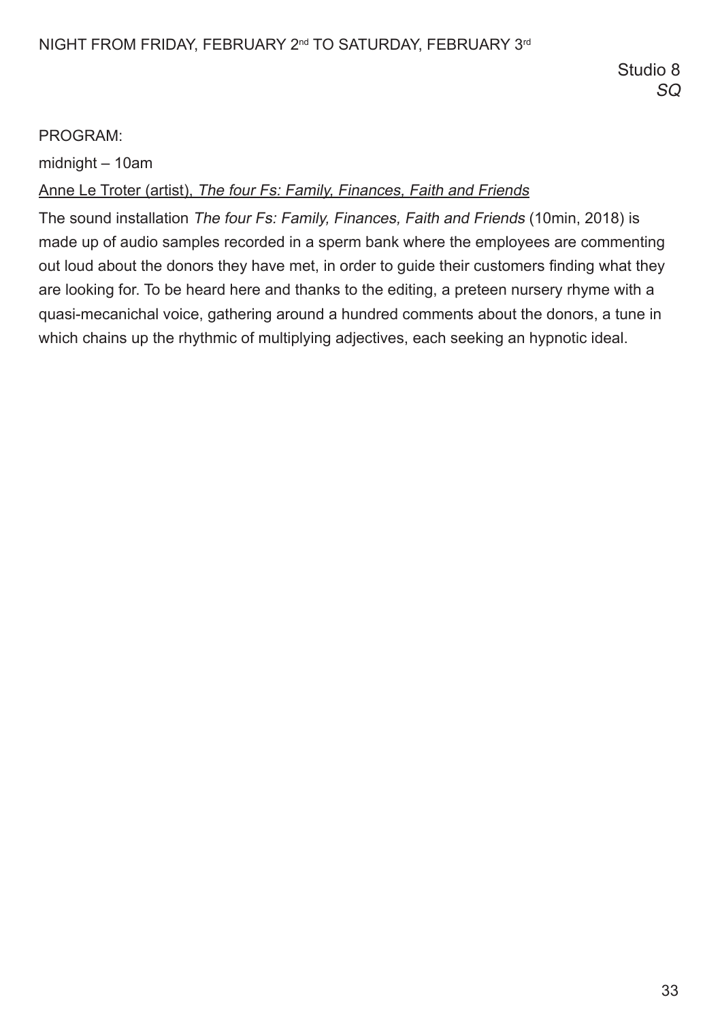midnight – 10am

# Anne Le Troter (artist), The four Fs: Family, Finances, Faith and Friends

The sound installation The four Fs: Family, Finances, Faith and Friends (10min, 2018) is made up of audio samples recorded in a sperm bank where the employees are commenting out loud about the donors they have met, in order to guide their customers fnding what they are looking for. To be heard here and thanks to the editing, a preteen nursery rhyme with a quasi-mecanichal voice, gathering around a hundred comments about the donors, a tune in which chains up the rhythmic of multiplying adjectives, each seeking an hypnotic ideal.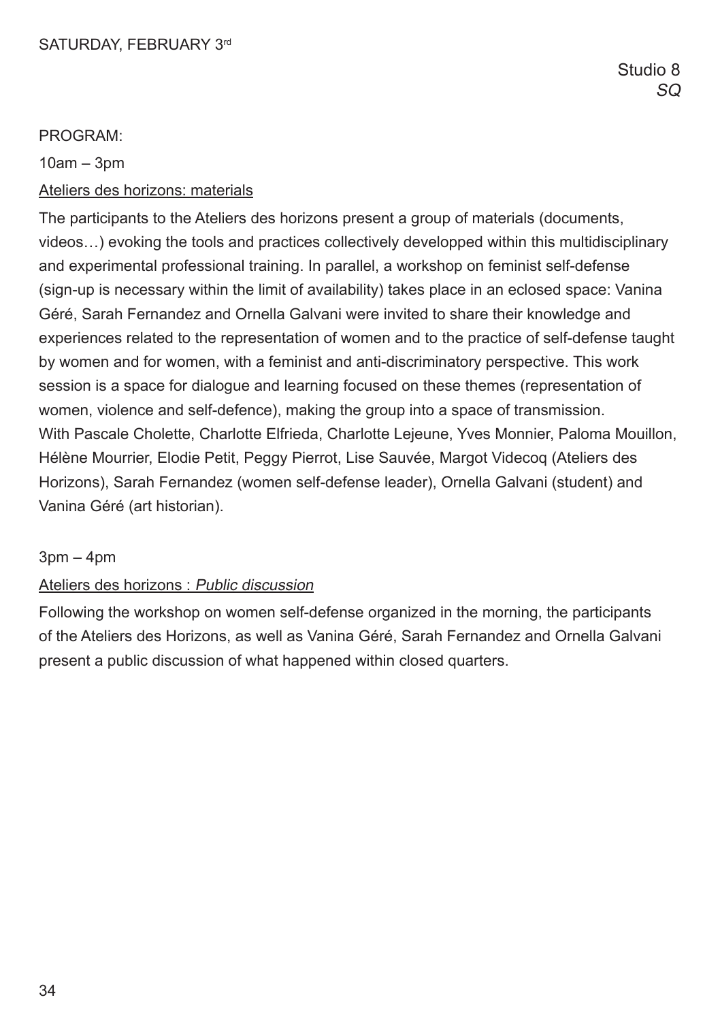10am – 3pm

# Ateliers des horizons: materials

The participants to the Ateliers des horizons present a group of materials (documents, videos…) evoking the tools and practices collectively developped within this multidisciplinary and experimental professional training. In parallel, a workshop on feminist self-defense (sign-up is necessary within the limit of availability) takes place in an eclosed space: Vanina Géré, Sarah Fernandez and Ornella Galvani were invited to share their knowledge and experiences related to the representation of women and to the practice of self-defense taught by women and for women, with a feminist and anti-discriminatory perspective. This work session is a space for dialogue and learning focused on these themes (representation of women, violence and self-defence), making the group into a space of transmission. With Pascale Cholette, Charlotte Elfrieda, Charlotte Lejeune, Yves Monnier, Paloma Mouillon, Hélène Mourrier, Elodie Petit, Peggy Pierrot, Lise Sauvée, Margot Videcoq (Ateliers des Horizons), Sarah Fernandez (women self-defense leader), Ornella Galvani (student) and Vanina Géré (art historian).

# $3$ pm  $-$  4pm

# Ateliers des horizons : Public discussion

Following the workshop on women self-defense organized in the morning, the participants of the Ateliers des Horizons, as well as Vanina Géré, Sarah Fernandez and Ornella Galvani present a public discussion of what happened within closed quarters.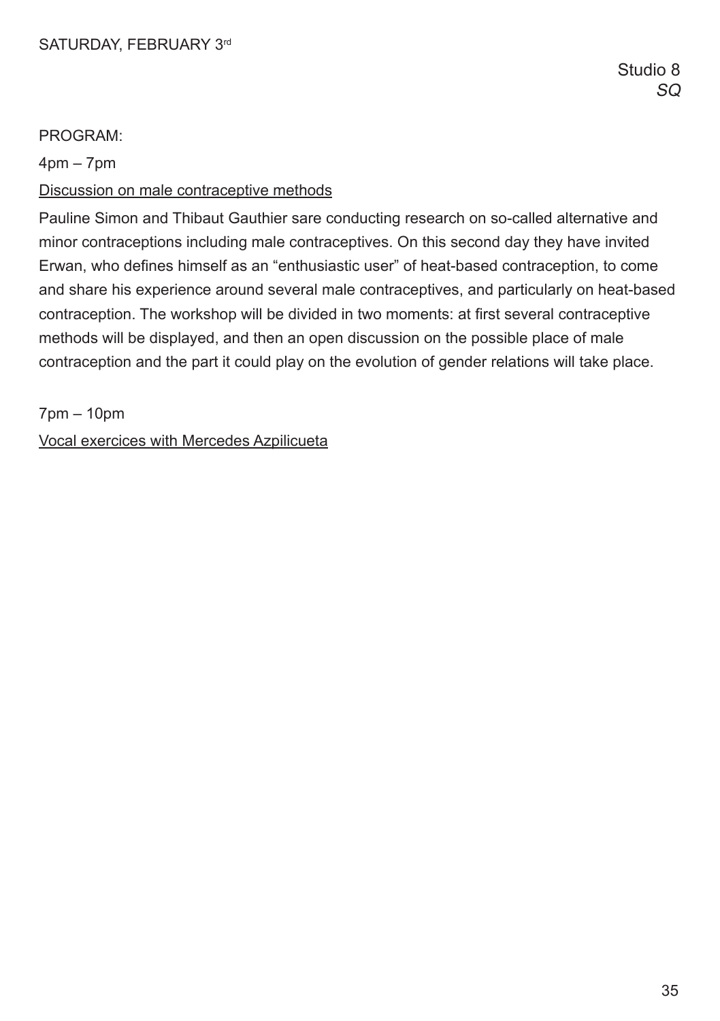$4$ pm –  $7$ pm

#### Discussion on male contraceptive methods

Pauline Simon and Thibaut Gauthier sare conducting research on so-called alternative and minor contraceptions including male contraceptives. On this second day they have invited Erwan, who defnes himself as an "enthusiastic user" of heat-based contraception, to come and share his experience around several male contraceptives, and particularly on heat-based contraception. The workshop will be divided in two moments: at first several contraceptive methods will be displayed, and then an open discussion on the possible place of male contraception and the part it could play on the evolution of gender relations will take place.

7pm – 10pm

Vocal exercices with Mercedes Azpilicueta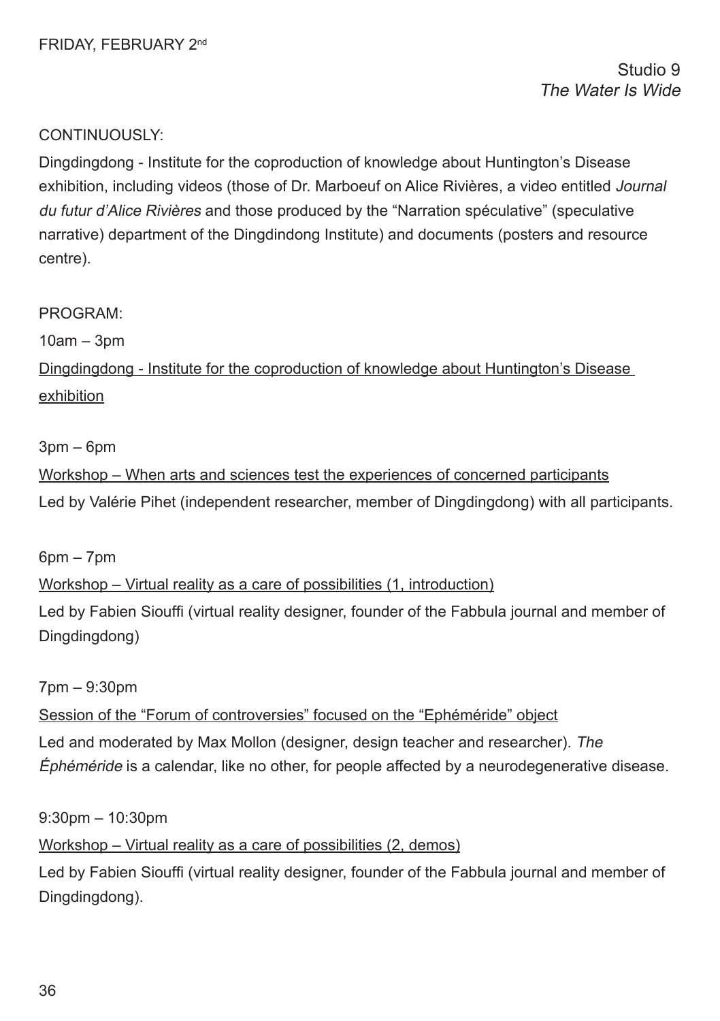Studio 9 The Water Is Wide

## CONTINUOUSLY:

Dingdingdong - Institute for the coproduction of knowledge about Huntington's Disease exhibition, including videos (those of Dr. Marboeuf on Alice Rivières, a video entitled Journal du futur d'Alice Rivières and those produced by the "Narration spéculative" (speculative narrative) department of the Dingdindong Institute) and documents (posters and resource centre).

#### PROGRAM:

10am – 3pm

Dingdingdong - Institute for the coproduction of knowledge about Huntington's Disease exhibition

#### 3pm – 6pm

Workshop – When arts and sciences test the experiences of concerned participants Led by Valérie Pihet (independent researcher, member of Dingdingdong) with all participants.

 $6$ pm –  $7$ pm

Workshop – Virtual reality as a care of possibilities (1, introduction) Led by Fabien Siouffi (virtual reality designer, founder of the Fabbula journal and member of

7pm – 9:30pm

Dingdingdong)

Session of the "Forum of controversies" focused on the "Ephéméride" object Led and moderated by Max Mollon (designer, design teacher and researcher). The Éphéméride is a calendar, like no other, for people affected by a neurodegenerative disease.

9:30pm – 10:30pm

Workshop – Virtual reality as a care of possibilities (2, demos)

Led by Fabien Siouffi (virtual reality designer, founder of the Fabbula journal and member of Dingdingdong).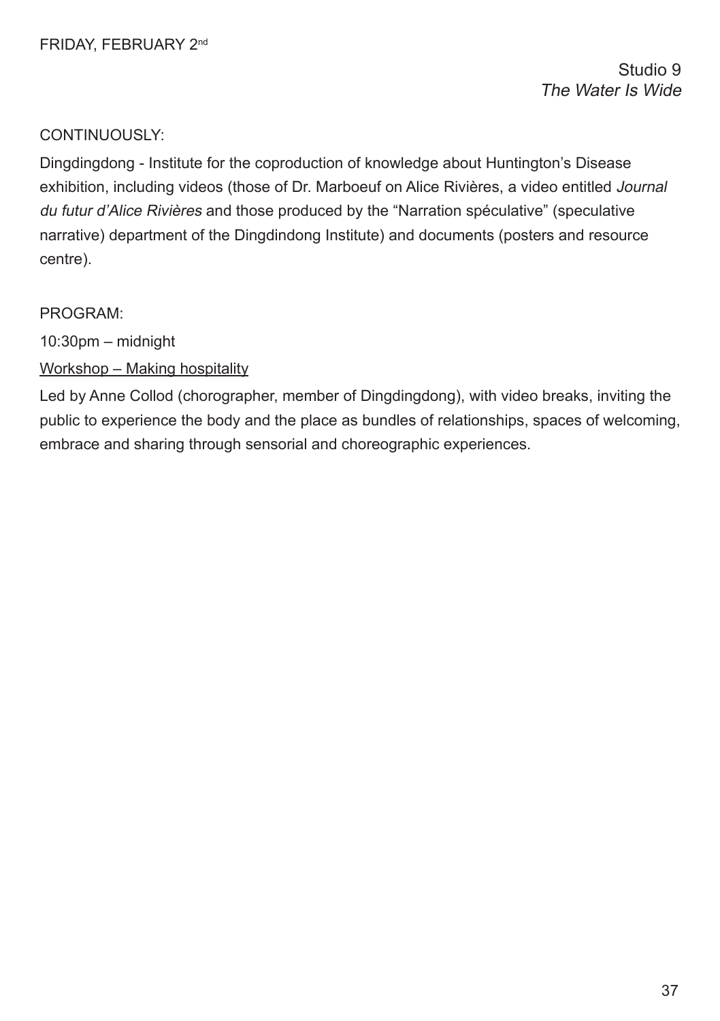Dingdingdong - Institute for the coproduction of knowledge about Huntington's Disease exhibition, including videos (those of Dr. Marboeuf on Alice Rivières, a video entitled Journal du futur d'Alice Rivières and those produced by the "Narration spéculative" (speculative narrative) department of the Dingdindong Institute) and documents (posters and resource centre).

# PROGRAM:

10:30pm – midnight

Workshop – Making hospitality

Led by Anne Collod (chorographer, member of Dingdingdong), with video breaks, inviting the public to experience the body and the place as bundles of relationships, spaces of welcoming, embrace and sharing through sensorial and choreographic experiences.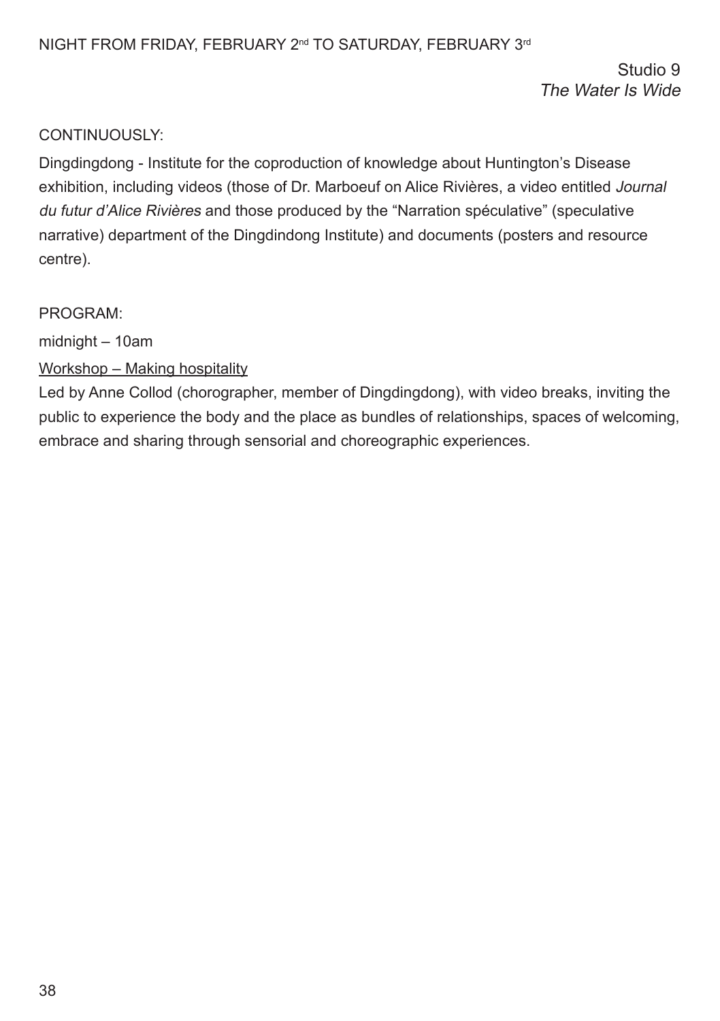Studio 9 The Water Is Wide

# CONTINUOUSLY:

Dingdingdong - Institute for the coproduction of knowledge about Huntington's Disease exhibition, including videos (those of Dr. Marboeuf on Alice Rivières, a video entitled Journal du futur d'Alice Rivières and those produced by the "Narration spéculative" (speculative narrative) department of the Dingdindong Institute) and documents (posters and resource centre).

### PROGRAM:

midnight – 10am

# Workshop – Making hospitality

Led by Anne Collod (chorographer, member of Dingdingdong), with video breaks, inviting the public to experience the body and the place as bundles of relationships, spaces of welcoming, embrace and sharing through sensorial and choreographic experiences.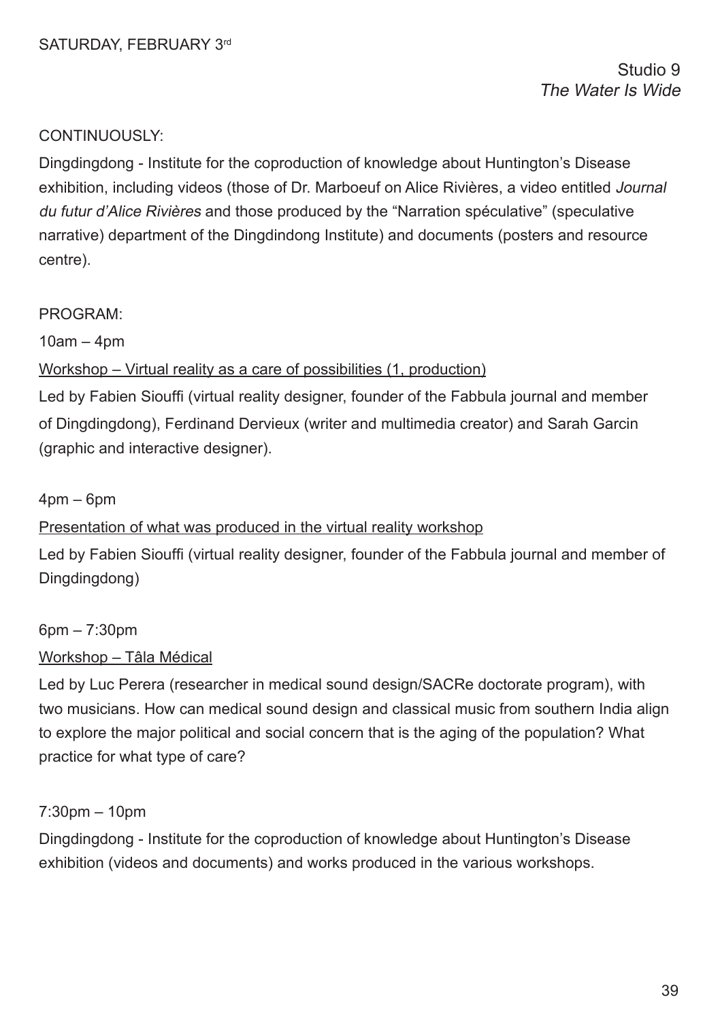Studio 9 The Water Is Wide

# CONTINUOUSLY:

Dingdingdong - Institute for the coproduction of knowledge about Huntington's Disease exhibition, including videos (those of Dr. Marboeuf on Alice Rivières, a video entitled Journal du futur d'Alice Rivières and those produced by the "Narration spéculative" (speculative narrative) department of the Dingdindong Institute) and documents (posters and resource centre).

### PROGRAM:

 $10am - 4dm$ 

### Workshop – Virtual reality as a care of possibilities (1, production)

Led by Fabien Siouffi (virtual reality designer, founder of the Fabbula journal and member of Dingdingdong), Ferdinand Dervieux (writer and multimedia creator) and Sarah Garcin (graphic and interactive designer).

#### $4pm - 6pm$

### Presentation of what was produced in the virtual reality workshop

Led by Fabien Siouffi (virtual reality designer, founder of the Fabbula journal and member of Dingdingdong)

6pm – 7:30pm

### Workshop – Tâla Médical

Led by Luc Perera (researcher in medical sound design/SACRe doctorate program), with two musicians. How can medical sound design and classical music from southern India align to explore the major political and social concern that is the aging of the population? What practice for what type of care?

### 7:30pm – 10pm

Dingdingdong - Institute for the coproduction of knowledge about Huntington's Disease exhibition (videos and documents) and works produced in the various workshops.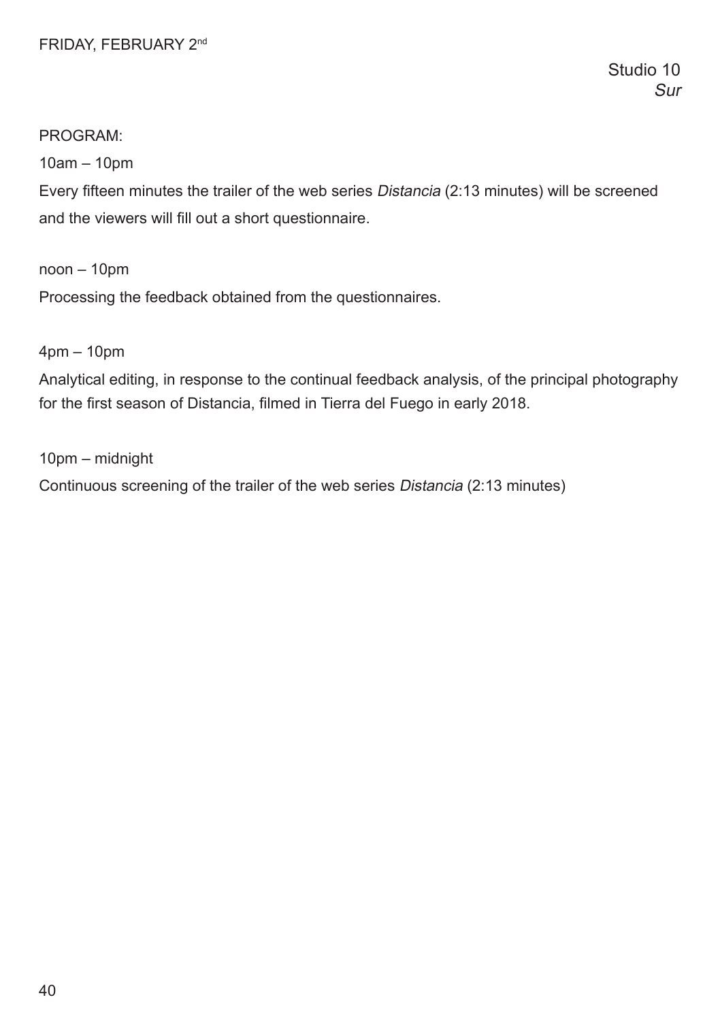# FRIDAY, FEBRUARY 2nd

# PROGRAM:

10am – 10pm

Every ffteen minutes the trailer of the web series Distancia (2:13 minutes) will be screened and the viewers will fill out a short questionnaire.

noon – 10pm

Processing the feedback obtained from the questionnaires.

4pm – 10pm

Analytical editing, in response to the continual feedback analysis, of the principal photography for the first season of Distancia, filmed in Tierra del Fuego in early 2018.

10pm – midnight

Continuous screening of the trailer of the web series Distancia (2:13 minutes)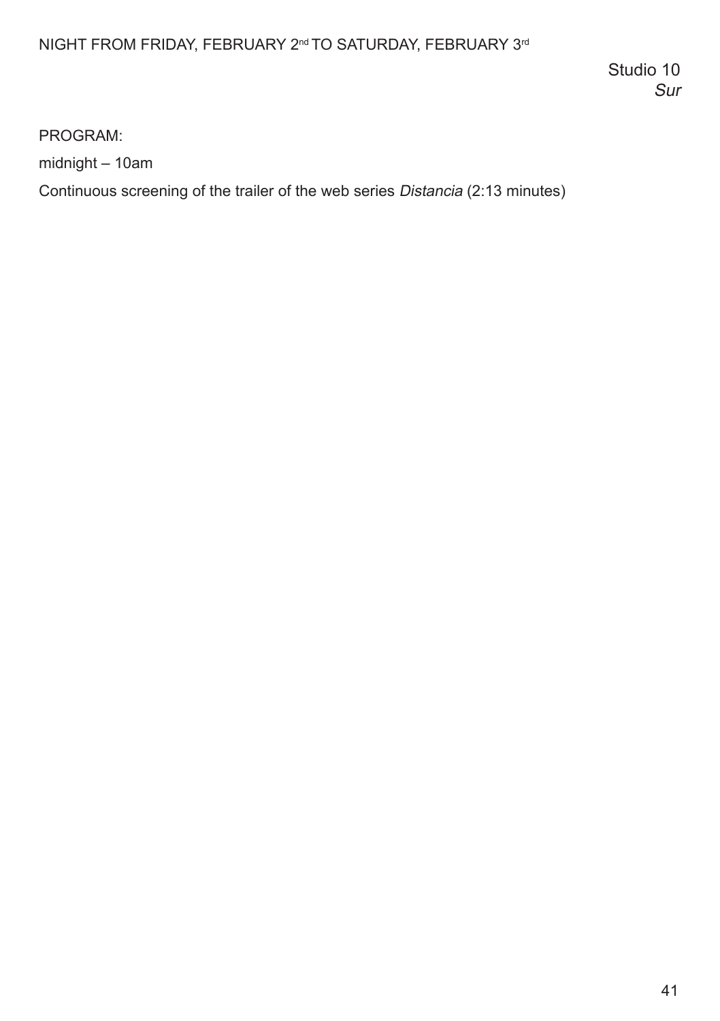# NIGHT FROM FRIDAY, FEBRUARY 2<sup>nd</sup> TO SATURDAY, FEBRUARY 3<sup>rd</sup>

Studio 10 Sur

PROGRAM:

midnight – 10am

Continuous screening of the trailer of the web series Distancia (2:13 minutes)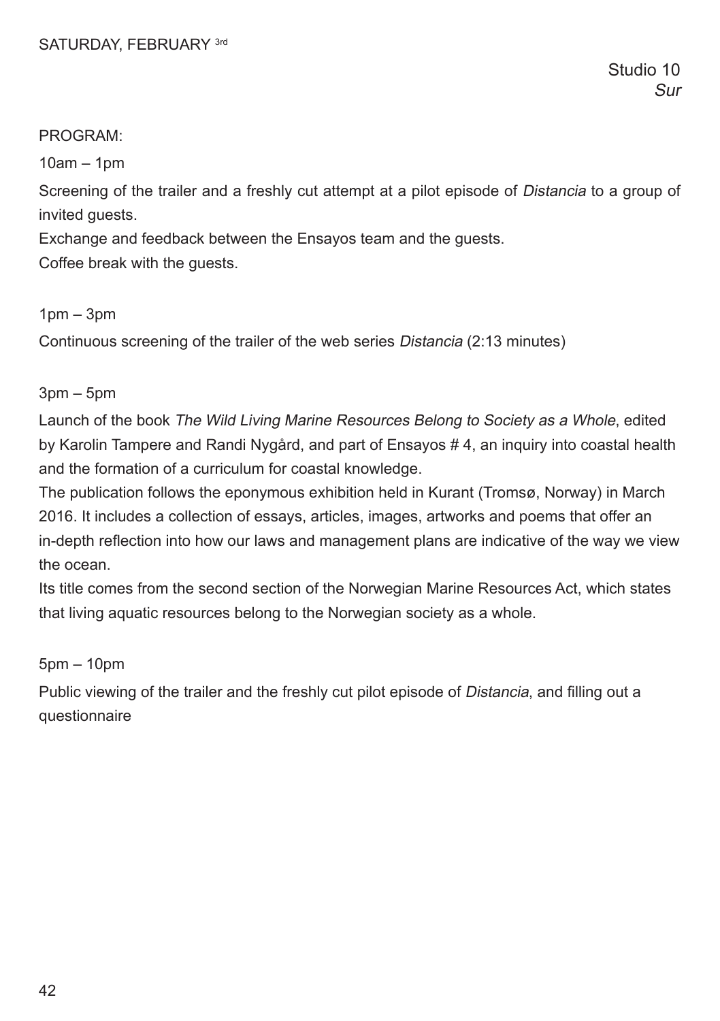### PROGRAM:

10am – 1pm

Screening of the trailer and a freshly cut attempt at a pilot episode of Distancia to a group of invited guests.

Exchange and feedback between the Ensayos team and the guests.

Coffee break with the guests.

### 1pm – 3pm

Continuous screening of the trailer of the web series Distancia (2:13 minutes)

### 3pm – 5pm

Launch of the book The Wild Living Marine Resources Belong to Society as a Whole, edited by Karolin Tampere and Randi Nygård, and part of Ensayos # 4, an inquiry into coastal health and the formation of a curriculum for coastal knowledge.

The publication follows the eponymous exhibition held in Kurant (Tromsø, Norway) in March 2016. It includes a collection of essays, articles, images, artworks and poems that offer an in-depth refection into how our laws and management plans are indicative of the way we view the ocean.

Its title comes from the second section of the Norwegian Marine Resources Act, which states that living aquatic resources belong to the Norwegian society as a whole.

5pm – 10pm

Public viewing of the trailer and the freshly cut pilot episode of Distancia, and flling out a questionnaire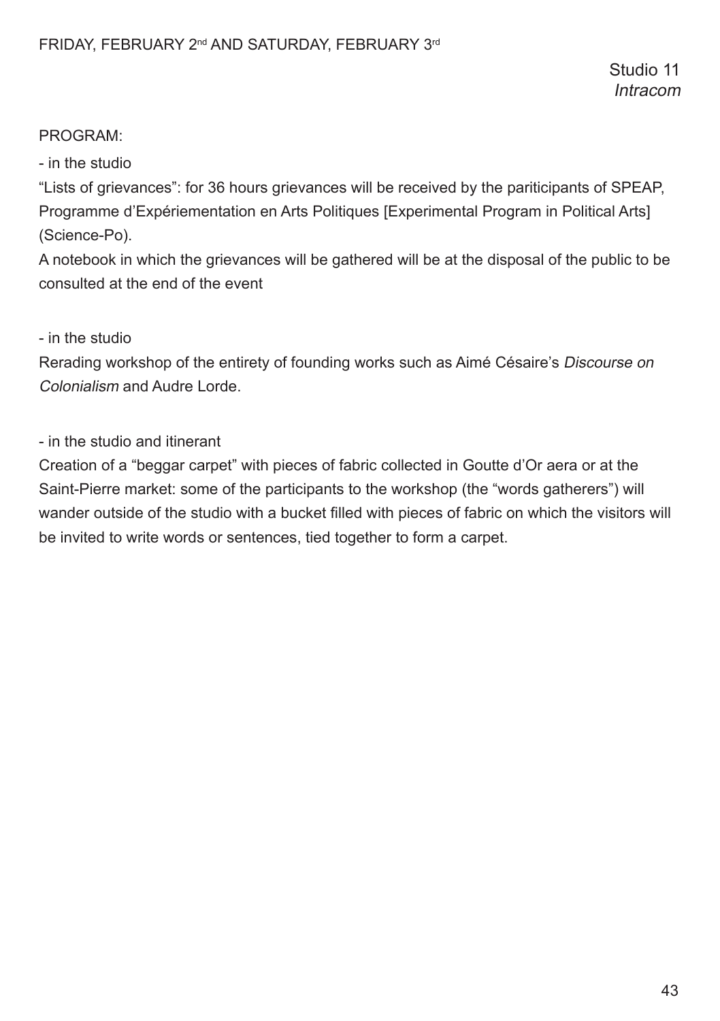# PROGRAM:

- in the studio

"Lists of grievances": for 36 hours grievances will be received by the pariticipants of SPEAP, Programme d'Expériementation en Arts Politiques [Experimental Program in Political Arts] (Science-Po).

A notebook in which the grievances will be gathered will be at the disposal of the public to be consulted at the end of the event

- in the studio

Rerading workshop of the entirety of founding works such as Aimé Césaire's Discourse on Colonialism and Audre Lorde.

- in the studio and itinerant

Creation of a "beggar carpet" with pieces of fabric collected in Goutte d'Or aera or at the Saint-Pierre market: some of the participants to the workshop (the "words gatherers") will wander outside of the studio with a bucket flled with pieces of fabric on which the visitors will be invited to write words or sentences, tied together to form a carpet.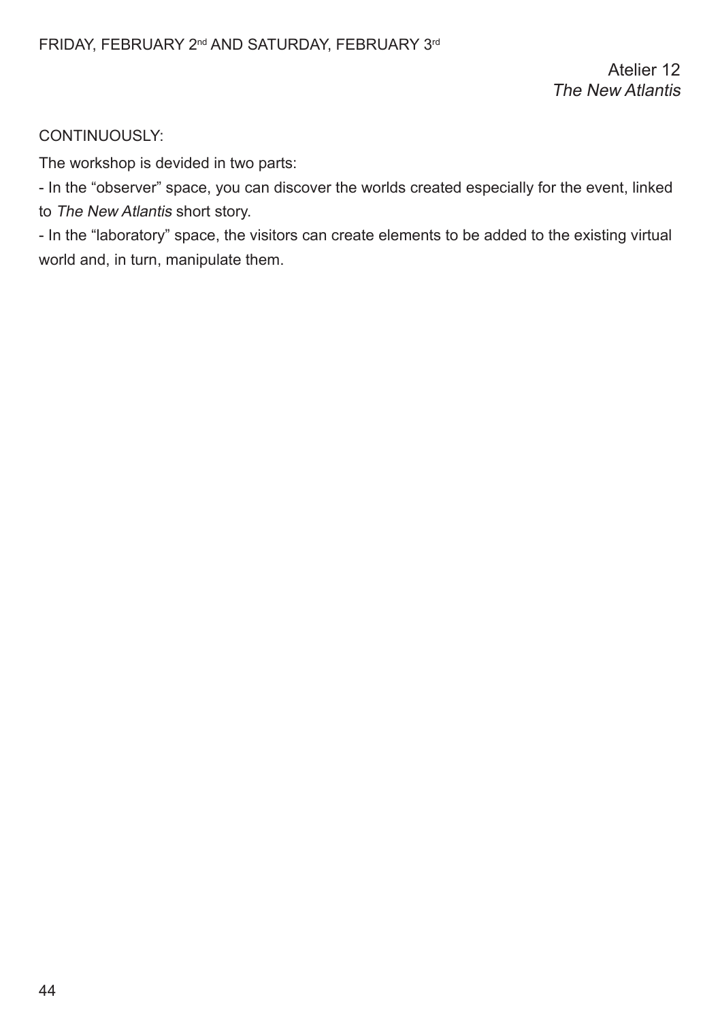The workshop is devided in two parts:

- In the "observer" space, you can discover the worlds created especially for the event, linked to The New Atlantis short story.

- In the "laboratory" space, the visitors can create elements to be added to the existing virtual world and, in turn, manipulate them.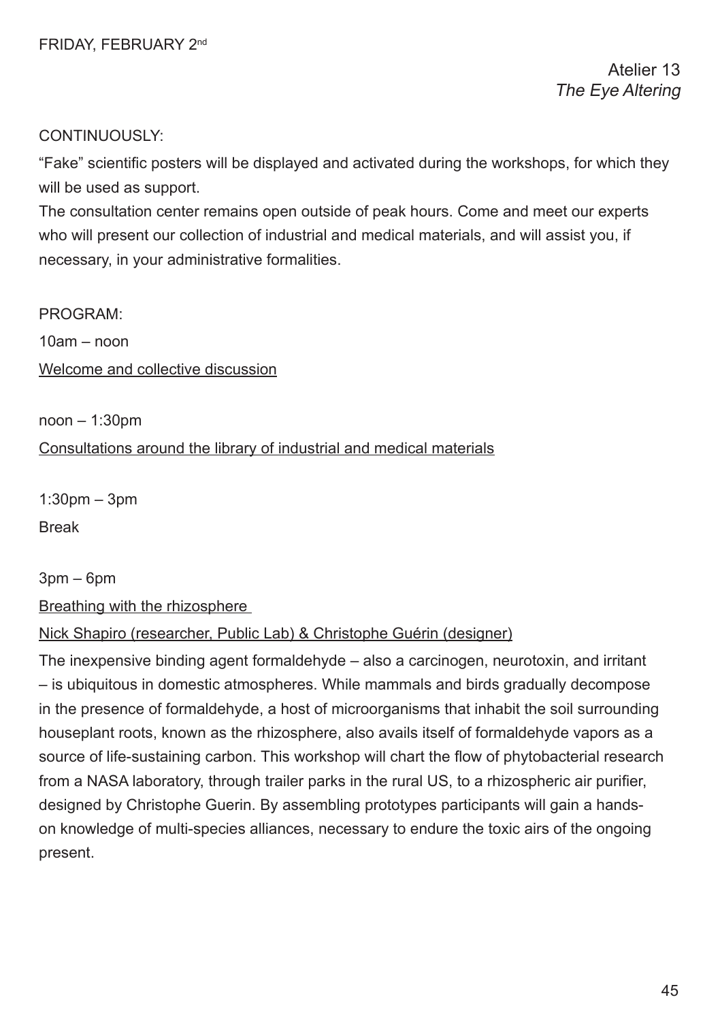"Fake" scientifc posters will be displayed and activated during the workshops, for which they will be used as support.

The consultation center remains open outside of peak hours. Come and meet our experts who will present our collection of industrial and medical materials, and will assist you, if necessary, in your administrative formalities.

### PROGRAM:

10am – noon

Welcome and collective discussion

noon – 1:30pm

### Consultations around the library of industrial and medical materials

1:30pm – 3pm Break

3pm – 6pm

Breathing with the rhizosphere

### Nick Shapiro (researcher, Public Lab) & Christophe Guérin (designer)

The inexpensive binding agent formaldehyde – also a carcinogen, neurotoxin, and irritant – is ubiquitous in domestic atmospheres. While mammals and birds gradually decompose in the presence of formaldehyde, a host of microorganisms that inhabit the soil surrounding houseplant roots, known as the rhizosphere, also avails itself of formaldehyde vapors as a source of life-sustaining carbon. This workshop will chart the flow of phytobacterial research from a NASA laboratory, through trailer parks in the rural US, to a rhizospheric air purifer, designed by Christophe Guerin. By assembling prototypes participants will gain a handson knowledge of multi-species alliances, necessary to endure the toxic airs of the ongoing present.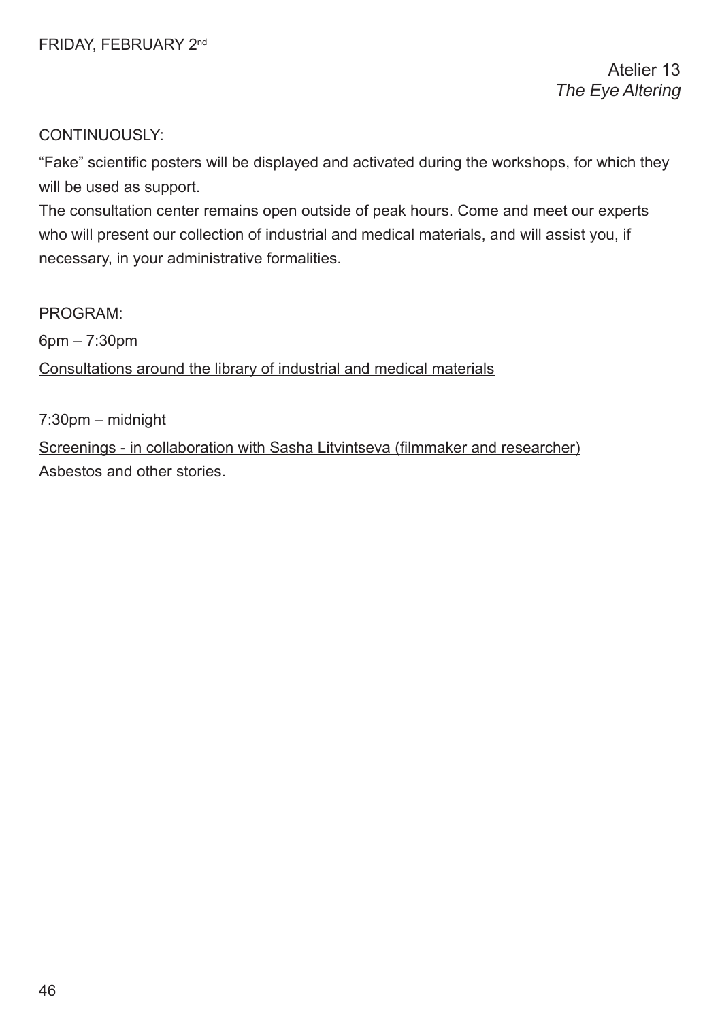"Fake" scientifc posters will be displayed and activated during the workshops, for which they will be used as support.

The consultation center remains open outside of peak hours. Come and meet our experts who will present our collection of industrial and medical materials, and will assist you, if necessary, in your administrative formalities.

PROGRAM:

6pm – 7:30pm

Consultations around the library of industrial and medical materials

7:30pm – midnight

Screenings - in collaboration with Sasha Litvintseva (flmmaker and researcher) Asbestos and other stories.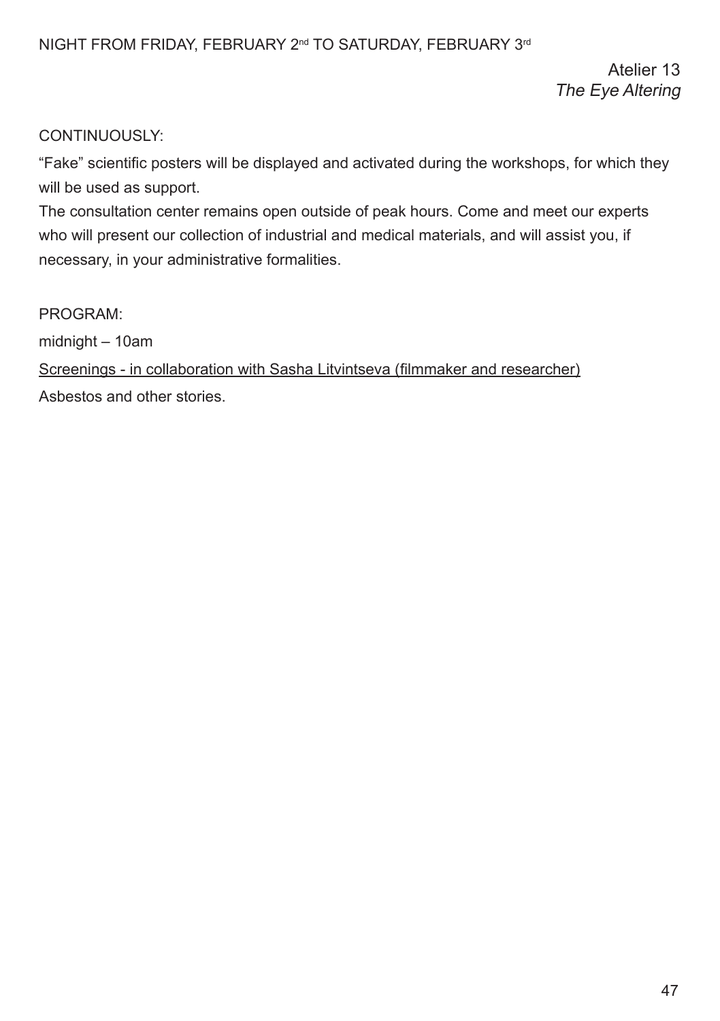Atelier 13 The Eye Altering

# CONTINUOUSLY:

"Fake" scientifc posters will be displayed and activated during the workshops, for which they will be used as support.

The consultation center remains open outside of peak hours. Come and meet our experts who will present our collection of industrial and medical materials, and will assist you, if necessary, in your administrative formalities.

PROGRAM:

midnight – 10am

Screenings - in collaboration with Sasha Litvintseva (flmmaker and researcher) Asbestos and other stories.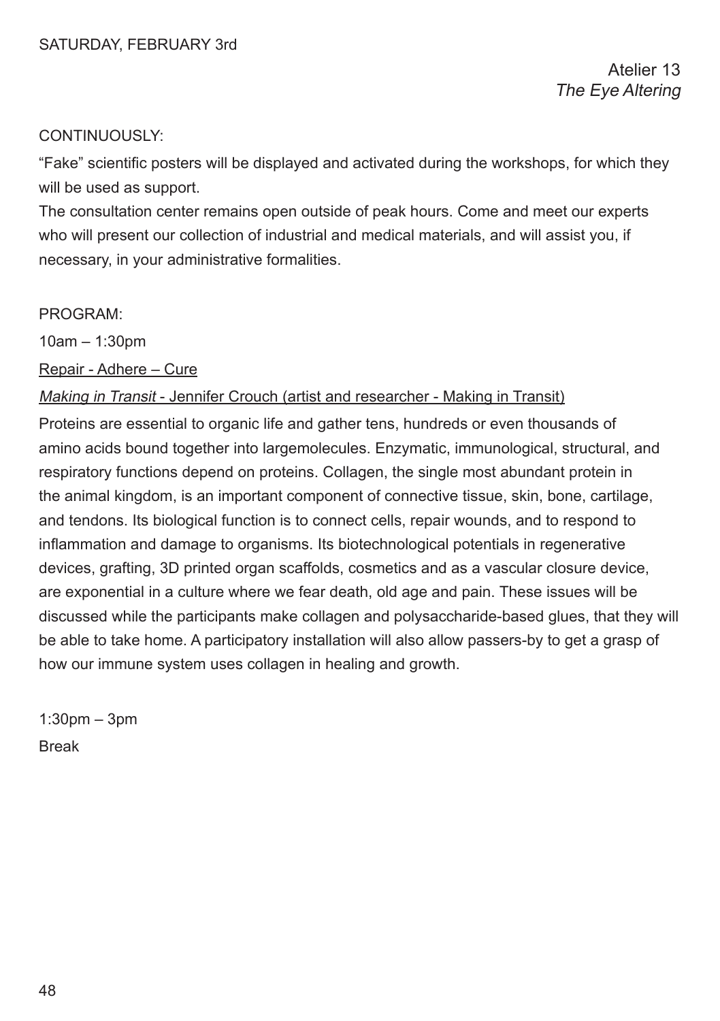"Fake" scientifc posters will be displayed and activated during the workshops, for which they will be used as support.

The consultation center remains open outside of peak hours. Come and meet our experts who will present our collection of industrial and medical materials, and will assist you, if necessary, in your administrative formalities.

#### PROGRAM:

10am – 1:30pm

Repair - Adhere – Cure

#### Making in Transit - Jennifer Crouch (artist and researcher - Making in Transit)

Proteins are essential to organic life and gather tens, hundreds or even thousands of amino acids bound together into largemolecules. Enzymatic, immunological, structural, and respiratory functions depend on proteins. Collagen, the single most abundant protein in the animal kingdom, is an important component of connective tissue, skin, bone, cartilage, and tendons. Its biological function is to connect cells, repair wounds, and to respond to infammation and damage to organisms. Its biotechnological potentials in regenerative devices, grafting, 3D printed organ scaffolds, cosmetics and as a vascular closure device, are exponential in a culture where we fear death, old age and pain. These issues will be discussed while the participants make collagen and polysaccharide-based glues, that they will be able to take home. A participatory installation will also allow passers-by to get a grasp of how our immune system uses collagen in healing and growth.

 $1:30$ pm –  $3$ pm Break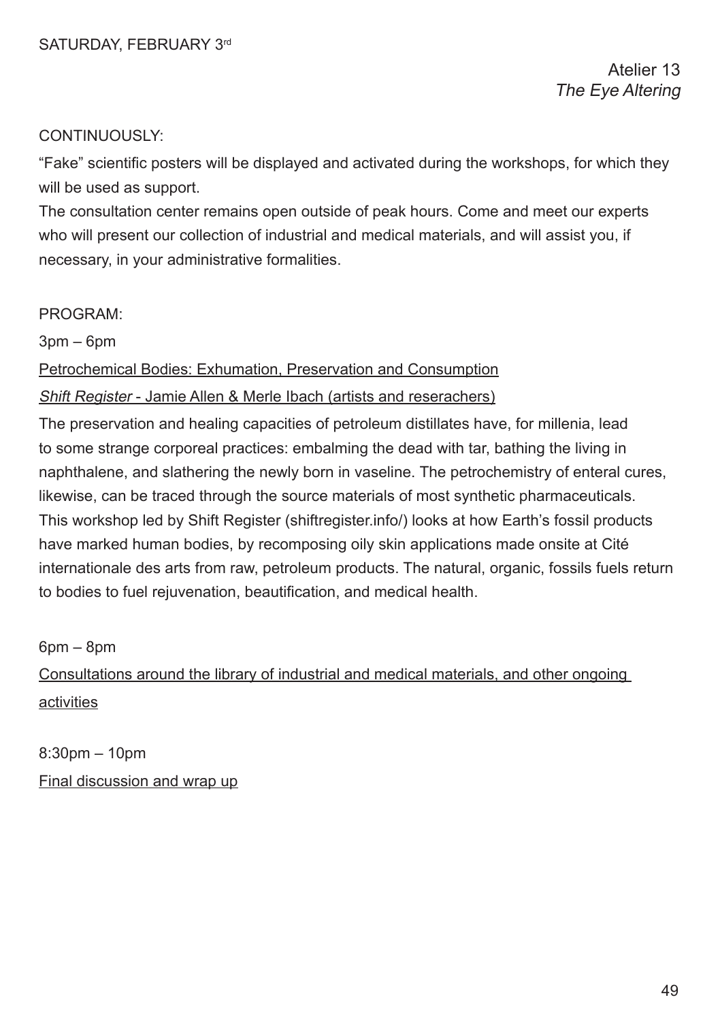"Fake" scientifc posters will be displayed and activated during the workshops, for which they will be used as support.

The consultation center remains open outside of peak hours. Come and meet our experts who will present our collection of industrial and medical materials, and will assist you, if necessary, in your administrative formalities.

#### PROGRAM:

3pm – 6pm

Petrochemical Bodies: Exhumation, Preservation and Consumption

### Shift Register - Jamie Allen & Merle Ibach (artists and reserachers)

The preservation and healing capacities of petroleum distillates have, for millenia, lead to some strange corporeal practices: embalming the dead with tar, bathing the living in naphthalene, and slathering the newly born in vaseline. The petrochemistry of enteral cures, likewise, can be traced through the source materials of most synthetic pharmaceuticals. This workshop led by Shift Register (shiftregister.info/) looks at how Earth's fossil products have marked human bodies, by recomposing oily skin applications made onsite at Cité internationale des arts from raw, petroleum products. The natural, organic, fossils fuels return to bodies to fuel rejuvenation, beautifcation, and medical health.

6pm – 8pm

Consultations around the library of industrial and medical materials, and other ongoing activities

8:30pm – 10pm Final discussion and wrap up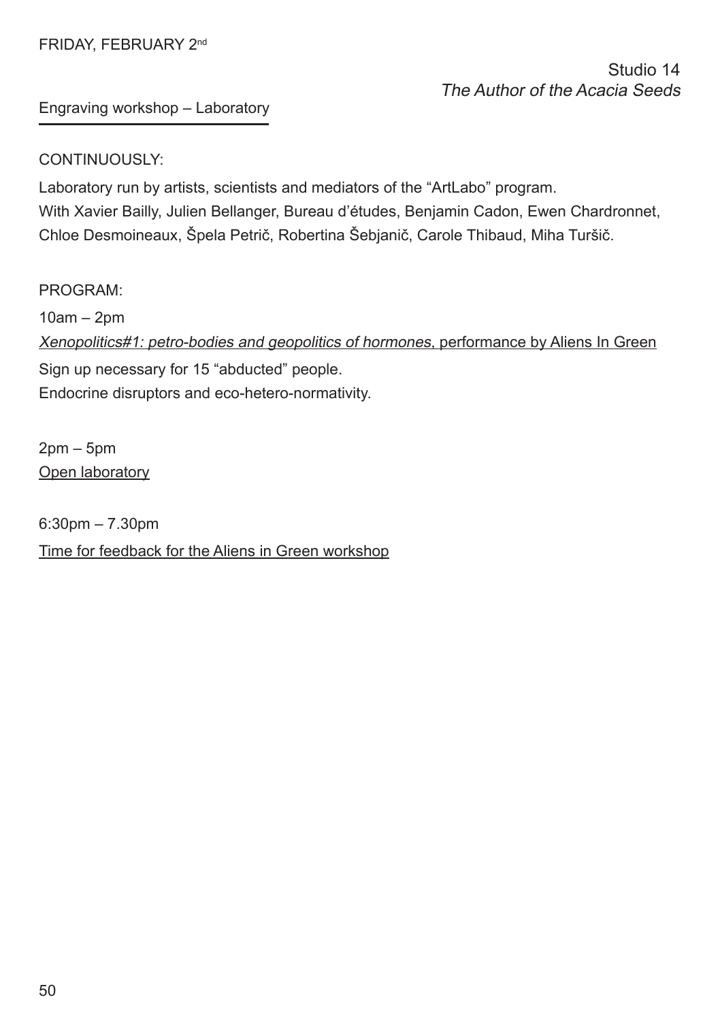# FRIDAY, FEBRUARY 2nd

# Studio 14 The Author of the Acacia Seeds

Engraving workshop – Laboratory

### CONTINUOUSLY:

Laboratory run by artists, scientists and mediators of the "ArtLabo" program. With Xavier Bailly, Julien Bellanger, Bureau d'études, Benjamin Cadon, Ewen Chardronnet, Chloe Desmoineaux, Špela Petrič, Robertina Šebjanič, Carole Thibaud, Miha Turšič.

PROGRAM: 10am – 2pm Xenopolitics#1: petro-bodies and geopolitics of hormones, performance by Aliens In Green Sign up necessary for 15 "abducted" people. Endocrine disruptors and eco-hetero-normativity.

2pm – 5pm Open laboratory

6:30pm – 7.30pm Time for feedback for the Aliens in Green workshop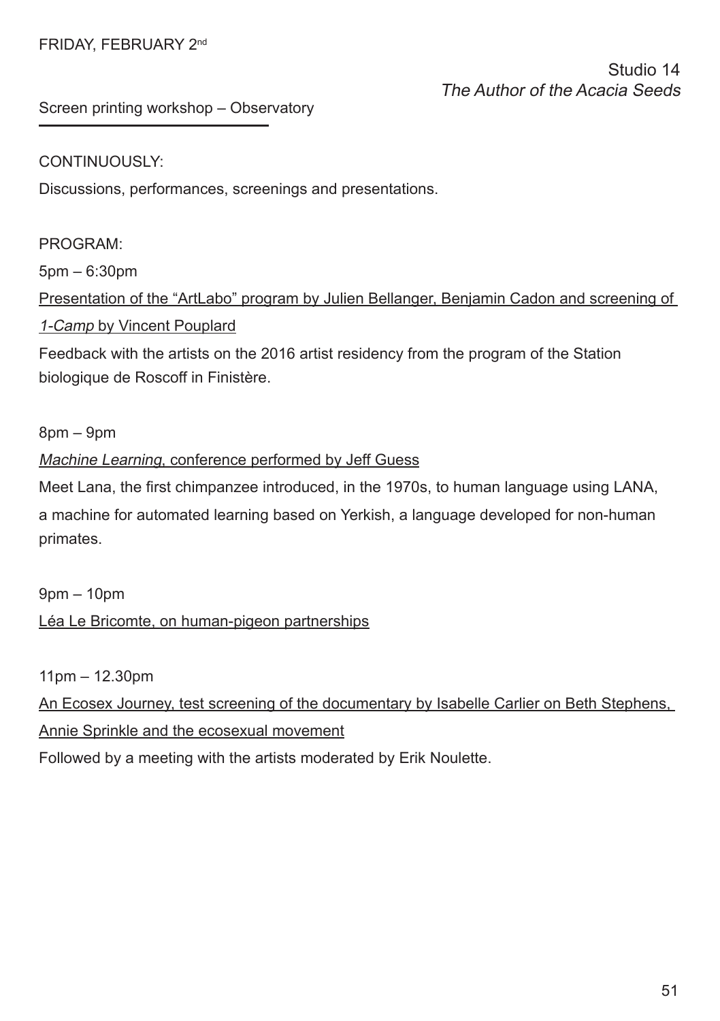# FRIDAY, FEBRUARY 2nd

Studio 14 The Author of the Acacia Seeds

Screen printing workshop – Observatory

### CONTINUOUSLY:

Discussions, performances, screenings and presentations.

# PROGRAM:

5pm – 6:30pm

Presentation of the "ArtLabo" program by Julien Bellanger, Benjamin Cadon and screening of 1-Camp by Vincent Pouplard

Feedback with the artists on the 2016 artist residency from the program of the Station biologique de Roscoff in Finistère.

8pm – 9pm

### Machine Learning, conference performed by Jeff Guess

Meet Lana, the frst chimpanzee introduced, in the 1970s, to human language using LANA, a machine for automated learning based on Yerkish, a language developed for non-human primates.

9pm – 10pm Léa Le Bricomte, on human-pigeon partnerships

11pm – 12.30pm

An Ecosex Journey, test screening of the documentary by Isabelle Carlier on Beth Stephens, Annie Sprinkle and the ecosexual movement

Followed by a meeting with the artists moderated by Erik Noulette.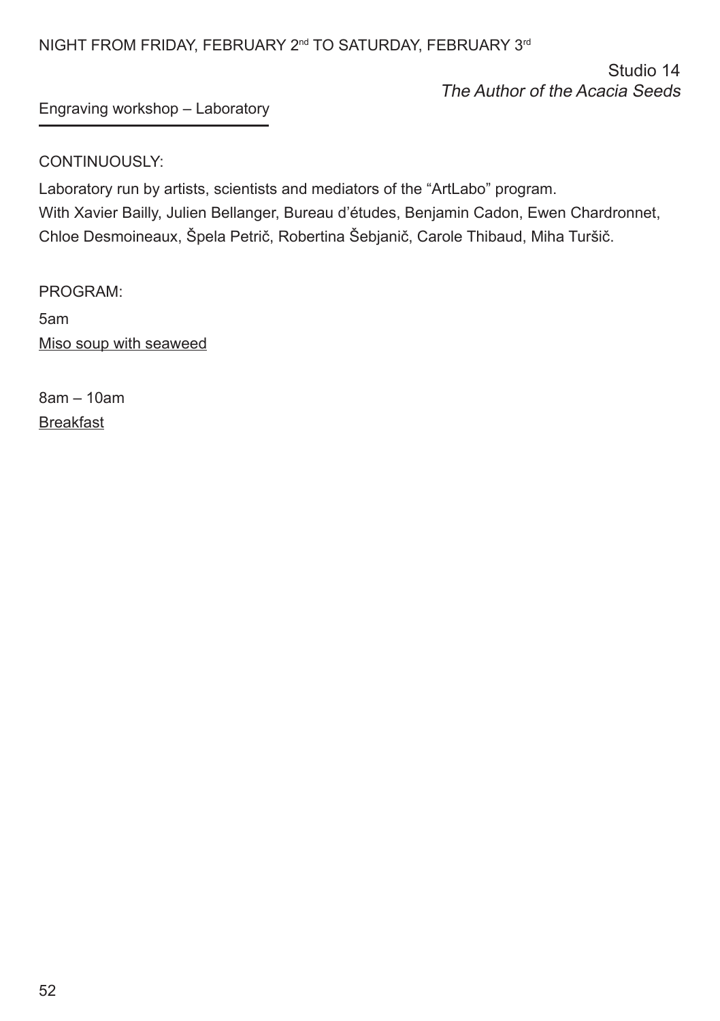# NIGHT FROM FRIDAY, FEBRUARY 2<sup>nd</sup> TO SATURDAY, FEBRUARY 3<sup>rd</sup>

Studio 14 The Author of the Acacia Seeds

# Engraving workshop – Laboratory

# CONTINUOUSLY:

Laboratory run by artists, scientists and mediators of the "ArtLabo" program. With Xavier Bailly, Julien Bellanger, Bureau d'études, Benjamin Cadon, Ewen Chardronnet, Chloe Desmoineaux, Špela Petrič, Robertina Šebjanič, Carole Thibaud, Miha Turšič.

PROGRAM:

5am Miso soup with seaweed

8am – 10am Breakfast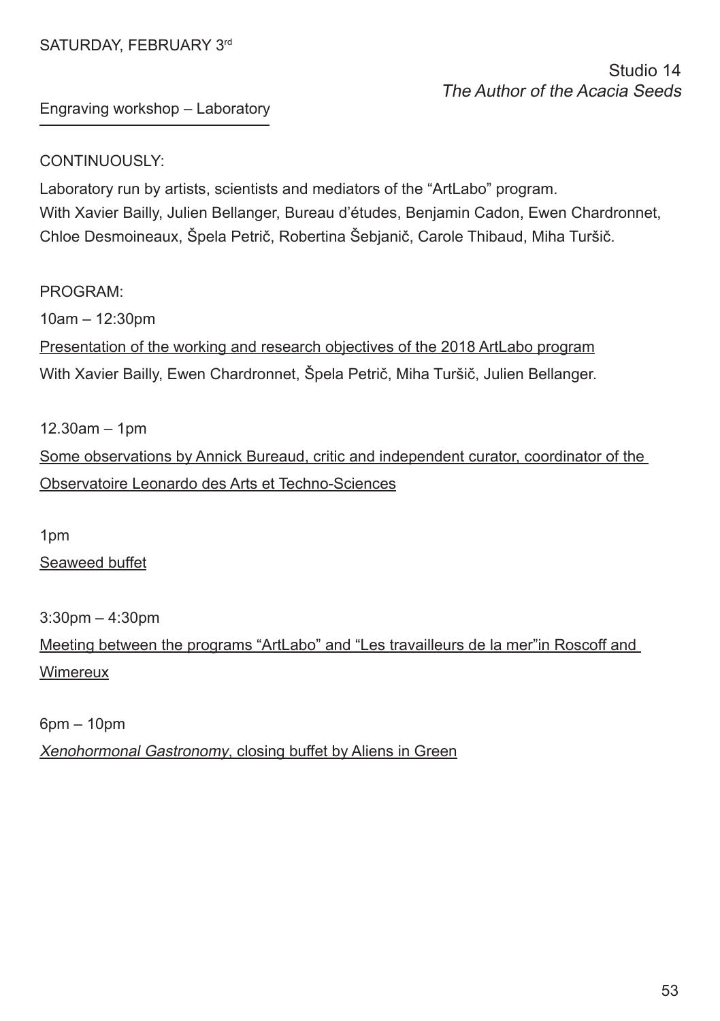# SATURDAY, FFBRUARY 3rd

# Studio 14 The Author of the Acacia Seeds

Engraving workshop – Laboratory

### CONTINUOUSLY:

Laboratory run by artists, scientists and mediators of the "ArtLabo" program. With Xavier Bailly, Julien Bellanger, Bureau d'études, Benjamin Cadon, Ewen Chardronnet, Chloe Desmoineaux, Špela Petrič, Robertina Šebjanič, Carole Thibaud, Miha Turšič.

### PROGRAM:

 $10$ am – 12:30pm Presentation of the working and research objectives of the 2018 ArtLabo program With Xavier Bailly, Ewen Chardronnet, Špela Petrič, Miha Turšič, Julien Bellanger.

12.30am – 1pm Some observations by Annick Bureaud, critic and independent curator, coordinator of the Observatoire Leonardo des Arts et Techno-Sciences

1pm

Seaweed buffet

3:30pm – 4:30pm

Meeting between the programs "ArtLabo" and "Les travailleurs de la mer"in Roscoff and Wimereux

6pm – 10pm

Xenohormonal Gastronomy, closing buffet by Aliens in Green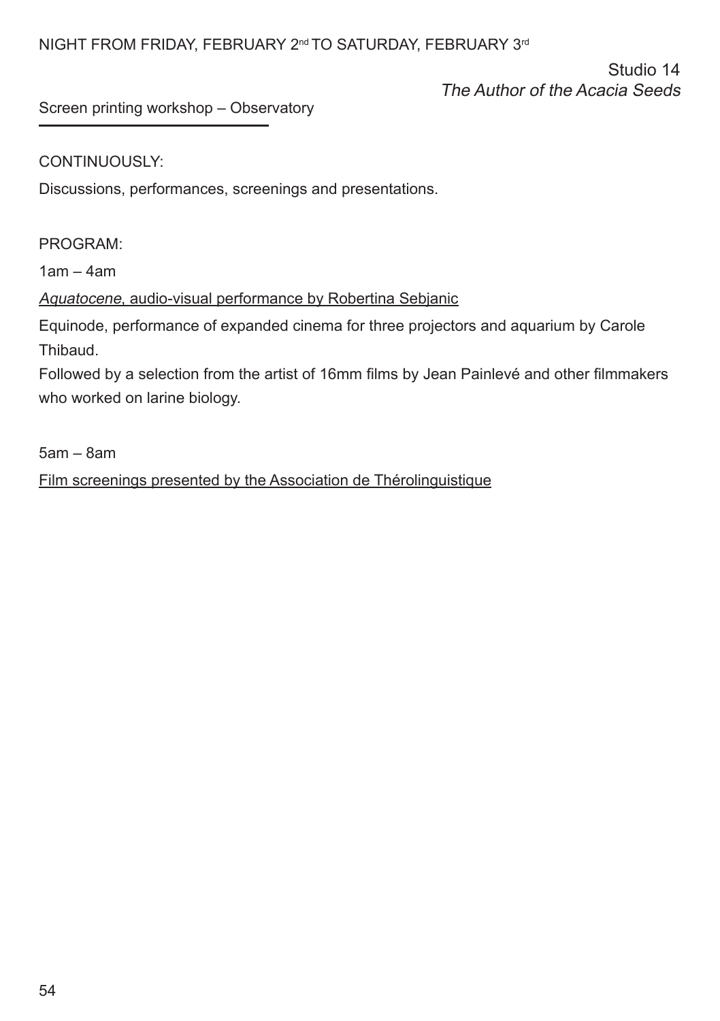Studio 14 The Author of the Acacia Seeds

Screen printing workshop – Observatory

# CONTINUOUSLY:

Discussions, performances, screenings and presentations.

### PROGRAM:

1am – 4am

# Aquatocene, audio-visual performance by Robertina Sebjanic

Equinode, performance of expanded cinema for three projectors and aquarium by Carole Thibaud.

Followed by a selection from the artist of 16mm flms by Jean Painlevé and other flmmakers who worked on larine biology.

5am – 8am

Film screenings presented by the Association de Thérolinguistique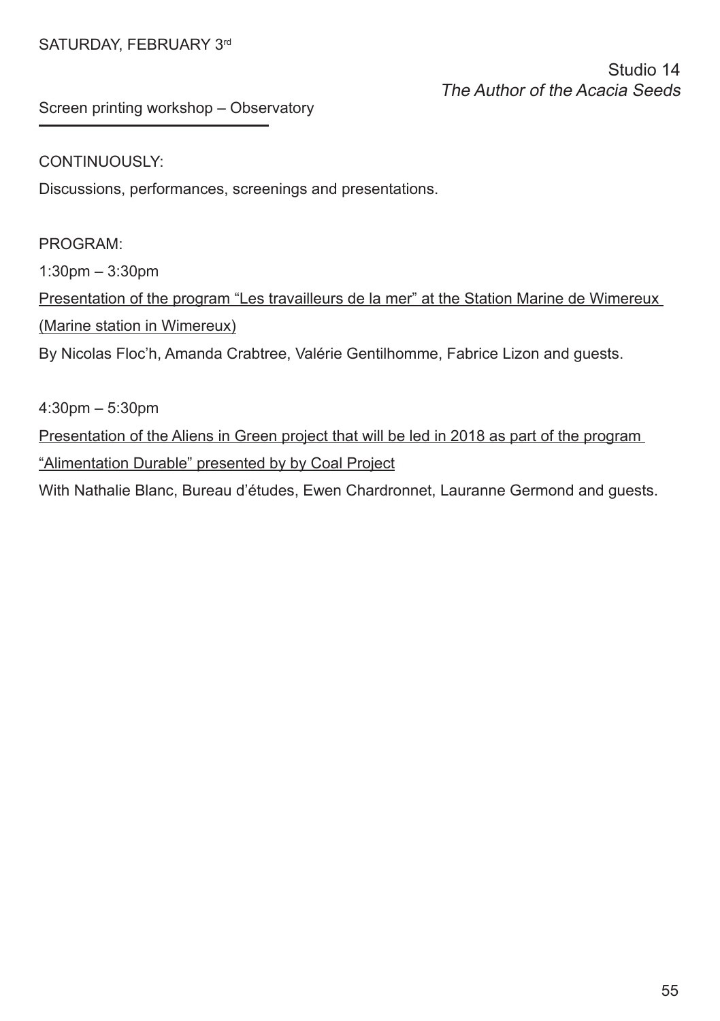# SATURDAY, FEBRUARY 3rd

Studio 14 The Author of the Acacia Seeds

Screen printing workshop – Observatory

### CONTINUOUSLY:

Discussions, performances, screenings and presentations.

# PROGRAM:

1:30pm – 3:30pm

Presentation of the program "Les travailleurs de la mer" at the Station Marine de Wimereux (Marine station in Wimereux)

By Nicolas Floc'h, Amanda Crabtree, Valérie Gentilhomme, Fabrice Lizon and guests.

4:30pm – 5:30pm

Presentation of the Aliens in Green project that will be led in 2018 as part of the program "Alimentation Durable" presented by by Coal Project

With Nathalie Blanc, Bureau d'études, Ewen Chardronnet, Lauranne Germond and guests.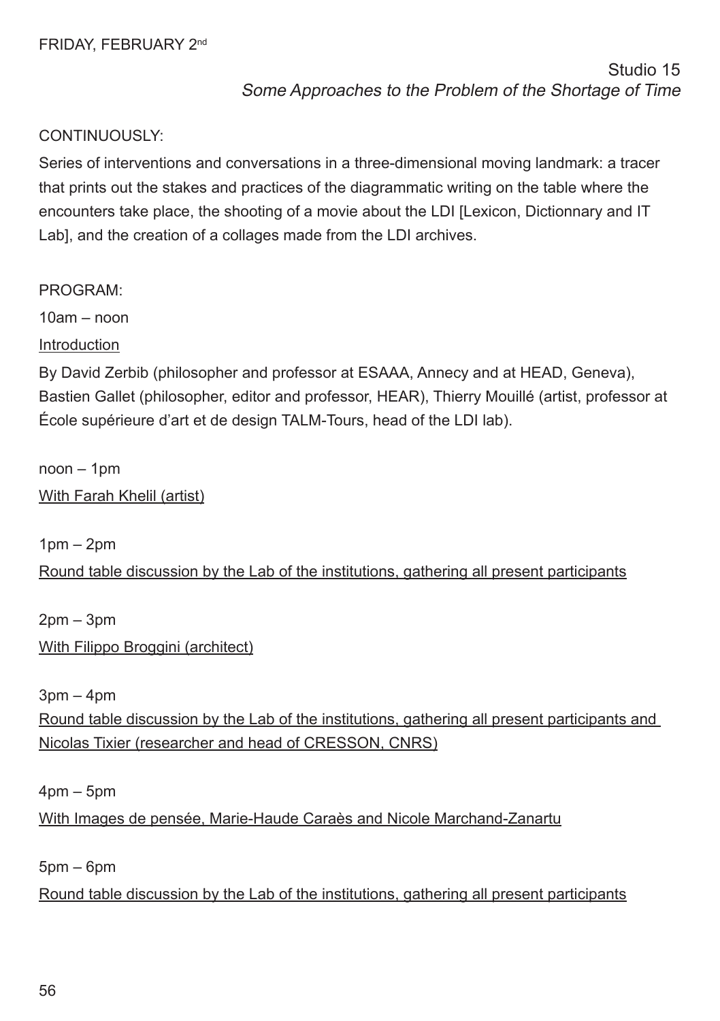Series of interventions and conversations in a three-dimensional moving landmark: a tracer that prints out the stakes and practices of the diagrammatic writing on the table where the encounters take place, the shooting of a movie about the LDI [Lexicon, Dictionnary and IT Lab], and the creation of a collages made from the LDI archives.

PROGRAM:

 $10am - non$ 

Introduction

By David Zerbib (philosopher and professor at ESAAA, Annecy and at HEAD, Geneva), Bastien Gallet (philosopher, editor and professor, HEAR), Thierry Mouillé (artist, professor at École supérieure d'art et de design TALM-Tours, head of the LDI lab).

noon – 1pm

With Farah Khelil (artist)

 $1$ pm  $-$  2pm Round table discussion by the Lab of the institutions, gathering all present participants

 $2$ pm  $-3$ pm With Filippo Broggini (architect)

 $3pm - 4pm$ Round table discussion by the Lab of the institutions, gathering all present participants and Nicolas Tixier (researcher and head of CRESSON, CNRS)

4pm – 5pm

With Images de pensée, Marie-Haude Caraès and Nicole Marchand-Zanartu

5pm – 6pm

Round table discussion by the Lab of the institutions, gathering all present participants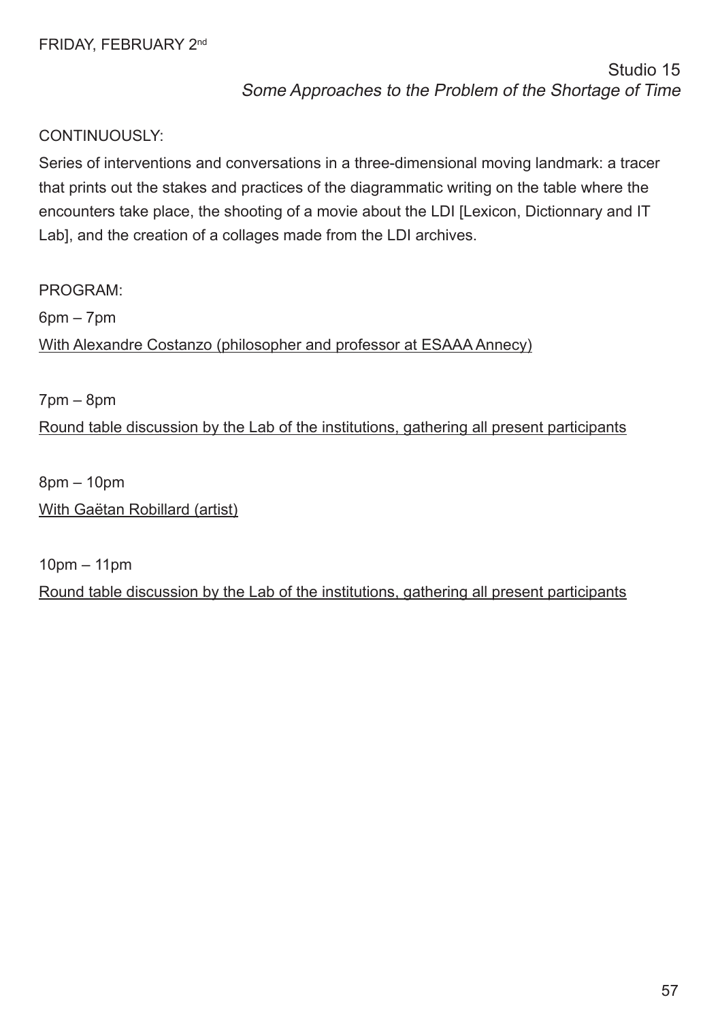Series of interventions and conversations in a three-dimensional moving landmark: a tracer that prints out the stakes and practices of the diagrammatic writing on the table where the encounters take place, the shooting of a movie about the LDI [Lexicon, Dictionnary and IT Lab], and the creation of a collages made from the LDI archives.

PROGRAM:  $6$ pm –  $7$ pm With Alexandre Costanzo (philosopher and professor at ESAAA Annecy)

7pm – 8pm

Round table discussion by the Lab of the institutions, gathering all present participants

8pm – 10pm With Gaëtan Robillard (artist)

10pm – 11pm Round table discussion by the Lab of the institutions, gathering all present participants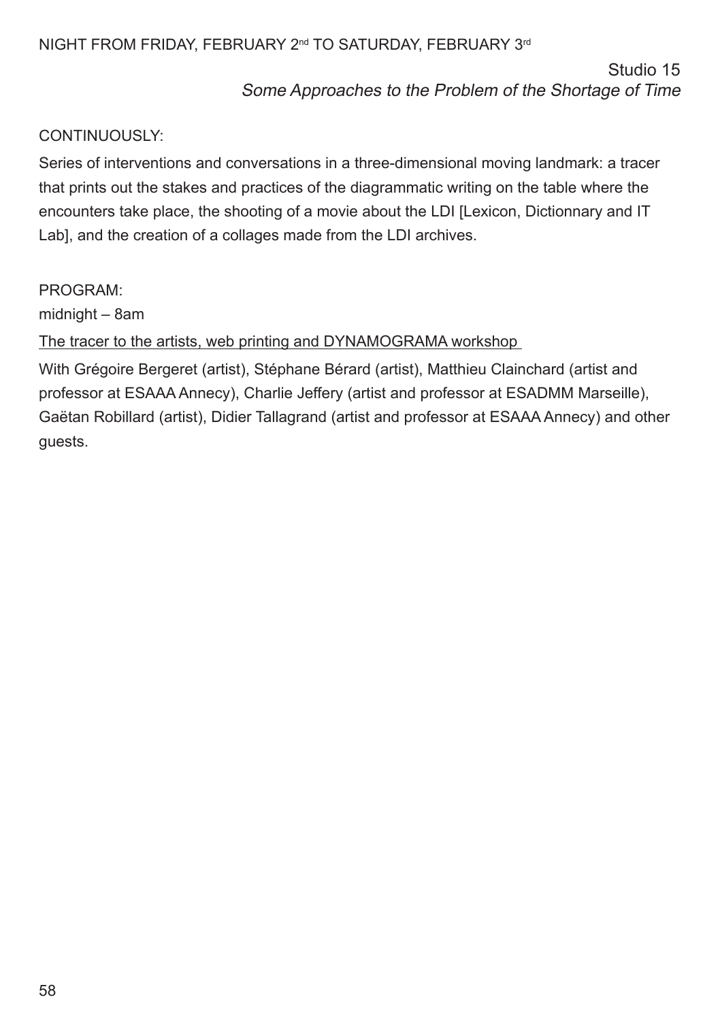# NIGHT FROM FRIDAY, FEBRUARY 2<sup>nd</sup> TO SATURDAY, FEBRUARY 3<sup>rd</sup>

Studio 15

Some Approaches to the Problem of the Shortage of Time

# CONTINUOUSLY:

Series of interventions and conversations in a three-dimensional moving landmark: a tracer that prints out the stakes and practices of the diagrammatic writing on the table where the encounters take place, the shooting of a movie about the LDI [Lexicon, Dictionnary and IT Lab], and the creation of a collages made from the LDI archives.

# PROGRAM:

midnight – 8am

The tracer to the artists, web printing and DYNAMOGRAMA workshop

With Grégoire Bergeret (artist), Stéphane Bérard (artist), Matthieu Clainchard (artist and professor at ESAAA Annecy), Charlie Jeffery (artist and professor at ESADMM Marseille), Gaëtan Robillard (artist), Didier Tallagrand (artist and professor at ESAAA Annecy) and other guests.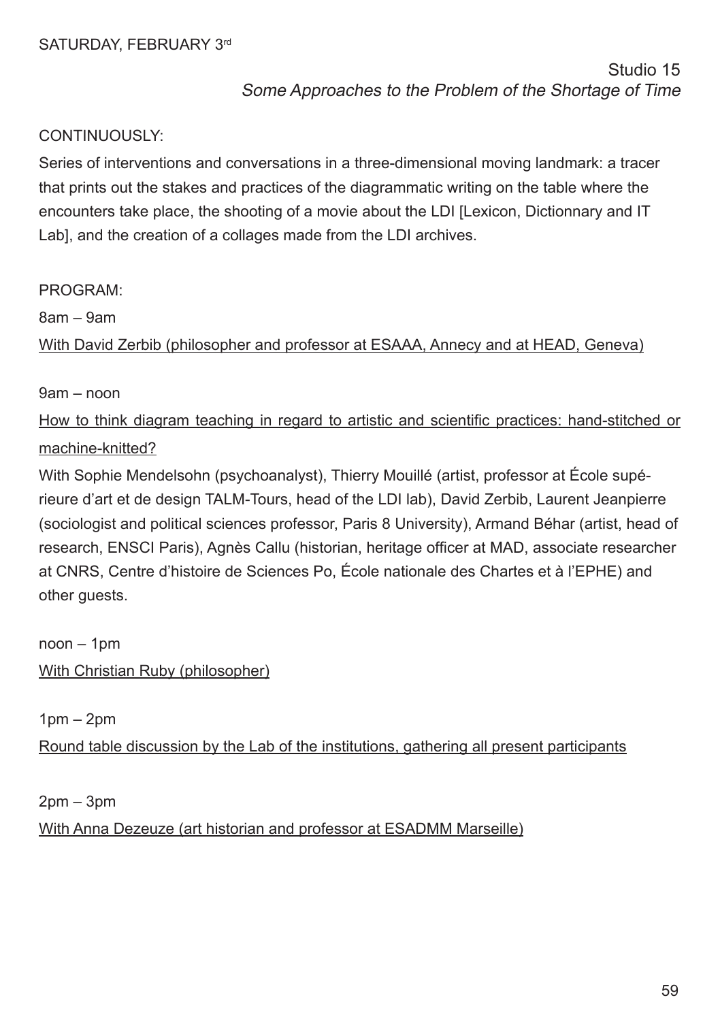Series of interventions and conversations in a three-dimensional moving landmark: a tracer that prints out the stakes and practices of the diagrammatic writing on the table where the encounters take place, the shooting of a movie about the LDI [Lexicon, Dictionnary and IT Lab], and the creation of a collages made from the LDI archives.

### PROGRAM:

8am – 9am

With David Zerbib (philosopher and professor at ESAAA, Annecy and at HEAD, Geneva)

### 9am – noon

How to think diagram teaching in regard to artistic and scientifc practices: hand-stitched or machine-knitted?

With Sophie Mendelsohn (psychoanalyst), Thierry Mouillé (artist, professor at École supérieure d'art et de design TALM-Tours, head of the LDI lab), David Zerbib, Laurent Jeanpierre (sociologist and political sciences professor, Paris 8 University), Armand Béhar (artist, head of research, ENSCI Paris), Agnès Callu (historian, heritage officer at MAD, associate researcher at CNRS, Centre d'histoire de Sciences Po, École nationale des Chartes et à l'EPHE) and other quests.

noon – 1pm With Christian Ruby (philosopher)

 $1$ pm  $-$  2pm

Round table discussion by the Lab of the institutions, gathering all present participants

 $2$ pm –  $3$ pm With Anna Dezeuze (art historian and professor at ESADMM Marseille)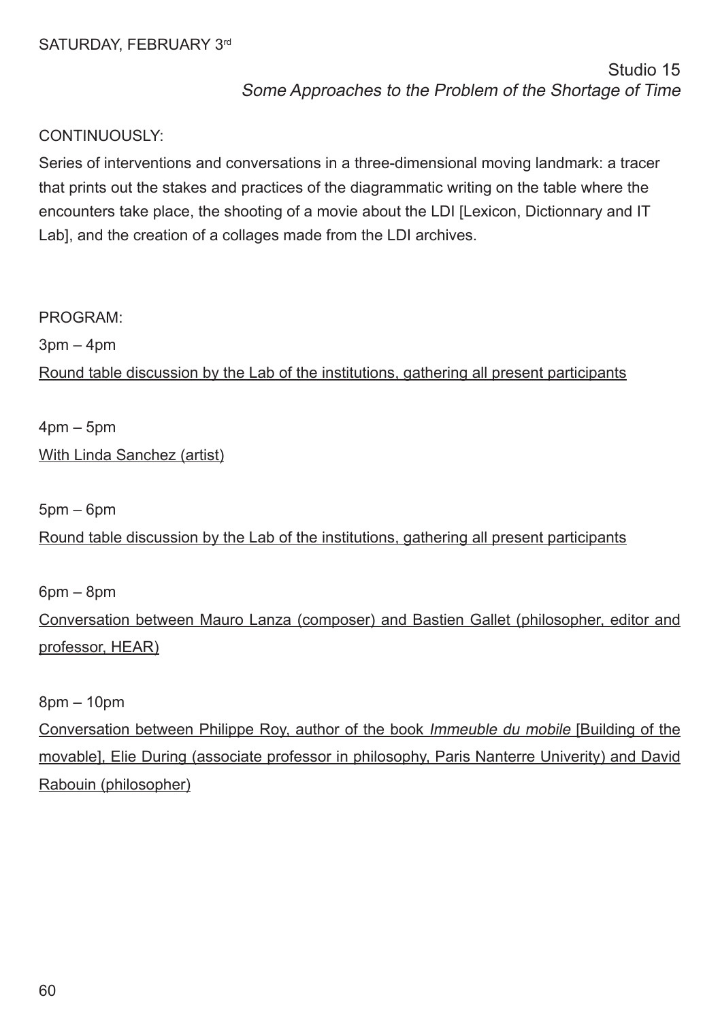Series of interventions and conversations in a three-dimensional moving landmark: a tracer that prints out the stakes and practices of the diagrammatic writing on the table where the encounters take place, the shooting of a movie about the LDI [Lexicon, Dictionnary and IT Lab], and the creation of a collages made from the LDI archives.

### PROGRAM:

 $3pm - 4pm$ 

Round table discussion by the Lab of the institutions, gathering all present participants

4pm – 5pm With Linda Sanchez (artist)

5pm – 6pm

Round table discussion by the Lab of the institutions, gathering all present participants

6pm – 8pm

Conversation between Mauro Lanza (composer) and Bastien Gallet (philosopher, editor and professor, HEAR)

8pm – 10pm

Conversation between Philippe Roy, author of the book Immeuble du mobile [Building of the movable], Elie During (associate professor in philosophy, Paris Nanterre Univerity) and David Rabouin (philosopher)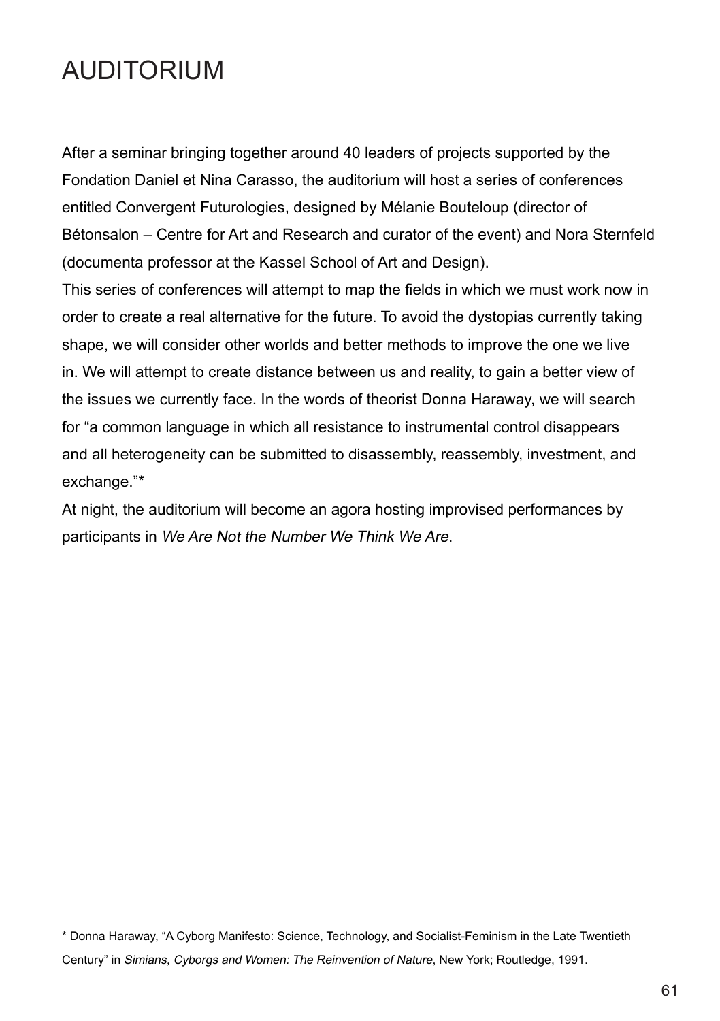# **AUDITORIUM**

After a seminar bringing together around 40 leaders of projects supported by the Fondation Daniel et Nina Carasso, the auditorium will host a series of conferences entitled Convergent Futurologies, designed by Mélanie Bouteloup (director of Bétonsalon – Centre for Art and Research and curator of the event) and Nora Sternfeld (documenta professor at the Kassel School of Art and Design).

This series of conferences will attempt to map the felds in which we must work now in order to create a real alternative for the future. To avoid the dystopias currently taking shape, we will consider other worlds and better methods to improve the one we live in. We will attempt to create distance between us and reality, to gain a better view of the issues we currently face. In the words of theorist Donna Haraway, we will search for "a common language in which all resistance to instrumental control disappears and all heterogeneity can be submitted to disassembly, reassembly, investment, and exchange."\*

At night, the auditorium will become an agora hosting improvised performances by participants in We Are Not the Number We Think We Are.

\* Donna Haraway, "A Cyborg Manifesto: Science, Technology, and Socialist-Feminism in the Late Twentieth Century" in Simians, Cyborgs and Women: The Reinvention of Nature, New York; Routledge, 1991.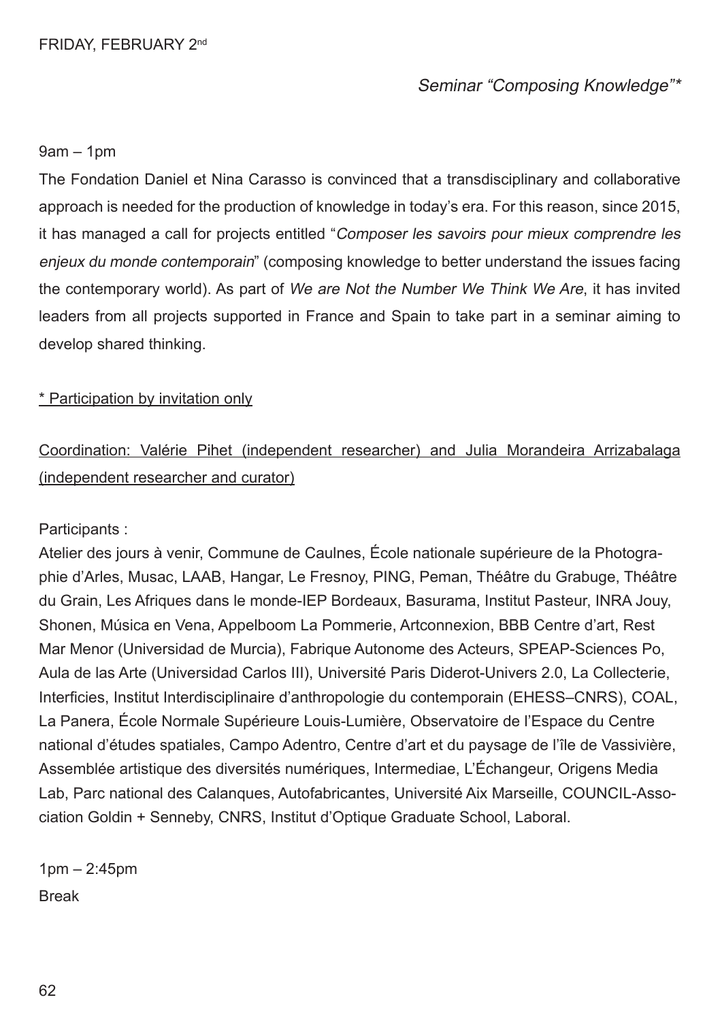# Seminar "Composing Knowledge"\*

### 9am – 1pm

The Fondation Daniel et Nina Carasso is convinced that a transdisciplinary and collaborative approach is needed for the production of knowledge in today's era. For this reason, since 2015, it has managed a call for projects entitled "Composer les savoirs pour mieux comprendre les enjeux du monde contemporain" (composing knowledge to better understand the issues facing the contemporary world). As part of We are Not the Number We Think We Are, it has invited leaders from all projects supported in France and Spain to take part in a seminar aiming to develop shared thinking.

### \* Participation by invitation only

# Coordination: Valérie Pihet (independent researcher) and Julia Morandeira Arrizabalaga (independent researcher and curator)

### Participants :

Atelier des jours à venir, Commune de Caulnes, École nationale supérieure de la Photographie d'Arles, Musac, LAAB, Hangar, Le Fresnoy, PING, Peman, Théâtre du Grabuge, Théâtre du Grain, Les Afriques dans le monde-IEP Bordeaux, Basurama, Institut Pasteur, INRA Jouy, Shonen, Música en Vena, Appelboom La Pommerie, Artconnexion, BBB Centre d'art, Rest Mar Menor (Universidad de Murcia), Fabrique Autonome des Acteurs, SPEAP-Sciences Po, Aula de las Arte (Universidad Carlos III), Université Paris Diderot-Univers 2.0, La Collecterie, Interficies, Institut Interdisciplinaire d'anthropologie du contemporain (EHESS–CNRS), COAL, La Panera, École Normale Supérieure Louis-Lumière, Observatoire de l'Espace du Centre national d'études spatiales, Campo Adentro, Centre d'art et du paysage de l'île de Vassivière, Assemblée artistique des diversités numériques, Intermediae, L'Échangeur, Origens Media Lab, Parc national des Calanques, Autofabricantes, Université Aix Marseille, COUNCIL-Association Goldin + Senneby, CNRS, Institut d'Optique Graduate School, Laboral.

1pm – 2:45pm Break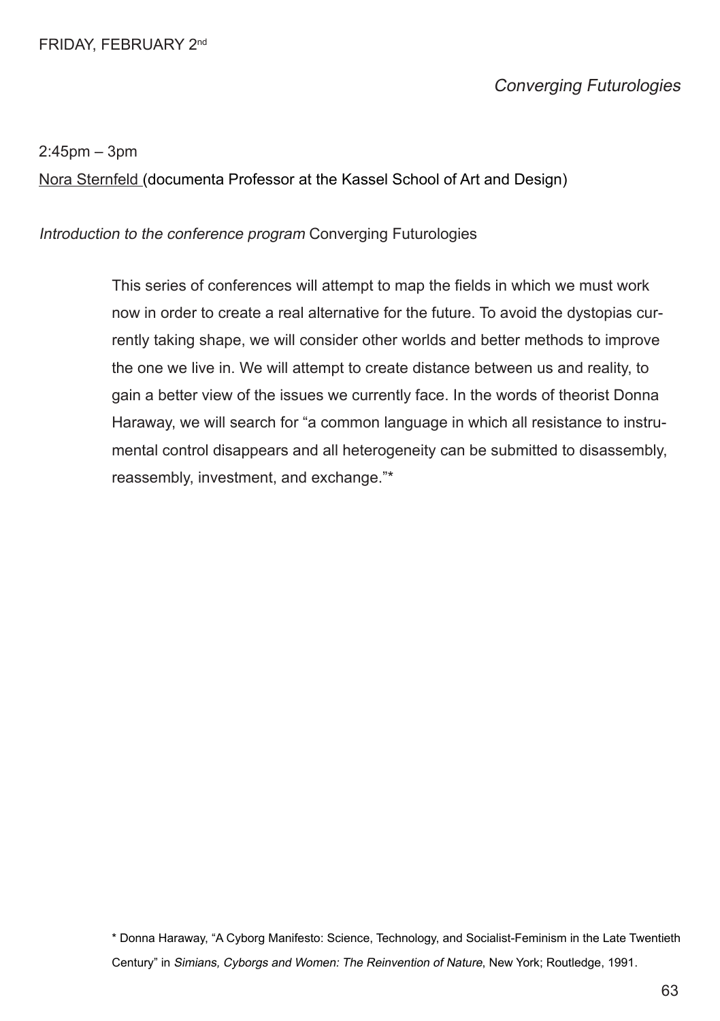### FRIDAY, FEBRUARY 2nd

# Converging Futurologies

#### 2:45pm – 3pm

Nora Sternfeld (documenta Professor at the Kassel School of Art and Design)

### Introduction to the conference program Converging Futurologies

This series of conferences will attempt to map the felds in which we must work now in order to create a real alternative for the future. To avoid the dystopias currently taking shape, we will consider other worlds and better methods to improve the one we live in. We will attempt to create distance between us and reality, to gain a better view of the issues we currently face. In the words of theorist Donna Haraway, we will search for "a common language in which all resistance to instrumental control disappears and all heterogeneity can be submitted to disassembly, reassembly, investment, and exchange."\*

\* Donna Haraway, "A Cyborg Manifesto: Science, Technology, and Socialist-Feminism in the Late Twentieth Century" in Simians, Cyborgs and Women: The Reinvention of Nature, New York; Routledge, 1991.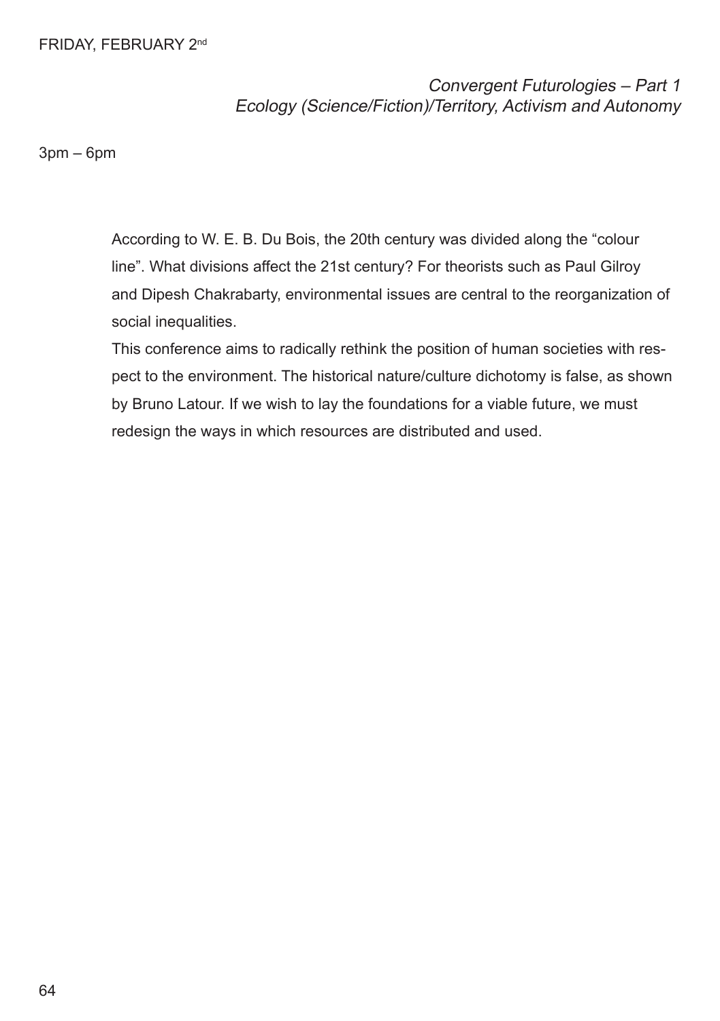### FRIDAY, FEBRUARY 2nd

Convergent Futurologies – Part 1 Ecology (Science/Fiction)/Territory, Activism and Autonomy

3pm – 6pm

According to W. E. B. Du Bois, the 20th century was divided along the "colour line". What divisions affect the 21st century? For theorists such as Paul Gilroy and Dipesh Chakrabarty, environmental issues are central to the reorganization of social inequalities.

This conference aims to radically rethink the position of human societies with respect to the environment. The historical nature/culture dichotomy is false, as shown by Bruno Latour. If we wish to lay the foundations for a viable future, we must redesign the ways in which resources are distributed and used.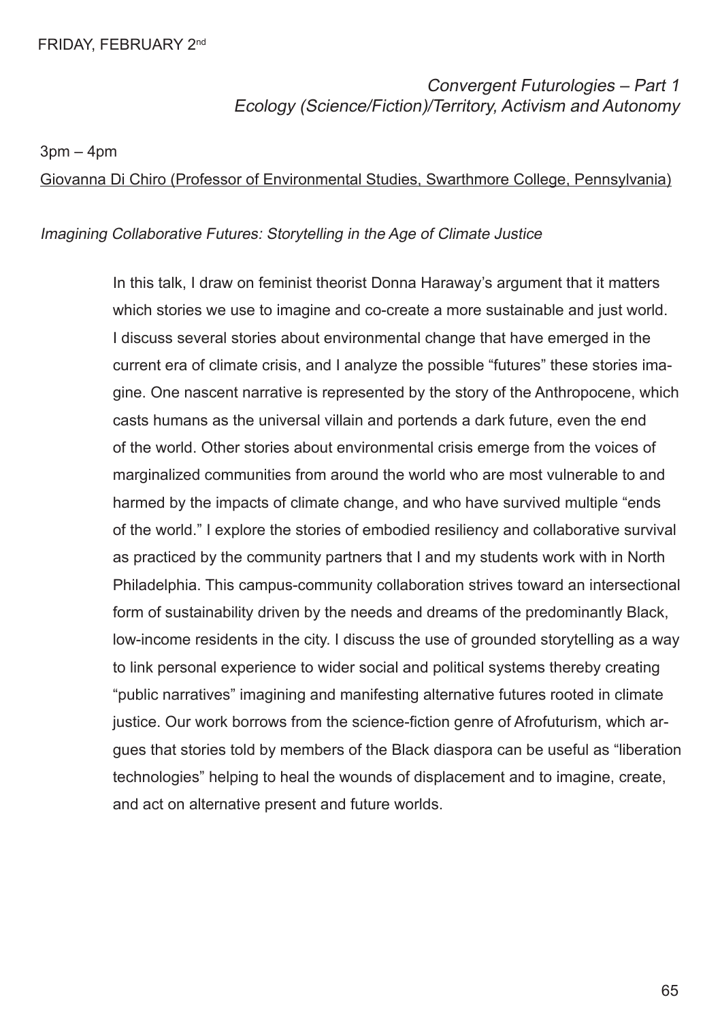Convergent Futurologies – Part 1 Ecology (Science/Fiction)/Territory, Activism and Autonomy

 $3pm - 4pm$ 

Giovanna Di Chiro (Professor of Environmental Studies, Swarthmore College, Pennsylvania)

### Imagining Collaborative Futures: Storytelling in the Age of Climate Justice

In this talk, I draw on feminist theorist Donna Haraway's argument that it matters which stories we use to imagine and co-create a more sustainable and just world. I discuss several stories about environmental change that have emerged in the current era of climate crisis, and I analyze the possible "futures" these stories imagine. One nascent narrative is represented by the story of the Anthropocene, which casts humans as the universal villain and portends a dark future, even the end of the world. Other stories about environmental crisis emerge from the voices of marginalized communities from around the world who are most vulnerable to and harmed by the impacts of climate change, and who have survived multiple "ends of the world." I explore the stories of embodied resiliency and collaborative survival as practiced by the community partners that I and my students work with in North Philadelphia. This campus-community collaboration strives toward an intersectional form of sustainability driven by the needs and dreams of the predominantly Black, low-income residents in the city. I discuss the use of grounded storytelling as a way to link personal experience to wider social and political systems thereby creating "public narratives" imagining and manifesting alternative futures rooted in climate justice. Our work borrows from the science-fction genre of Afrofuturism, which argues that stories told by members of the Black diaspora can be useful as "liberation technologies" helping to heal the wounds of displacement and to imagine, create, and act on alternative present and future worlds.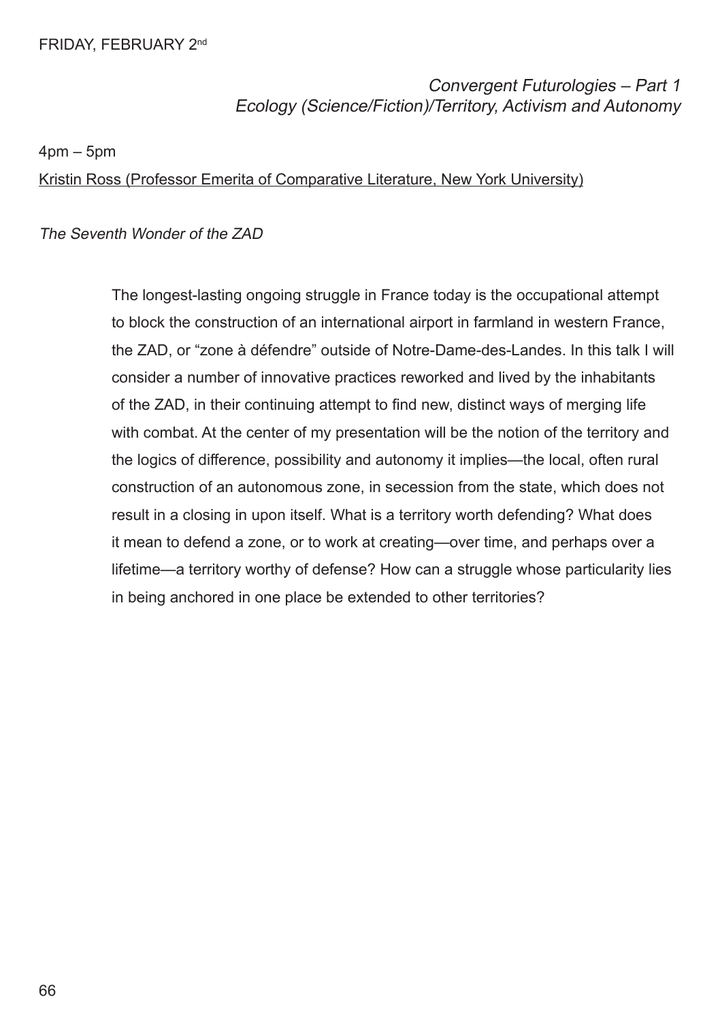Convergent Futurologies – Part 1 Ecology (Science/Fiction)/Territory, Activism and Autonomy

4pm – 5pm

Kristin Ross (Professor Emerita of Comparative Literature, New York University)

The Seventh Wonder of the ZAD

The longest-lasting ongoing struggle in France today is the occupational attempt to block the construction of an international airport in farmland in western France, the ZAD, or "zone à défendre" outside of Notre-Dame-des-Landes. In this talk I will consider a number of innovative practices reworked and lived by the inhabitants of the ZAD, in their continuing attempt to fnd new, distinct ways of merging life with combat. At the center of my presentation will be the notion of the territory and the logics of difference, possibility and autonomy it implies—the local, often rural construction of an autonomous zone, in secession from the state, which does not result in a closing in upon itself. What is a territory worth defending? What does it mean to defend a zone, or to work at creating—over time, and perhaps over a lifetime—a territory worthy of defense? How can a struggle whose particularity lies in being anchored in one place be extended to other territories?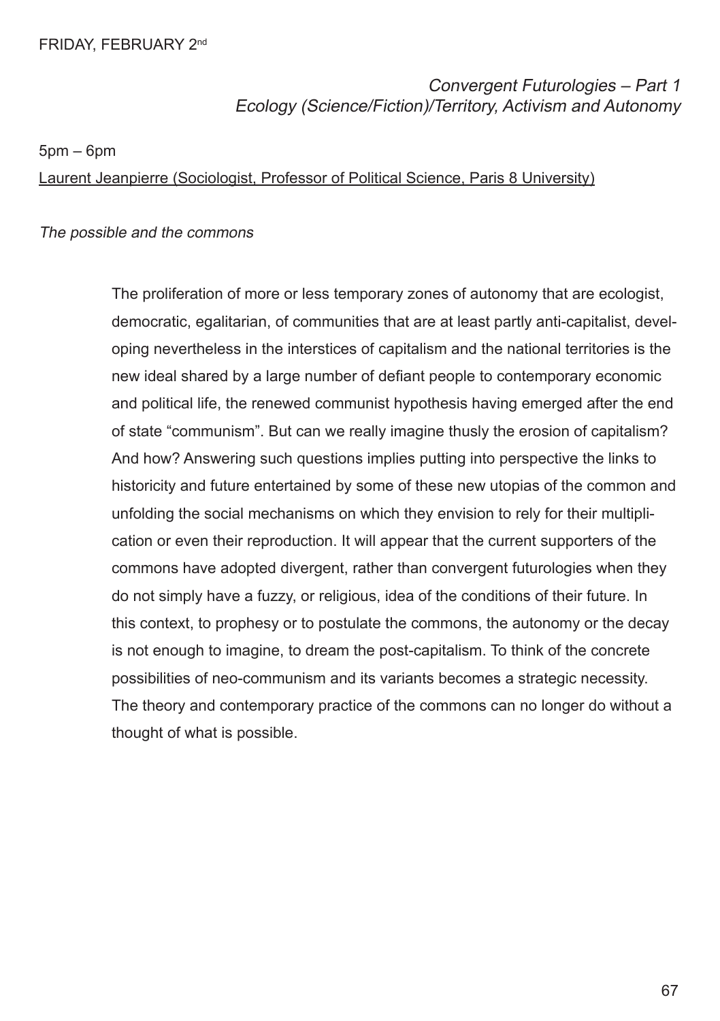Convergent Futurologies – Part 1 Ecology (Science/Fiction)/Territory, Activism and Autonomy

5pm – 6pm

Laurent Jeanpierre (Sociologist, Professor of Political Science, Paris 8 University)

### The possible and the commons

The proliferation of more or less temporary zones of autonomy that are ecologist, democratic, egalitarian, of communities that are at least partly anti-capitalist, developing nevertheless in the interstices of capitalism and the national territories is the new ideal shared by a large number of defant people to contemporary economic and political life, the renewed communist hypothesis having emerged after the end of state "communism". But can we really imagine thusly the erosion of capitalism? And how? Answering such questions implies putting into perspective the links to historicity and future entertained by some of these new utopias of the common and unfolding the social mechanisms on which they envision to rely for their multiplication or even their reproduction. It will appear that the current supporters of the commons have adopted divergent, rather than convergent futurologies when they do not simply have a fuzzy, or religious, idea of the conditions of their future. In this context, to prophesy or to postulate the commons, the autonomy or the decay is not enough to imagine, to dream the post-capitalism. To think of the concrete possibilities of neo-communism and its variants becomes a strategic necessity. The theory and contemporary practice of the commons can no longer do without a thought of what is possible.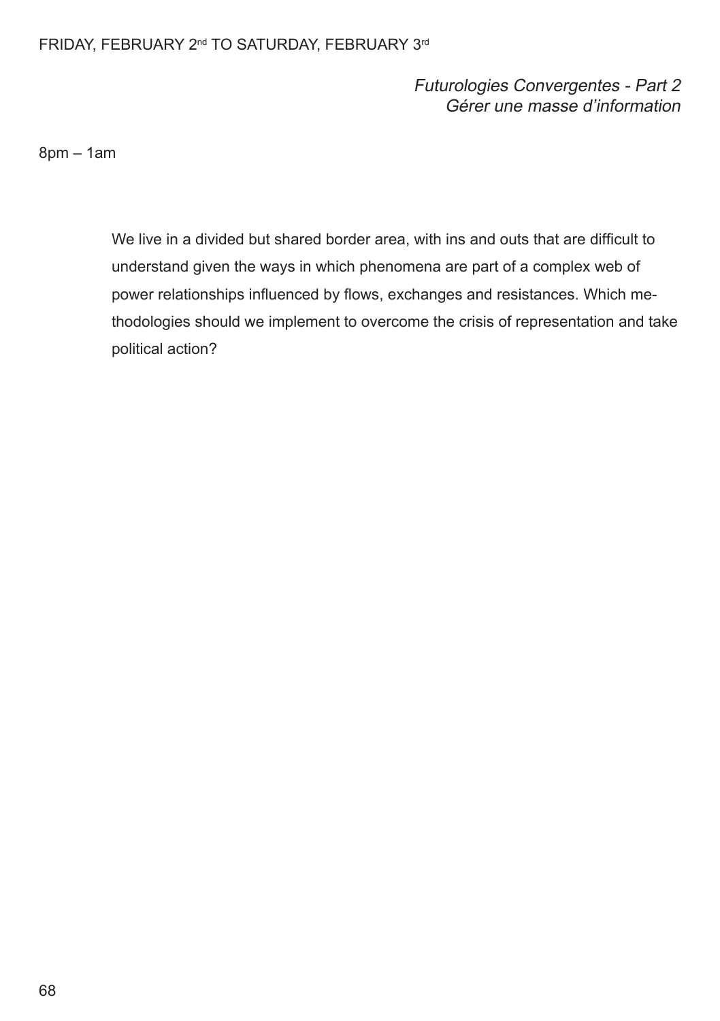# FRIDAY, FEBRUARY 2<sup>nd</sup> TO SATURDAY, FEBRUARY 3<sup>rd</sup>

# Futurologies Convergentes - Part 2 Gérer une masse d'information

8pm – 1am

We live in a divided but shared border area, with ins and outs that are difficult to understand given the ways in which phenomena are part of a complex web of power relationships influenced by flows, exchanges and resistances. Which methodologies should we implement to overcome the crisis of representation and take political action?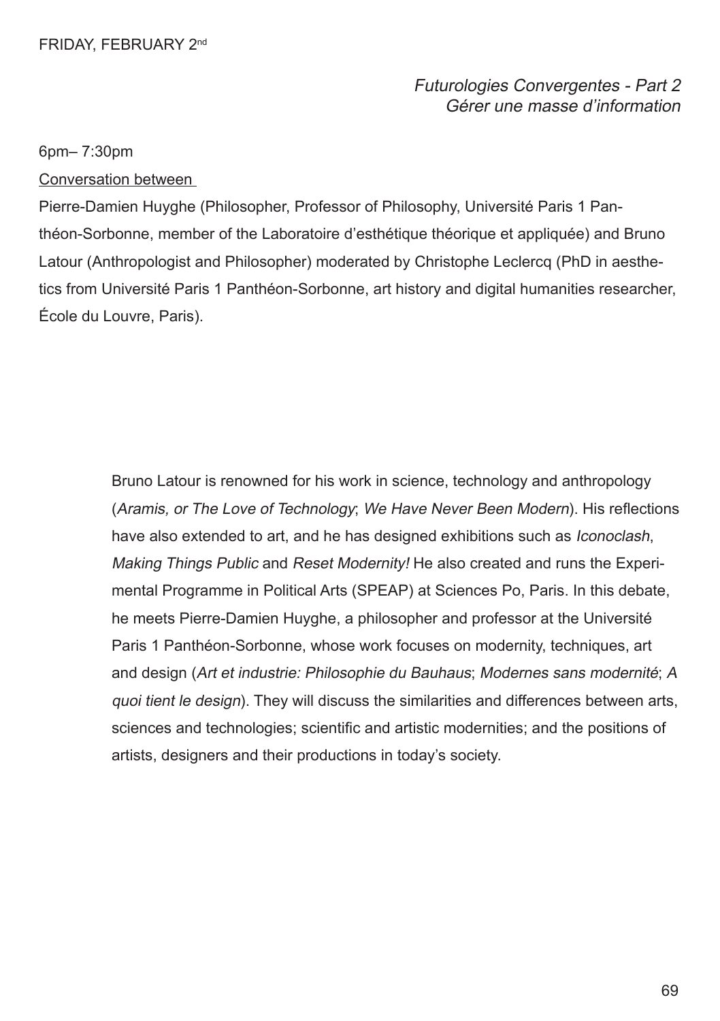Futurologies Convergentes - Part 2 Gérer une masse d'information

### 6pm– 7:30pm

Conversation between

Pierre-Damien Huyghe (Philosopher, Professor of Philosophy, Université Paris 1 Panthéon-Sorbonne, member of the Laboratoire d'esthétique théorique et appliquée) and Bruno Latour (Anthropologist and Philosopher) moderated by Christophe Leclercq (PhD in aesthetics from Université Paris 1 Panthéon-Sorbonne, art history and digital humanities researcher, École du Louvre, Paris).

> Bruno Latour is renowned for his work in science, technology and anthropology (Aramis, or The Love of Technology; We Have Never Been Modern). His refections have also extended to art, and he has designed exhibitions such as *Iconoclash*, Making Things Public and Reset Modernity! He also created and runs the Experimental Programme in Political Arts (SPEAP) at Sciences Po, Paris. In this debate, he meets Pierre-Damien Huyghe, a philosopher and professor at the Université Paris 1 Panthéon-Sorbonne, whose work focuses on modernity, techniques, art and design (Art et industrie: Philosophie du Bauhaus; Modernes sans modernité; A quoi tient le design). They will discuss the similarities and differences between arts, sciences and technologies; scientific and artistic modernities; and the positions of artists, designers and their productions in today's society.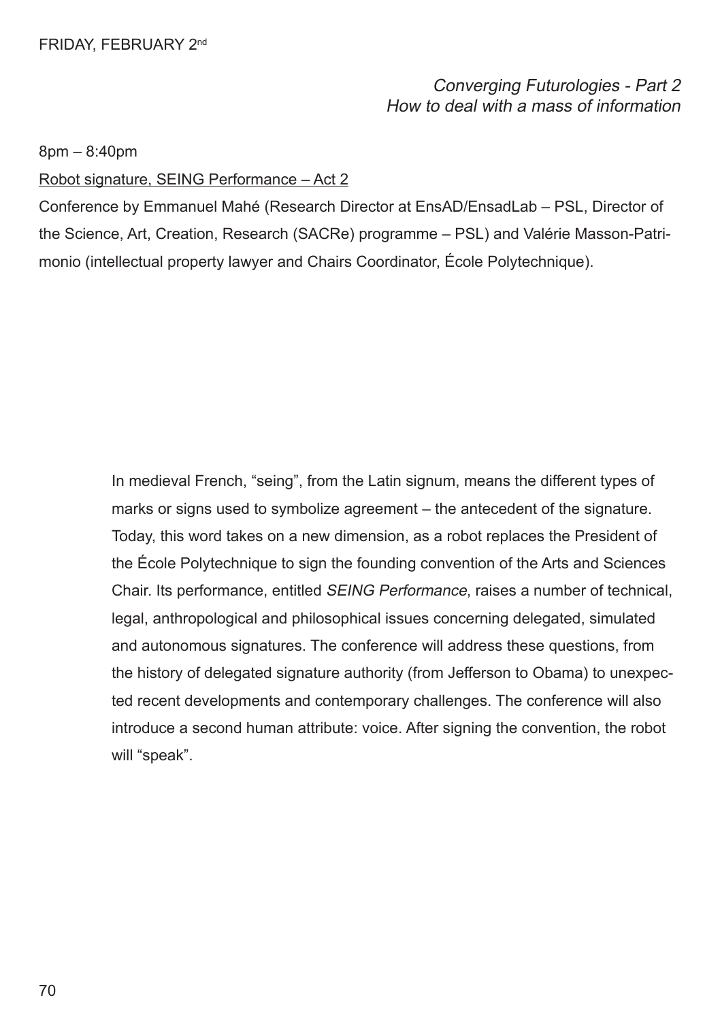Converging Futurologies - Part 2 How to deal with a mass of information

8pm – 8:40pm

Robot signature, SEING Performance – Act 2

Conference by Emmanuel Mahé (Research Director at EnsAD/EnsadLab – PSL, Director of the Science, Art, Creation, Research (SACRe) programme – PSL) and Valérie Masson-Patrimonio (intellectual property lawyer and Chairs Coordinator, École Polytechnique).

> In medieval French, "seing", from the Latin signum, means the different types of marks or signs used to symbolize agreement – the antecedent of the signature. Today, this word takes on a new dimension, as a robot replaces the President of the École Polytechnique to sign the founding convention of the Arts and Sciences Chair. Its performance, entitled SEING Performance, raises a number of technical, legal, anthropological and philosophical issues concerning delegated, simulated and autonomous signatures. The conference will address these questions, from the history of delegated signature authority (from Jefferson to Obama) to unexpected recent developments and contemporary challenges. The conference will also introduce a second human attribute: voice. After signing the convention, the robot will "speak".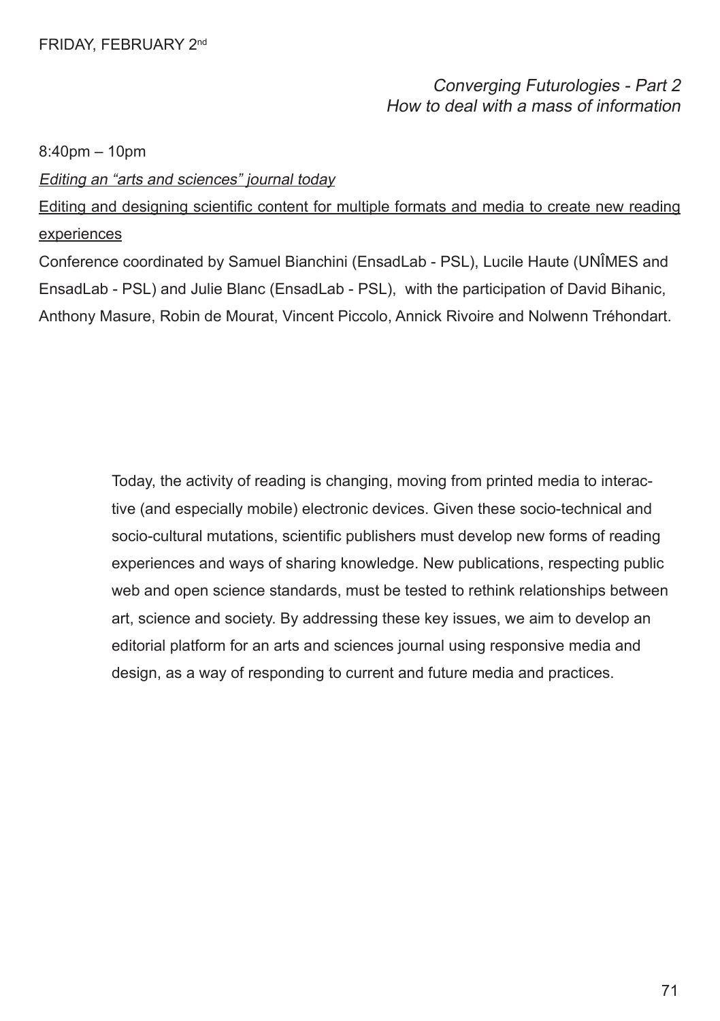# Converging Futurologies - Part 2 How to deal with a mass of information

8:40pm – 10pm

Editing an "arts and sciences" journal today

Editing and designing scientific content for multiple formats and media to create new reading experiences

Conference coordinated by Samuel Bianchini (EnsadLab - PSL), Lucile Haute (UNÎMES and EnsadLab - PSL) and Julie Blanc (EnsadLab - PSL), with the participation of David Bihanic, Anthony Masure, Robin de Mourat, Vincent Piccolo, Annick Rivoire and Nolwenn Tréhondart.

> Today, the activity of reading is changing, moving from printed media to interactive (and especially mobile) electronic devices. Given these socio-technical and socio-cultural mutations, scientifc publishers must develop new forms of reading experiences and ways of sharing knowledge. New publications, respecting public web and open science standards, must be tested to rethink relationships between art, science and society. By addressing these key issues, we aim to develop an editorial platform for an arts and sciences journal using responsive media and design, as a way of responding to current and future media and practices.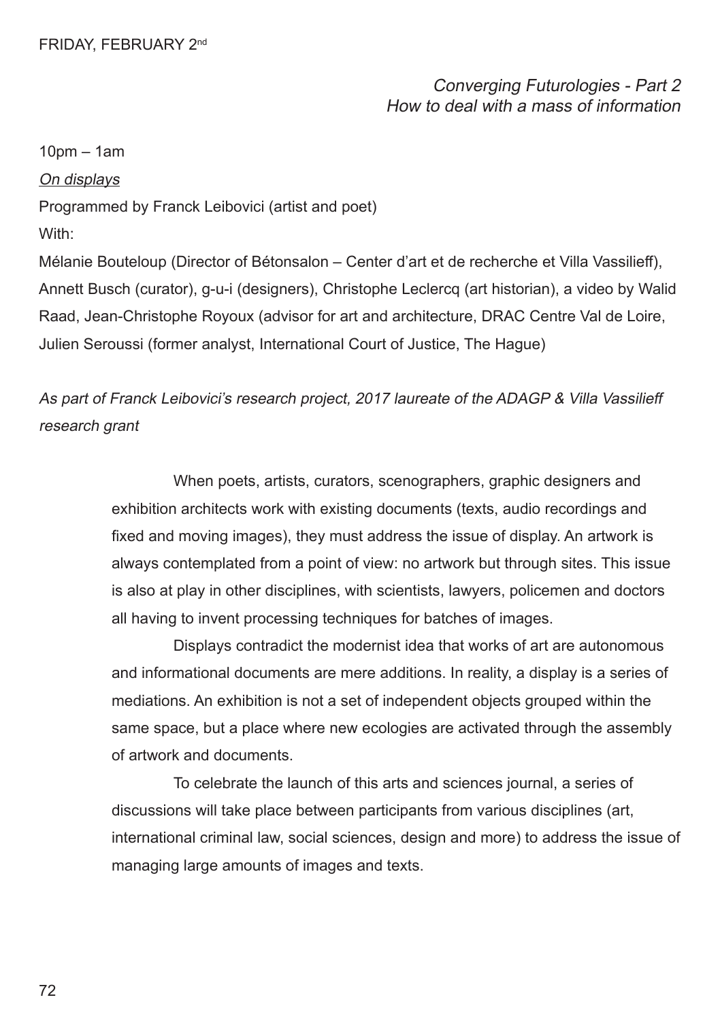Converging Futurologies - Part 2 How to deal with a mass of information

10pm – 1am

On displays

Programmed by Franck Leibovici (artist and poet)

With:

Mélanie Bouteloup (Director of Bétonsalon – Center d'art et de recherche et Villa Vassilieff), Annett Busch (curator), g-u-i (designers), Christophe Leclercq (art historian), a video by Walid Raad, Jean-Christophe Royoux (advisor for art and architecture, DRAC Centre Val de Loire, Julien Seroussi (former analyst, International Court of Justice, The Hague)

As part of Franck Leibovici's research project, 2017 laureate of the ADAGP & Villa Vassilieff research grant

> When poets, artists, curators, scenographers, graphic designers and exhibition architects work with existing documents (texts, audio recordings and fxed and moving images), they must address the issue of display. An artwork is always contemplated from a point of view: no artwork but through sites. This issue is also at play in other disciplines, with scientists, lawyers, policemen and doctors all having to invent processing techniques for batches of images.

> Displays contradict the modernist idea that works of art are autonomous and informational documents are mere additions. In reality, a display is a series of mediations. An exhibition is not a set of independent objects grouped within the same space, but a place where new ecologies are activated through the assembly of artwork and documents.

To celebrate the launch of this arts and sciences journal, a series of discussions will take place between participants from various disciplines (art, international criminal law, social sciences, design and more) to address the issue of managing large amounts of images and texts.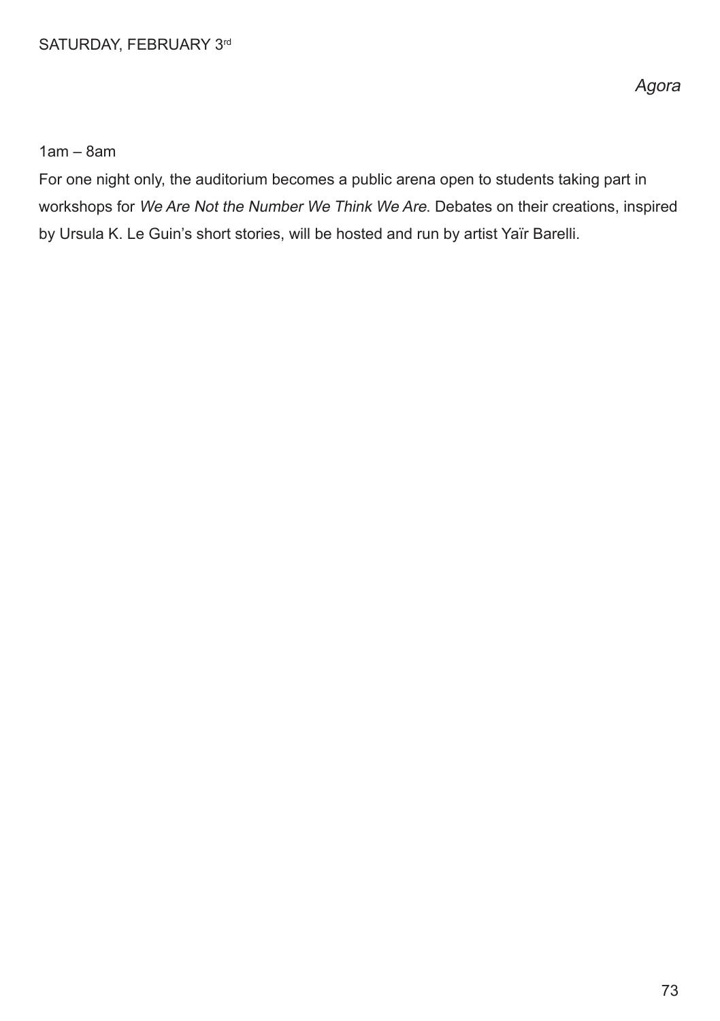1am – 8am

For one night only, the auditorium becomes a public arena open to students taking part in workshops for We Are Not the Number We Think We Are. Debates on their creations, inspired by Ursula K. Le Guin's short stories, will be hosted and run by artist Yaïr Barelli.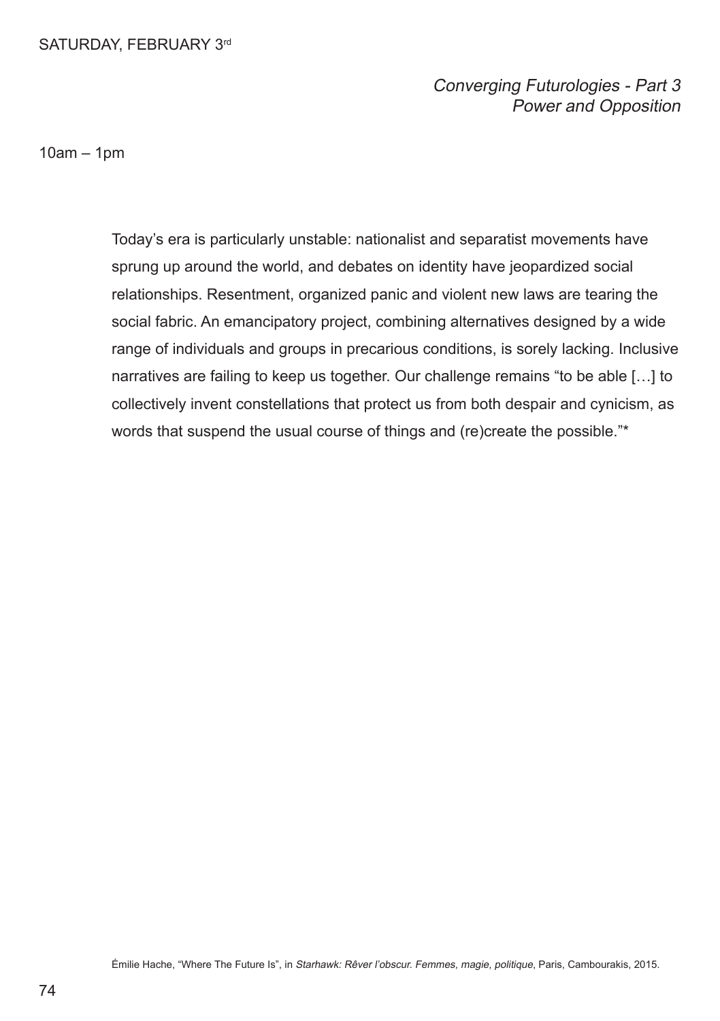Converging Futurologies - Part 3 Power and Opposition

10am – 1pm

Today's era is particularly unstable: nationalist and separatist movements have sprung up around the world, and debates on identity have jeopardized social relationships. Resentment, organized panic and violent new laws are tearing the social fabric. An emancipatory project, combining alternatives designed by a wide range of individuals and groups in precarious conditions, is sorely lacking. Inclusive narratives are failing to keep us together. Our challenge remains "to be able […] to collectively invent constellations that protect us from both despair and cynicism, as words that suspend the usual course of things and (re)create the possible."\*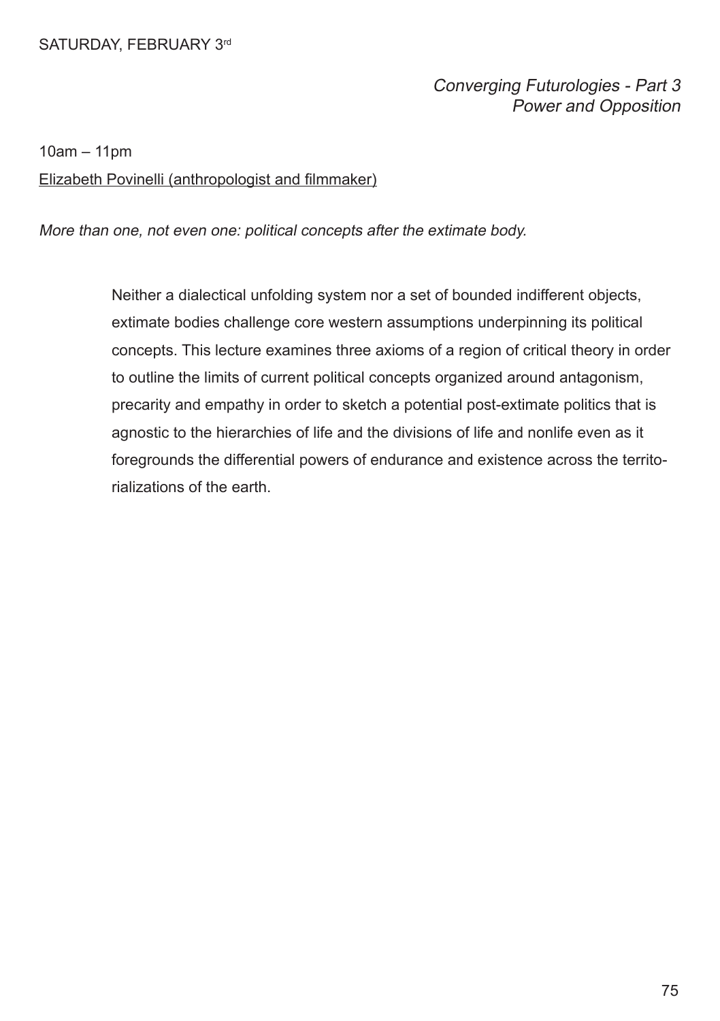## Converging Futurologies - Part 3 Power and Opposition

10am – 11pm

#### Elizabeth Povinelli (anthropologist and flmmaker)

More than one, not even one: political concepts after the extimate body.

Neither a dialectical unfolding system nor a set of bounded indifferent objects, extimate bodies challenge core western assumptions underpinning its political concepts. This lecture examines three axioms of a region of critical theory in order to outline the limits of current political concepts organized around antagonism, precarity and empathy in order to sketch a potential post-extimate politics that is agnostic to the hierarchies of life and the divisions of life and nonlife even as it foregrounds the differential powers of endurance and existence across the territorializations of the earth.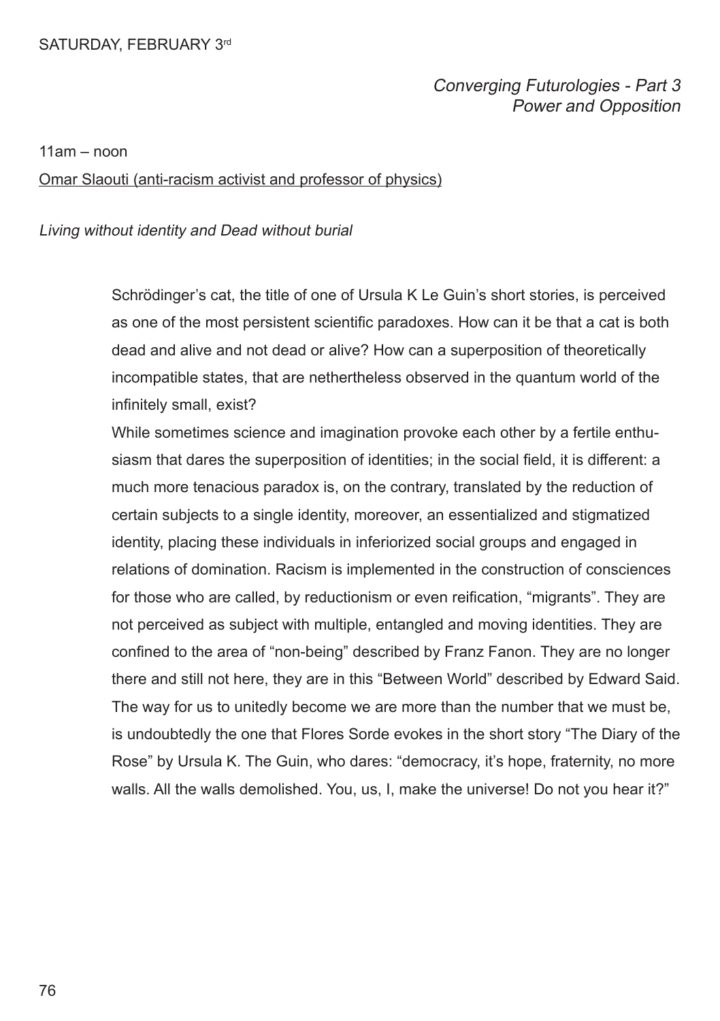#### Converging Futurologies - Part 3 Power and Opposition

 $11am - non$ 

Omar Slaouti (anti-racism activist and professor of physics)

#### Living without identity and Dead without burial

Schrödinger's cat, the title of one of Ursula K Le Guin's short stories, is perceived as one of the most persistent scientifc paradoxes. How can it be that a cat is both dead and alive and not dead or alive? How can a superposition of theoretically incompatible states, that are nethertheless observed in the quantum world of the infinitely small, exist?

While sometimes science and imagination provoke each other by a fertile enthusiasm that dares the superposition of identities; in the social feld, it is different: a much more tenacious paradox is, on the contrary, translated by the reduction of certain subjects to a single identity, moreover, an essentialized and stigmatized identity, placing these individuals in inferiorized social groups and engaged in relations of domination. Racism is implemented in the construction of consciences for those who are called, by reductionism or even reifcation, "migrants". They are not perceived as subject with multiple, entangled and moving identities. They are confned to the area of "non-being" described by Franz Fanon. They are no longer there and still not here, they are in this "Between World" described by Edward Said. The way for us to unitedly become we are more than the number that we must be, is undoubtedly the one that Flores Sorde evokes in the short story "The Diary of the Rose" by Ursula K. The Guin, who dares: "democracy, it's hope, fraternity, no more walls. All the walls demolished. You, us, I, make the universe! Do not you hear it?"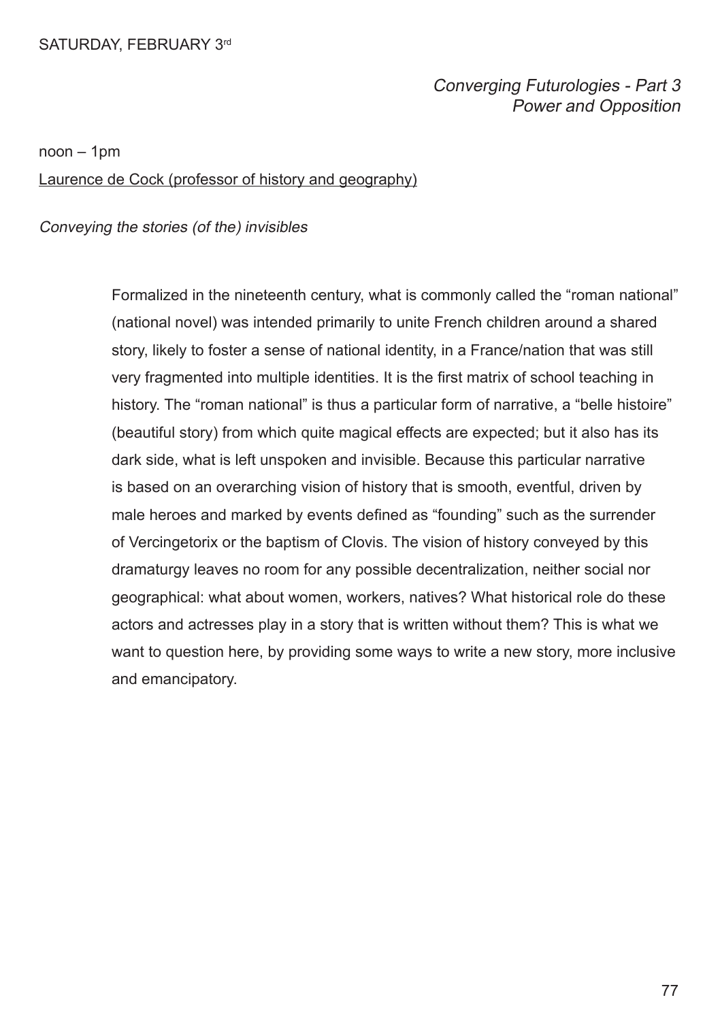## Converging Futurologies - Part 3 Power and Opposition

noon – 1pm

Laurence de Cock (professor of history and geography)

Conveying the stories (of the) invisibles

Formalized in the nineteenth century, what is commonly called the "roman national" (national novel) was intended primarily to unite French children around a shared story, likely to foster a sense of national identity, in a France/nation that was still very fragmented into multiple identities. It is the frst matrix of school teaching in history. The "roman national" is thus a particular form of narrative, a "belle histoire" (beautiful story) from which quite magical effects are expected; but it also has its dark side, what is left unspoken and invisible. Because this particular narrative is based on an overarching vision of history that is smooth, eventful, driven by male heroes and marked by events defned as "founding" such as the surrender of Vercingetorix or the baptism of Clovis. The vision of history conveyed by this dramaturgy leaves no room for any possible decentralization, neither social nor geographical: what about women, workers, natives? What historical role do these actors and actresses play in a story that is written without them? This is what we want to question here, by providing some ways to write a new story, more inclusive and emancipatory.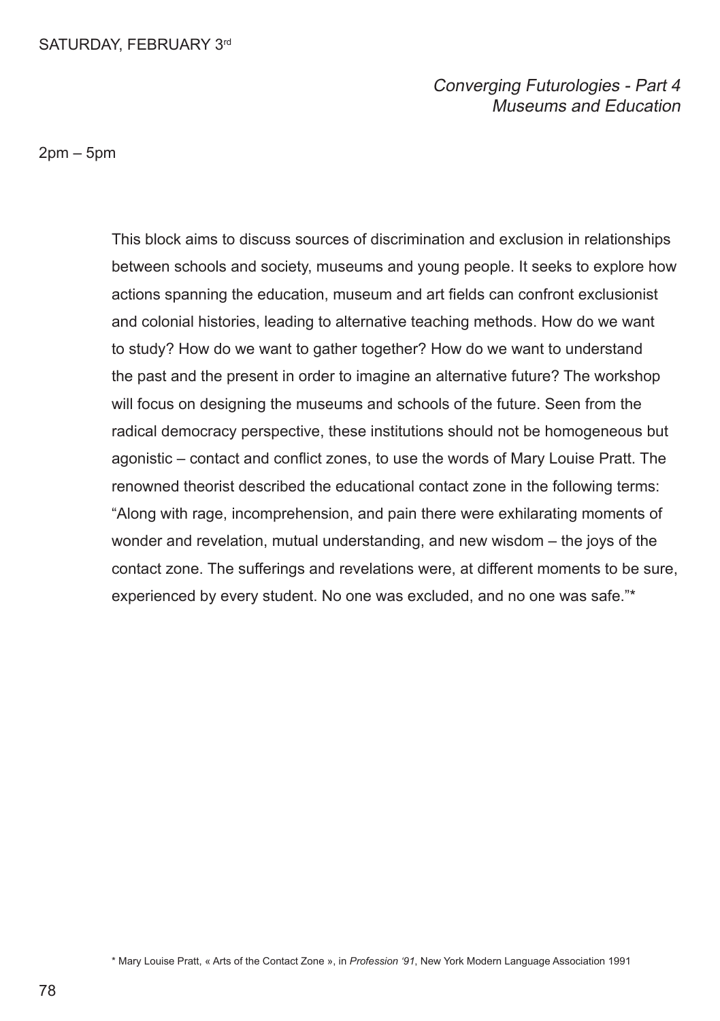## Converging Futurologies - Part 4 Museums and Education

 $2$ pm –  $5$ pm

This block aims to discuss sources of discrimination and exclusion in relationships between schools and society, museums and young people. It seeks to explore how actions spanning the education, museum and art felds can confront exclusionist and colonial histories, leading to alternative teaching methods. How do we want to study? How do we want to gather together? How do we want to understand the past and the present in order to imagine an alternative future? The workshop will focus on designing the museums and schools of the future. Seen from the radical democracy perspective, these institutions should not be homogeneous but agonistic – contact and confict zones, to use the words of Mary Louise Pratt. The renowned theorist described the educational contact zone in the following terms: "Along with rage, incomprehension, and pain there were exhilarating moments of wonder and revelation, mutual understanding, and new wisdom – the joys of the contact zone. The sufferings and revelations were, at different moments to be sure, experienced by every student. No one was excluded, and no one was safe."\*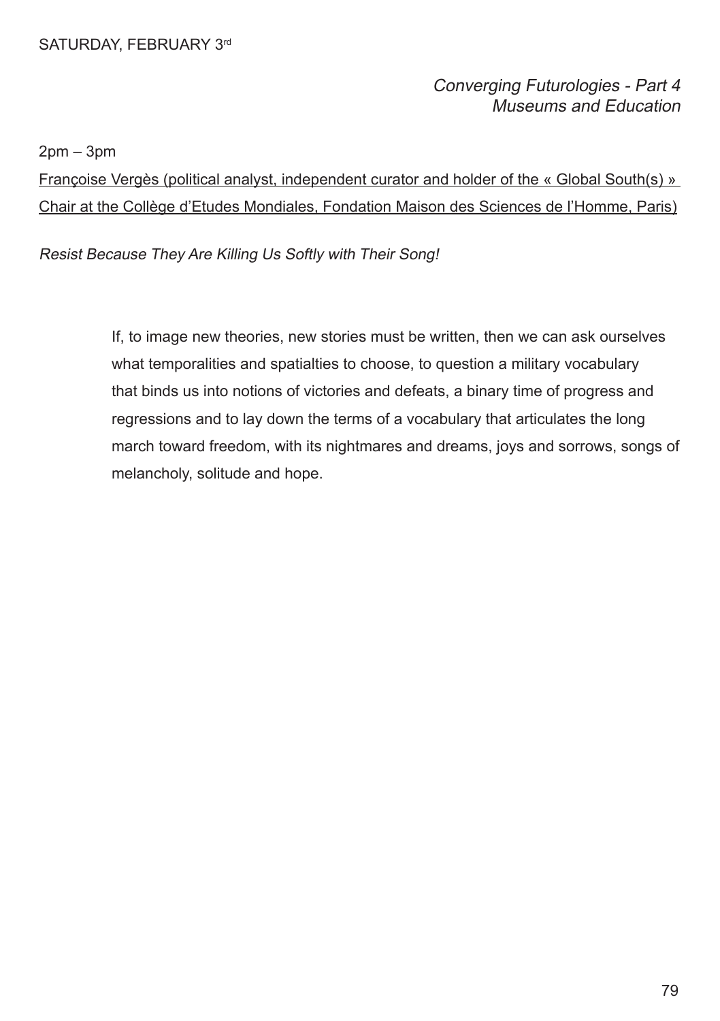## Converging Futurologies - Part 4 Museums and Education

 $2pm - 3pm$ 

Françoise Vergès (political analyst, independent curator and holder of the « Global South(s) » Chair at the Collège d'Etudes Mondiales, Fondation Maison des Sciences de l'Homme, Paris)

Resist Because They Are Killing Us Softly with Their Song!

If, to image new theories, new stories must be written, then we can ask ourselves what temporalities and spatialties to choose, to question a military vocabulary that binds us into notions of victories and defeats, a binary time of progress and regressions and to lay down the terms of a vocabulary that articulates the long march toward freedom, with its nightmares and dreams, joys and sorrows, songs of melancholy, solitude and hope.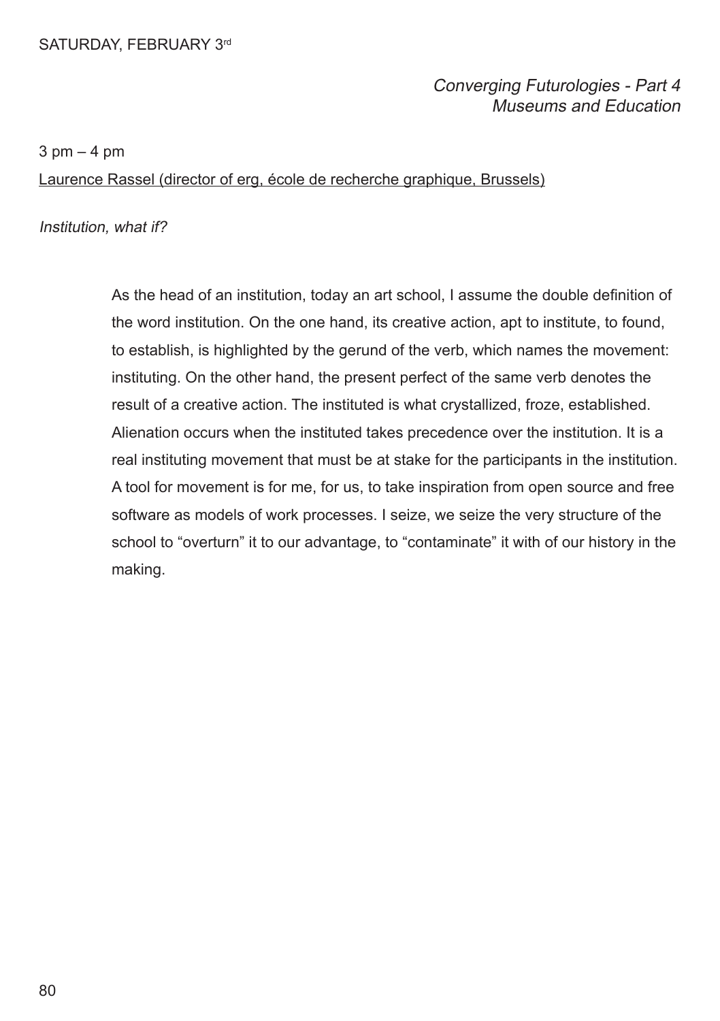## Converging Futurologies - Part 4 Museums and Education

 $3$  pm  $-4$  pm

Laurence Rassel (director of erg, école de recherche graphique, Brussels)

Institution, what if?

As the head of an institution, today an art school, I assume the double defnition of the word institution. On the one hand, its creative action, apt to institute, to found, to establish, is highlighted by the gerund of the verb, which names the movement: instituting. On the other hand, the present perfect of the same verb denotes the result of a creative action. The instituted is what crystallized, froze, established. Alienation occurs when the instituted takes precedence over the institution. It is a real instituting movement that must be at stake for the participants in the institution. A tool for movement is for me, for us, to take inspiration from open source and free software as models of work processes. I seize, we seize the very structure of the school to "overturn" it to our advantage, to "contaminate" it with of our history in the making.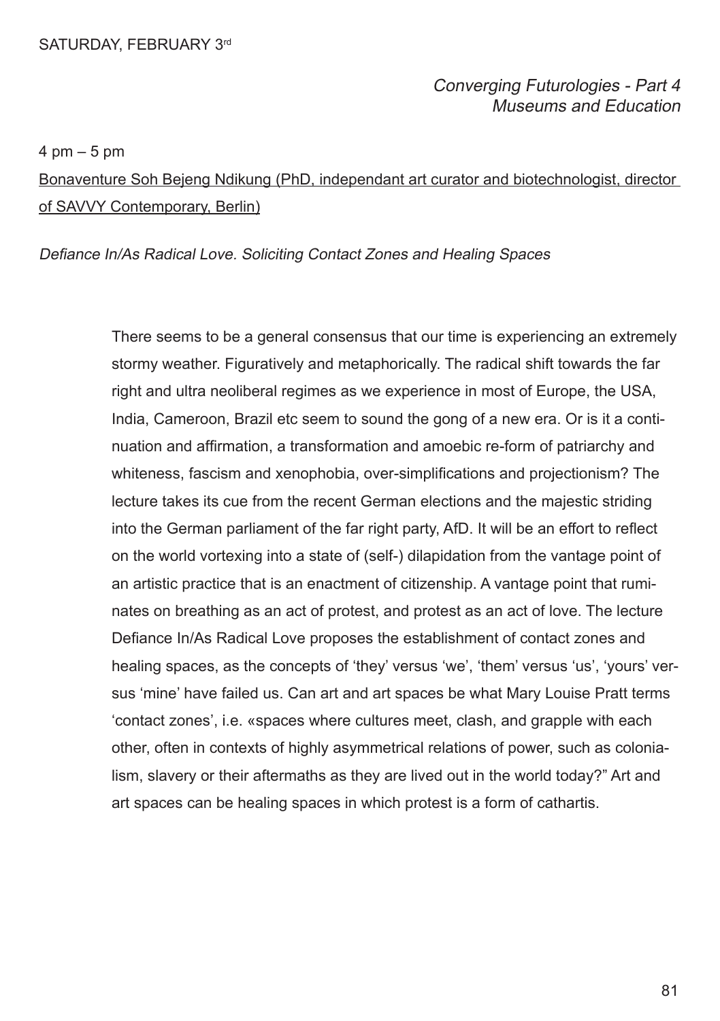## Converging Futurologies - Part 4 Museums and Education

4 pm – 5 pm

Bonaventure Soh Bejeng Ndikung (PhD, independant art curator and biotechnologist, director of SAVVY Contemporary, Berlin)

Defiance In/As Radical Love. Soliciting Contact Zones and Healing Spaces

There seems to be a general consensus that our time is experiencing an extremely stormy weather. Figuratively and metaphorically. The radical shift towards the far right and ultra neoliberal regimes as we experience in most of Europe, the USA, India, Cameroon, Brazil etc seem to sound the gong of a new era. Or is it a continuation and affrmation, a transformation and amoebic re-form of patriarchy and whiteness, fascism and xenophobia, over-simplifcations and projectionism? The lecture takes its cue from the recent German elections and the majestic striding into the German parliament of the far right party, AfD. It will be an effort to refect on the world vortexing into a state of (self-) dilapidation from the vantage point of an artistic practice that is an enactment of citizenship. A vantage point that ruminates on breathing as an act of protest, and protest as an act of love. The lecture Defance In/As Radical Love proposes the establishment of contact zones and healing spaces, as the concepts of 'they' versus 'we', 'them' versus 'us', 'yours' versus 'mine' have failed us. Can art and art spaces be what Mary Louise Pratt terms 'contact zones', i.e. «spaces where cultures meet, clash, and grapple with each other, often in contexts of highly asymmetrical relations of power, such as colonialism, slavery or their aftermaths as they are lived out in the world today?" Art and art spaces can be healing spaces in which protest is a form of cathartis.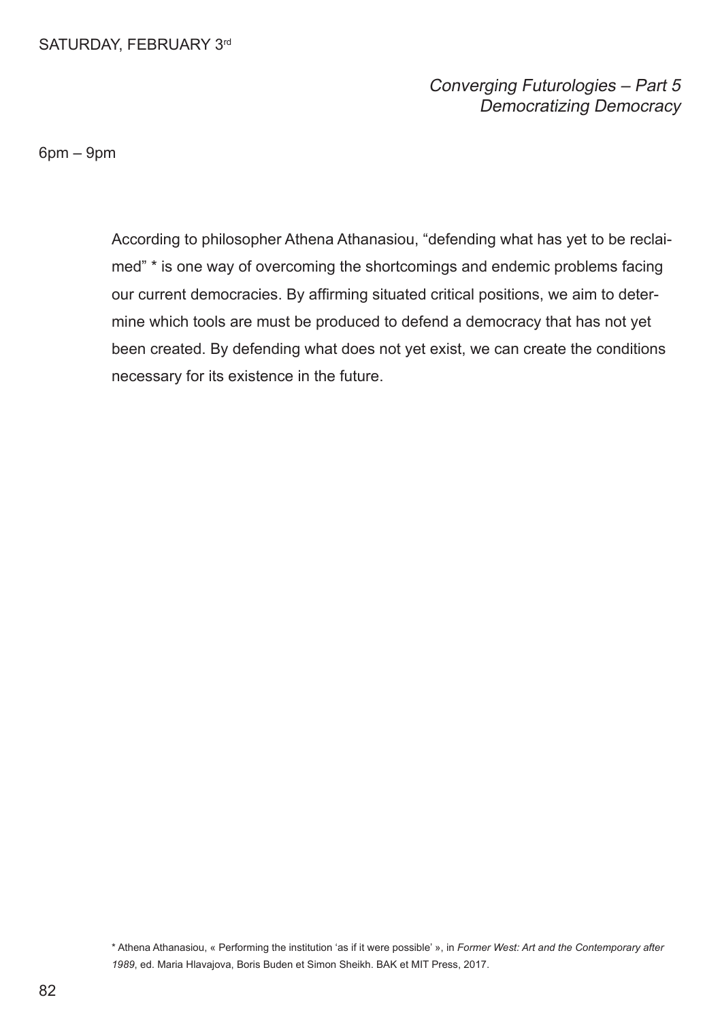## Converging Futurologies – Part 5 Democratizing Democracy

6pm – 9pm

According to philosopher Athena Athanasiou, "defending what has yet to be reclaimed" \* is one way of overcoming the shortcomings and endemic problems facing our current democracies. By affrming situated critical positions, we aim to determine which tools are must be produced to defend a democracy that has not yet been created. By defending what does not yet exist, we can create the conditions necessary for its existence in the future.

\* Athena Athanasiou, « Performing the institution 'as if it were possible' », in *Former West: Art and the Contemporary after 1989*, ed. Maria Hlavajova, Boris Buden et Simon Sheikh. BAK et MIT Press, 2017.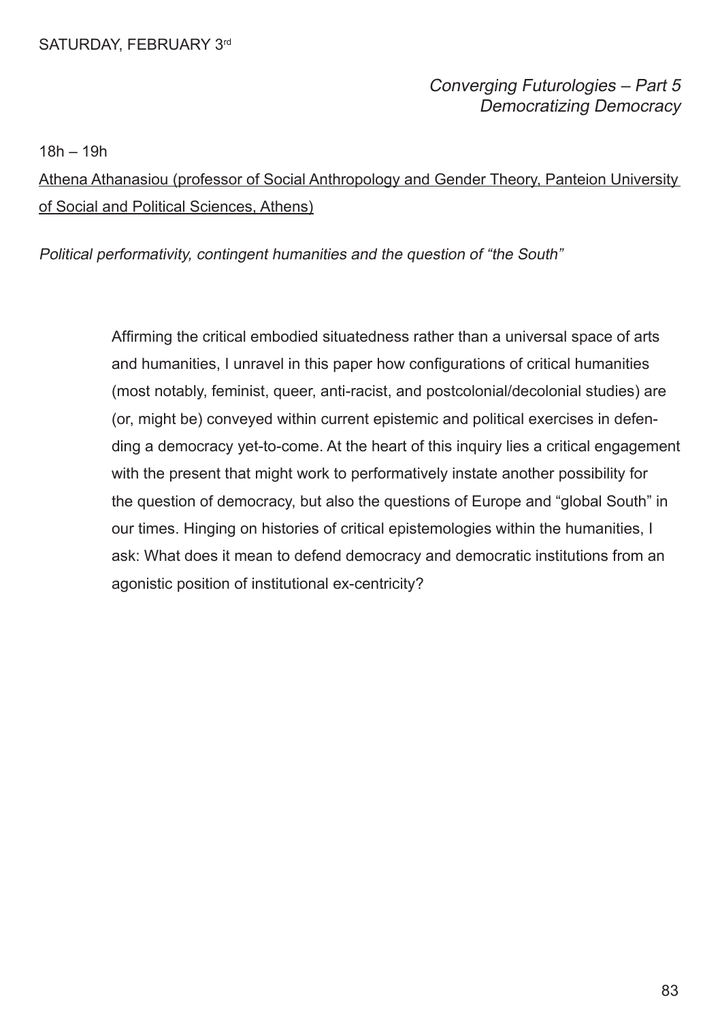## Converging Futurologies – Part 5 Democratizing Democracy

18h – 19h

Athena Athanasiou (professor of Social Anthropology and Gender Theory, Panteion University of Social and Political Sciences, Athens)

Political performativity, contingent humanities and the question of "the South"

Affrming the critical embodied situatedness rather than a universal space of arts and humanities, I unravel in this paper how confgurations of critical humanities (most notably, feminist, queer, anti-racist, and postcolonial/decolonial studies) are (or, might be) conveyed within current epistemic and political exercises in defending a democracy yet-to-come. At the heart of this inquiry lies a critical engagement with the present that might work to performatively instate another possibility for the question of democracy, but also the questions of Europe and "global South" in our times. Hinging on histories of critical epistemologies within the humanities, I ask: What does it mean to defend democracy and democratic institutions from an agonistic position of institutional ex-centricity?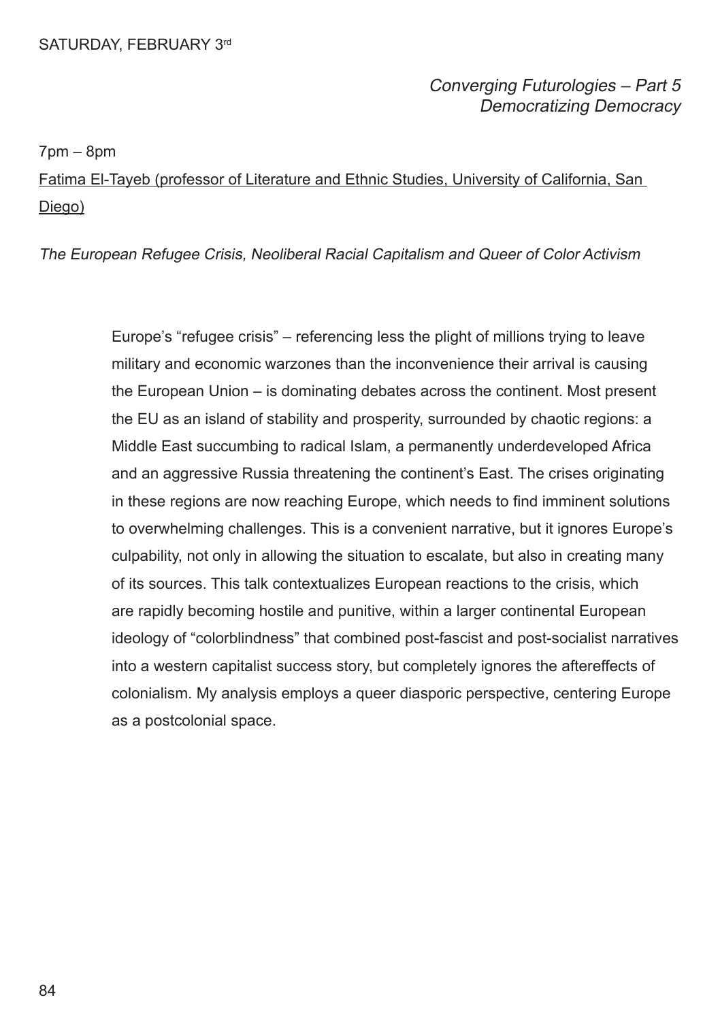## Converging Futurologies – Part 5 Democratizing Democracy

7pm – 8pm

Fatima El-Tayeb (professor of Literature and Ethnic Studies, University of California, San Diego)

The European Refugee Crisis, Neoliberal Racial Capitalism and Queer of Color Activism

Europe's "refugee crisis" – referencing less the plight of millions trying to leave military and economic warzones than the inconvenience their arrival is causing the European Union – is dominating debates across the continent. Most present the EU as an island of stability and prosperity, surrounded by chaotic regions: a Middle East succumbing to radical Islam, a permanently underdeveloped Africa and an aggressive Russia threatening the continent's East. The crises originating in these regions are now reaching Europe, which needs to fnd imminent solutions to overwhelming challenges. This is a convenient narrative, but it ignores Europe's culpability, not only in allowing the situation to escalate, but also in creating many of its sources. This talk contextualizes European reactions to the crisis, which are rapidly becoming hostile and punitive, within a larger continental European ideology of "colorblindness" that combined post-fascist and post-socialist narratives into a western capitalist success story, but completely ignores the aftereffects of colonialism. My analysis employs a queer diasporic perspective, centering Europe as a postcolonial space.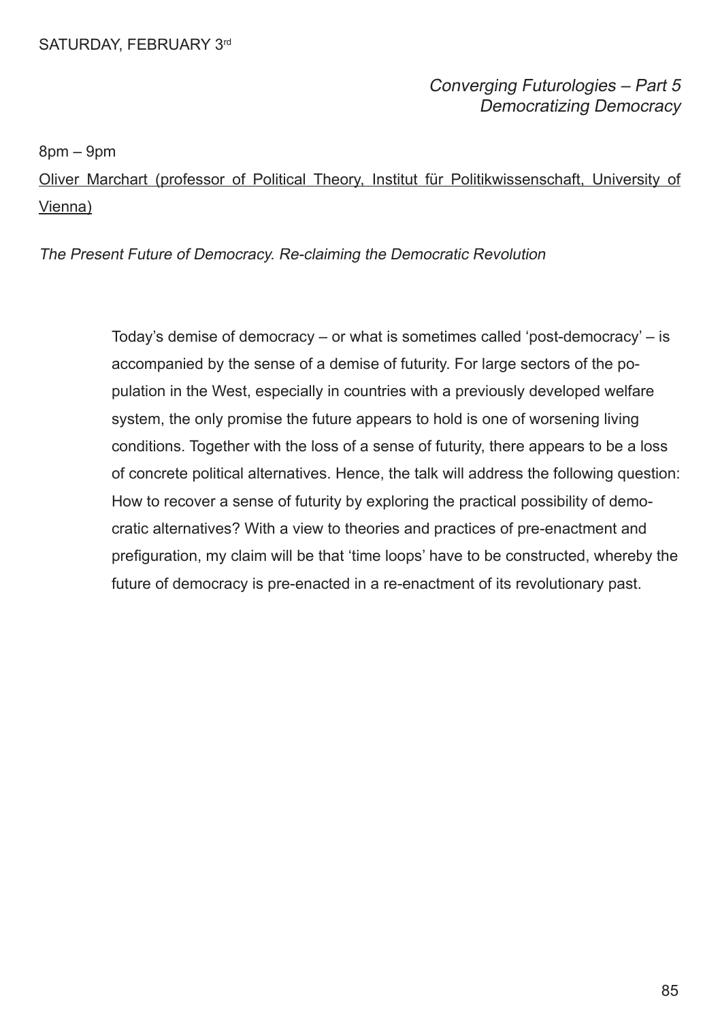## Converging Futurologies – Part 5 Democratizing Democracy

8pm – 9pm

Oliver Marchart (professor of Political Theory, Institut für Politikwissenschaft, University of Vienna)

The Present Future of Democracy. Re-claiming the Democratic Revolution

Today's demise of democracy – or what is sometimes called 'post-democracy' – is accompanied by the sense of a demise of futurity. For large sectors of the population in the West, especially in countries with a previously developed welfare system, the only promise the future appears to hold is one of worsening living conditions. Together with the loss of a sense of futurity, there appears to be a loss of concrete political alternatives. Hence, the talk will address the following question: How to recover a sense of futurity by exploring the practical possibility of democratic alternatives? With a view to theories and practices of pre-enactment and prefguration, my claim will be that 'time loops' have to be constructed, whereby the future of democracy is pre-enacted in a re-enactment of its revolutionary past.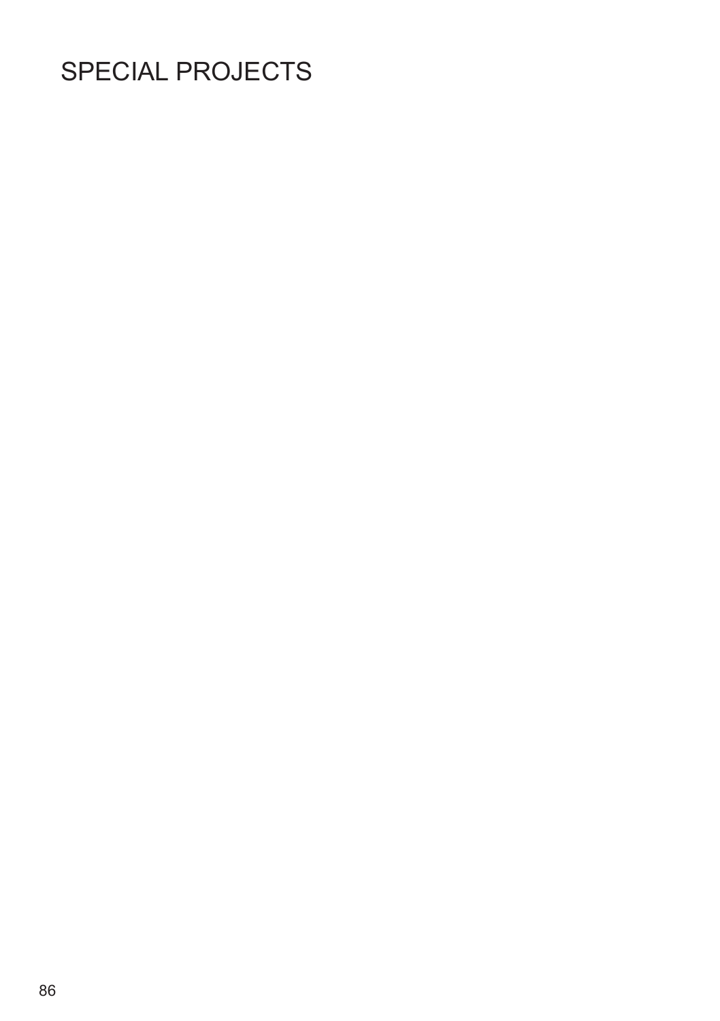## SPECIAL PROJECTS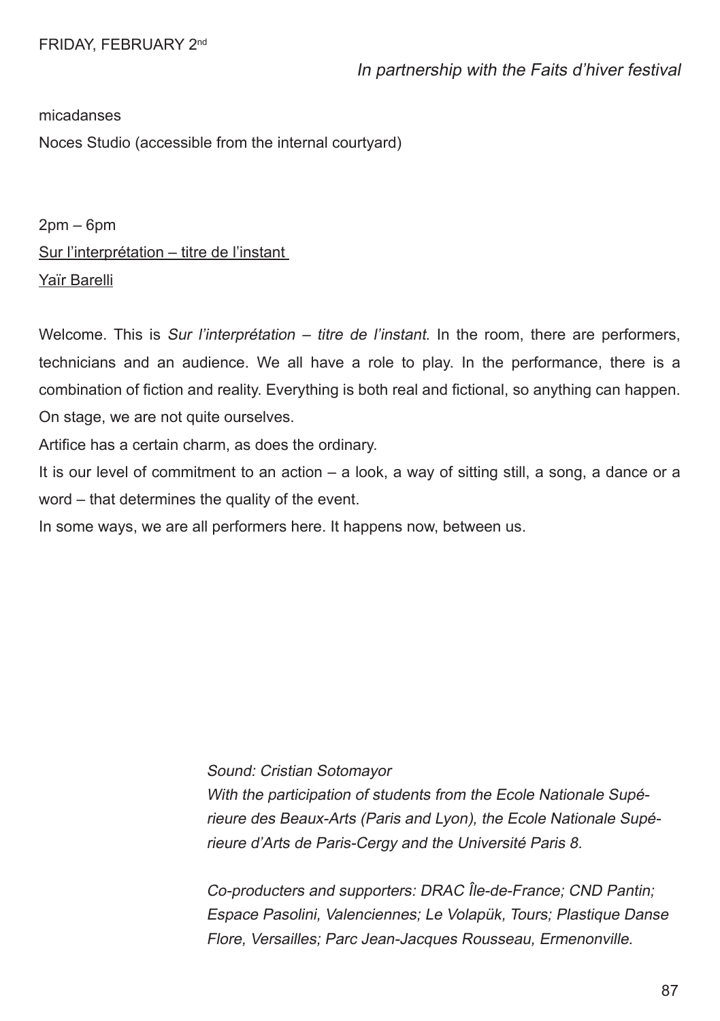micadanses

Noces Studio (accessible from the internal courtyard)

2pm – 6pm Sur l'interprétation – titre de l'instant Yaïr Barelli

Welcome. This is Sur l'interprétation – titre de l'instant. In the room, there are performers, technicians and an audience. We all have a role to play. In the performance, there is a combination of fiction and reality. Everything is both real and fictional, so anything can happen. On stage, we are not quite ourselves.

Artifce has a certain charm, as does the ordinary.

It is our level of commitment to an action – a look, a way of sitting still, a song, a dance or a word – that determines the quality of the event.

In some ways, we are all performers here. It happens now, between us.

Sound: Cristian Sotomayor

With the participation of students from the Ecole Nationale Supérieure des Beaux-Arts (Paris and Lyon), the Ecole Nationale Supérieure d'Arts de Paris-Cergy and the Université Paris 8.

Co-producters and supporters: DRAC Île-de-France; CND Pantin; Espace Pasolini, Valenciennes; Le Volapük, Tours; Plastique Danse Flore, Versailles; Parc Jean-Jacques Rousseau, Ermenonville.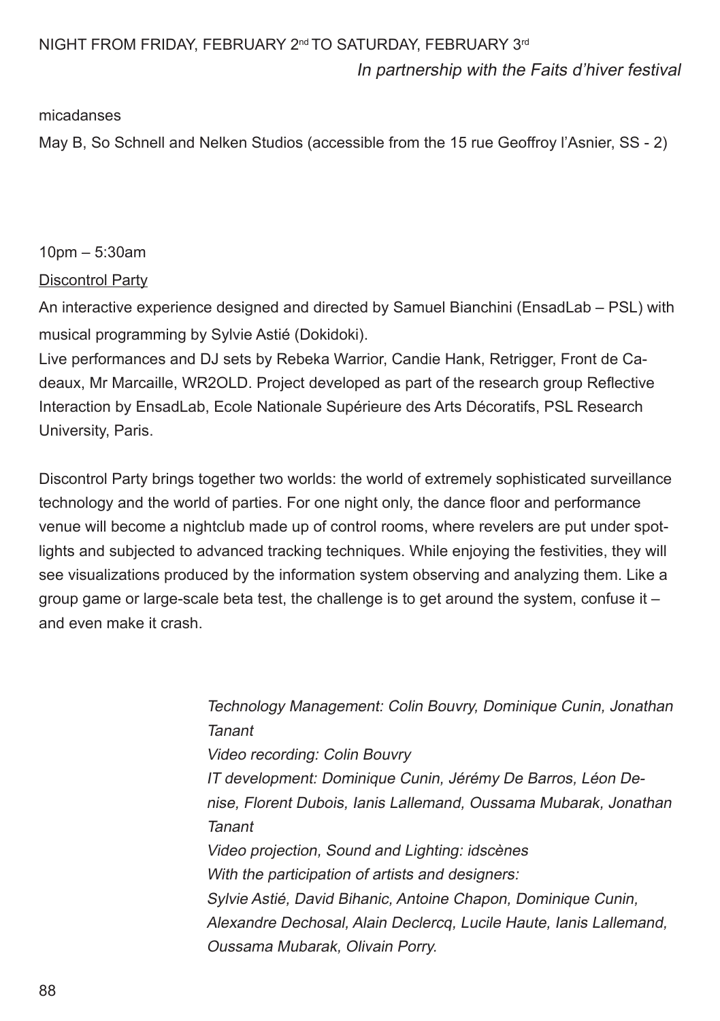#### NIGHT FROM FRIDAY, FEBRUARY 2<sup>nd</sup> TO SATURDAY, FEBRUARY 3<sup>rd</sup>

In partnership with the Faits d'hiver festival

#### micadanses

May B, So Schnell and Nelken Studios (accessible from the 15 rue Geoffroy l'Asnier, SS - 2)

## 10pm – 5:30am

#### Discontrol Party

An interactive experience designed and directed by Samuel Bianchini (EnsadLab – PSL) with musical programming by Sylvie Astié (Dokidoki).

Live performances and DJ sets by Rebeka Warrior, Candie Hank, Retrigger, Front de Cadeaux, Mr Marcaille, WR2OLD. Project developed as part of the research group Refective Interaction by EnsadLab, Ecole Nationale Supérieure des Arts Décoratifs, PSL Research University, Paris.

Discontrol Party brings together two worlds: the world of extremely sophisticated surveillance technology and the world of parties. For one night only, the dance foor and performance venue will become a nightclub made up of control rooms, where revelers are put under spotlights and subjected to advanced tracking techniques. While enjoying the festivities, they will see visualizations produced by the information system observing and analyzing them. Like a group game or large-scale beta test, the challenge is to get around the system, confuse it  $$ and even make it crash.

> Technology Management: Colin Bouvry, Dominique Cunin, Jonathan Tanant Video recording: Colin Bouvry IT development: Dominique Cunin, Jérémy De Barros, Léon Denise, Florent Dubois, Ianis Lallemand, Oussama Mubarak, Jonathan Tanant Video projection, Sound and Lighting: idscènes With the participation of artists and designers: Sylvie Astié, David Bihanic, Antoine Chapon, Dominique Cunin, Alexandre Dechosal, Alain Declercq, Lucile Haute, Ianis Lallemand, Oussama Mubarak, Olivain Porry.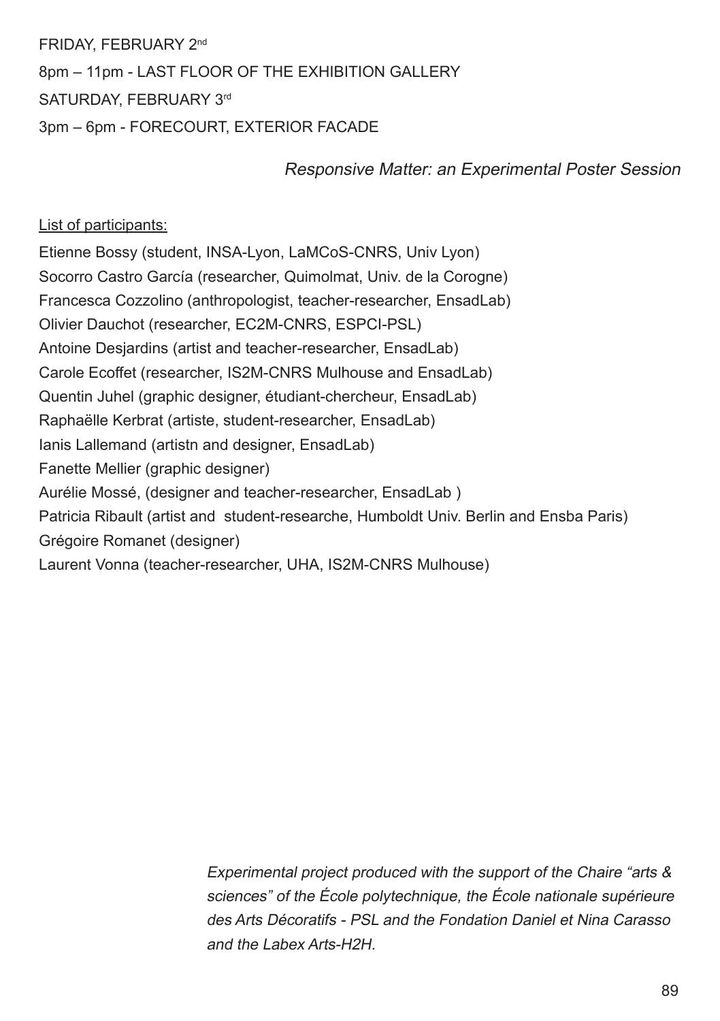FRIDAY, FEBRUARY 2nd 8pm – 11pm - LAST FLOOR OF THE EXHIBITION GALLERY SATURDAY, FEBRUARY 3rd 3pm – 6pm - FORECOURT, EXTERIOR FACADE

Responsive Matter: an Experimental Poster Session

#### List of participants:

Etienne Bossy (student, INSA-Lyon, LaMCoS-CNRS, Univ Lyon) Socorro Castro García (researcher, Quimolmat, Univ. de la Corogne) Francesca Cozzolino (anthropologist, teacher-researcher, EnsadLab) Olivier Dauchot (researcher, EC2M-CNRS, ESPCI-PSL) Antoine Desjardins (artist and teacher-researcher, EnsadLab) Carole Ecoffet (researcher, IS2M-CNRS Mulhouse and EnsadLab) Quentin Juhel (graphic designer, étudiant-chercheur, EnsadLab) Raphaëlle Kerbrat (artiste, student-researcher, EnsadLab) Ianis Lallemand (artistn and designer, EnsadLab) Fanette Mellier (graphic designer) Aurélie Mossé, (designer and teacher-researcher, EnsadLab ) Patricia Ribault (artist and student-researche, Humboldt Univ. Berlin and Ensba Paris) Grégoire Romanet (designer) Laurent Vonna (teacher-researcher, UHA, IS2M-CNRS Mulhouse)

> Experimental project produced with the support of the Chaire "arts & sciences" of the École polytechnique, the École nationale supérieure des Arts Décoratifs - PSL and the Fondation Daniel et Nina Carasso and the Labex Arts-H2H.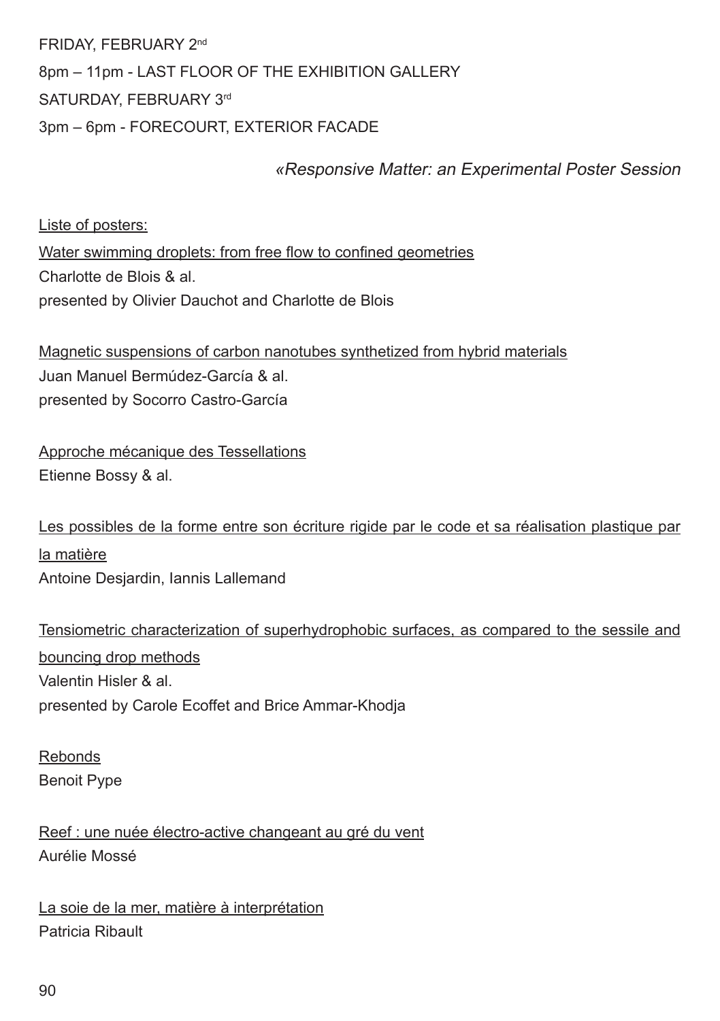FRIDAY, FEBRUARY 2nd 8pm – 11pm - LAST FLOOR OF THE EXHIBITION GALLERY SATURDAY, FEBRUARY 3rd 3pm – 6pm - FORECOURT, EXTERIOR FACADE

## «Responsive Matter: an Experimental Poster Session

Liste of posters: Water swimming droplets: from free flow to confined geometries Charlotte de Blois & al. presented by Olivier Dauchot and Charlotte de Blois

Magnetic suspensions of carbon nanotubes synthetized from hybrid materials Juan Manuel Bermúdez-García & al. presented by Socorro Castro-García

Approche mécanique des Tessellations Etienne Bossy & al.

Les possibles de la forme entre son écriture rigide par le code et sa réalisation plastique par la matière Antoine Desjardin, Iannis Lallemand

Tensiometric characterization of superhydrophobic surfaces, as compared to the sessile and bouncing drop methods Valentin Hisler & al. presented by Carole Ecoffet and Brice Ammar-Khodja

Rebonds Benoit Pype

Reef : une nuée électro-active changeant au gré du vent Aurélie Mossé

La soie de la mer, matière à interprétation Patricia Ribault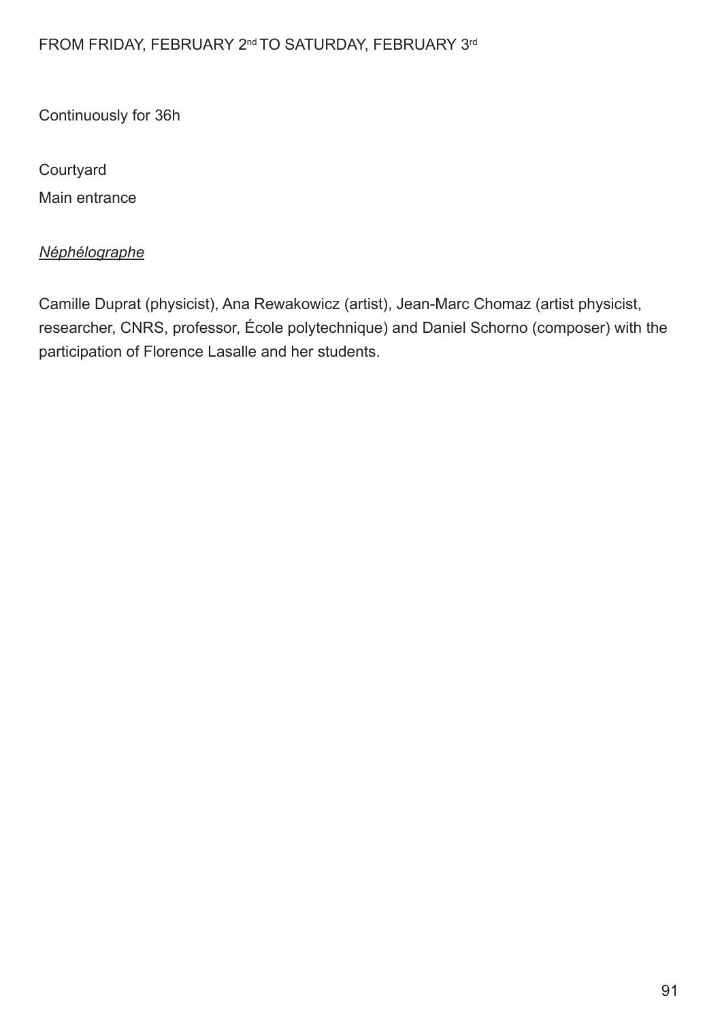## FROM FRIDAY, FEBRUARY 2<sup>nd</sup> TO SATURDAY, FEBRUARY 3<sup>rd</sup>

Continuously for 36h

Courtyard

Main entrance

## *Néphélographe*

Camille Duprat (physicist), Ana Rewakowicz (artist), Jean-Marc Chomaz (artist physicist, researcher, CNRS, professor, École polytechnique) and Daniel Schorno (composer) with the participation of Florence Lasalle and her students.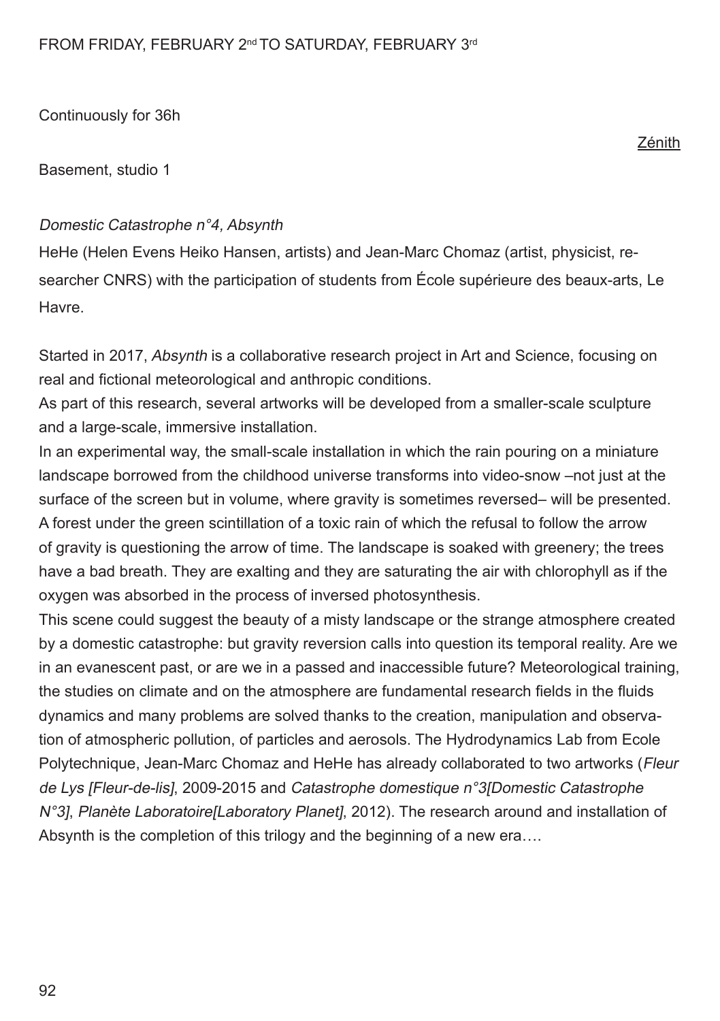Basement, studio 1

#### Domestic Catastrophe n°4, Absynth

HeHe (Helen Evens Heiko Hansen, artists) and Jean-Marc Chomaz (artist, physicist, researcher CNRS) with the participation of students from École supérieure des beaux-arts, Le Havre.

Started in 2017, Absynth is a collaborative research project in Art and Science, focusing on real and fictional meteorological and anthropic conditions.

As part of this research, several artworks will be developed from a smaller-scale sculpture and a large-scale, immersive installation.

In an experimental way, the small-scale installation in which the rain pouring on a miniature landscape borrowed from the childhood universe transforms into video-snow –not just at the surface of the screen but in volume, where gravity is sometimes reversed– will be presented. A forest under the green scintillation of a toxic rain of which the refusal to follow the arrow of gravity is questioning the arrow of time. The landscape is soaked with greenery; the trees have a bad breath. They are exalting and they are saturating the air with chlorophyll as if the oxygen was absorbed in the process of inversed photosynthesis.

This scene could suggest the beauty of a misty landscape or the strange atmosphere created by a domestic catastrophe: but gravity reversion calls into question its temporal reality. Are we in an evanescent past, or are we in a passed and inaccessible future? Meteorological training, the studies on climate and on the atmosphere are fundamental research felds in the fuids dynamics and many problems are solved thanks to the creation, manipulation and observation of atmospheric pollution, of particles and aerosols. The Hydrodynamics Lab from Ecole Polytechnique, Jean-Marc Chomaz and HeHe has already collaborated to two artworks (Fleur de Lys [Fleur-de-lis], 2009-2015 and Catastrophe domestique n°3[Domestic Catastrophe N°3], Planète Laboratoire[Laboratory Planet], 2012). The research around and installation of Absynth is the completion of this trilogy and the beginning of a new era….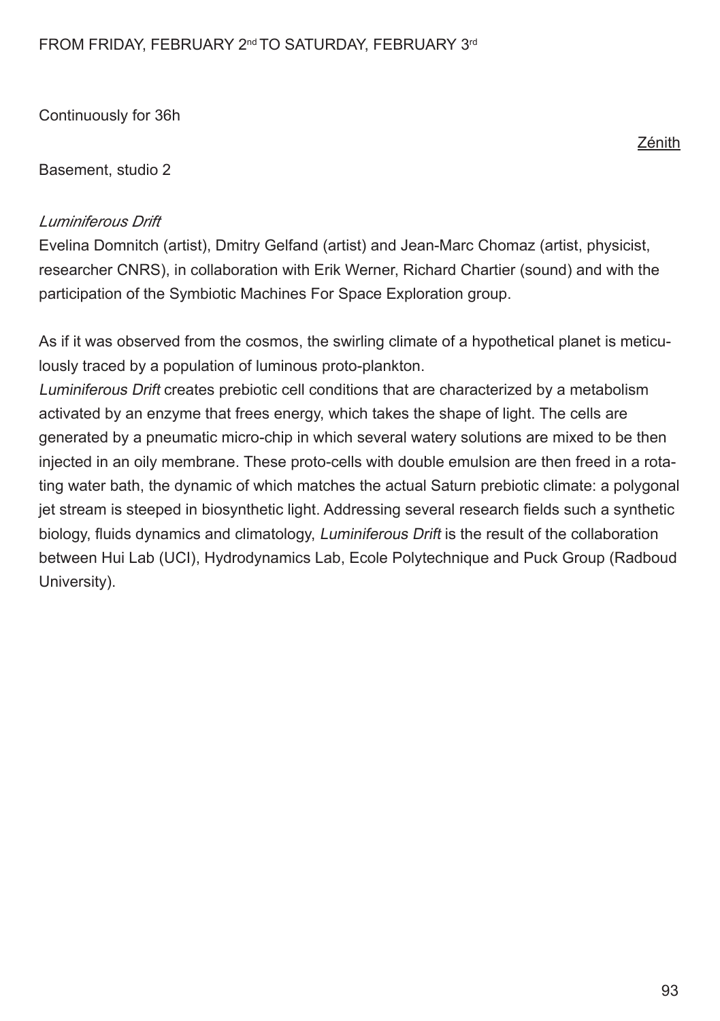Basement, studio 2

#### *Luminiferous Drift*

Evelina Domnitch (artist), Dmitry Gelfand (artist) and Jean-Marc Chomaz (artist, physicist, researcher CNRS), in collaboration with Erik Werner, Richard Chartier (sound) and with the participation of the Symbiotic Machines For Space Exploration group.

As if it was observed from the cosmos, the swirling climate of a hypothetical planet is meticulously traced by a population of luminous proto-plankton.

Luminiferous Drift creates prebiotic cell conditions that are characterized by a metabolism activated by an enzyme that frees energy, which takes the shape of light. The cells are generated by a pneumatic micro-chip in which several watery solutions are mixed to be then injected in an oily membrane. These proto-cells with double emulsion are then freed in a rotating water bath, the dynamic of which matches the actual Saturn prebiotic climate: a polygonal jet stream is steeped in biosynthetic light. Addressing several research felds such a synthetic biology, fluids dynamics and climatology, *Luminiferous Drift* is the result of the collaboration between Hui Lab (UCI), Hydrodynamics Lab, Ecole Polytechnique and Puck Group (Radboud University).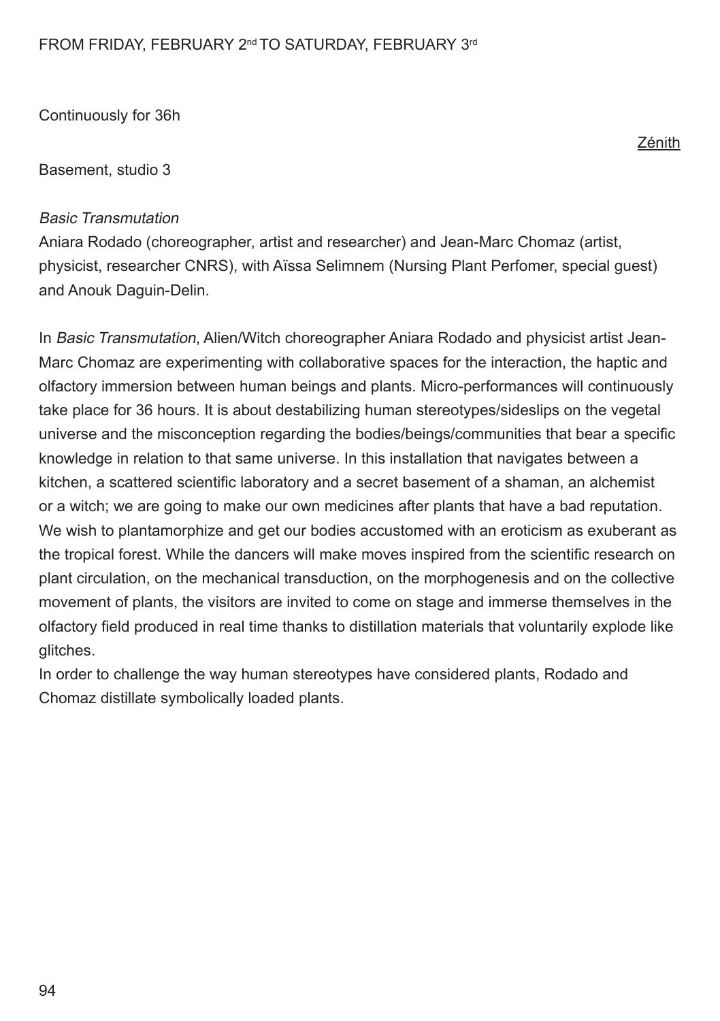Basement, studio 3

#### Basic Transmutation

Aniara Rodado (choreographer, artist and researcher) and Jean-Marc Chomaz (artist, physicist, researcher CNRS), with Aïssa Selimnem (Nursing Plant Perfomer, special guest) and Anouk Daguin-Delin.

In Basic Transmutation, Alien/Witch choreographer Aniara Rodado and physicist artist Jean-Marc Chomaz are experimenting with collaborative spaces for the interaction, the haptic and olfactory immersion between human beings and plants. Micro-performances will continuously take place for 36 hours. It is about destabilizing human stereotypes/sideslips on the vegetal universe and the misconception regarding the bodies/beings/communities that bear a specifc knowledge in relation to that same universe. In this installation that navigates between a kitchen, a scattered scientifc laboratory and a secret basement of a shaman, an alchemist or a witch; we are going to make our own medicines after plants that have a bad reputation. We wish to plantamorphize and get our bodies accustomed with an eroticism as exuberant as the tropical forest. While the dancers will make moves inspired from the scientific research on plant circulation, on the mechanical transduction, on the morphogenesis and on the collective movement of plants, the visitors are invited to come on stage and immerse themselves in the olfactory feld produced in real time thanks to distillation materials that voluntarily explode like glitches.

In order to challenge the way human stereotypes have considered plants, Rodado and Chomaz distillate symbolically loaded plants.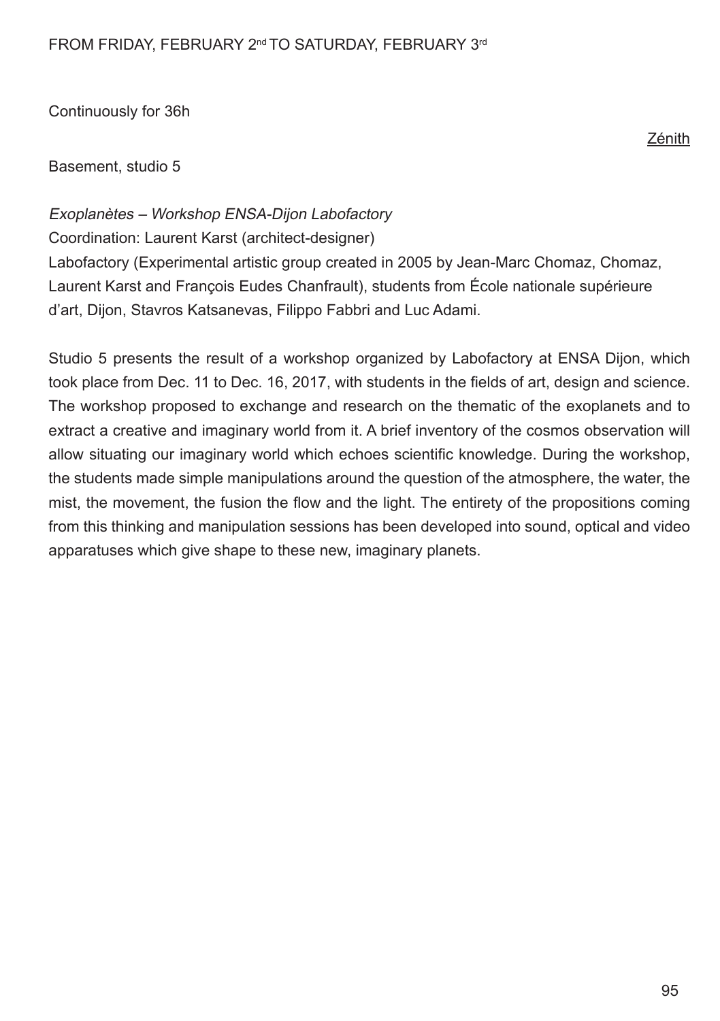Basement, studio 5

Exoplanètes – Workshop ENSA-Dijon Labofactory

Coordination: Laurent Karst (architect-designer)

Labofactory (Experimental artistic group created in 2005 by Jean-Marc Chomaz, Chomaz, Laurent Karst and François Eudes Chanfrault), students from École nationale supérieure d'art, Dijon, Stavros Katsanevas, Filippo Fabbri and Luc Adami.

Studio 5 presents the result of a workshop organized by Labofactory at ENSA Dijon, which took place from Dec. 11 to Dec. 16, 2017, with students in the felds of art, design and science. The workshop proposed to exchange and research on the thematic of the exoplanets and to extract a creative and imaginary world from it. A brief inventory of the cosmos observation will allow situating our imaginary world which echoes scientifc knowledge. During the workshop, the students made simple manipulations around the question of the atmosphere, the water, the mist, the movement, the fusion the fow and the light. The entirety of the propositions coming from this thinking and manipulation sessions has been developed into sound, optical and video apparatuses which give shape to these new, imaginary planets.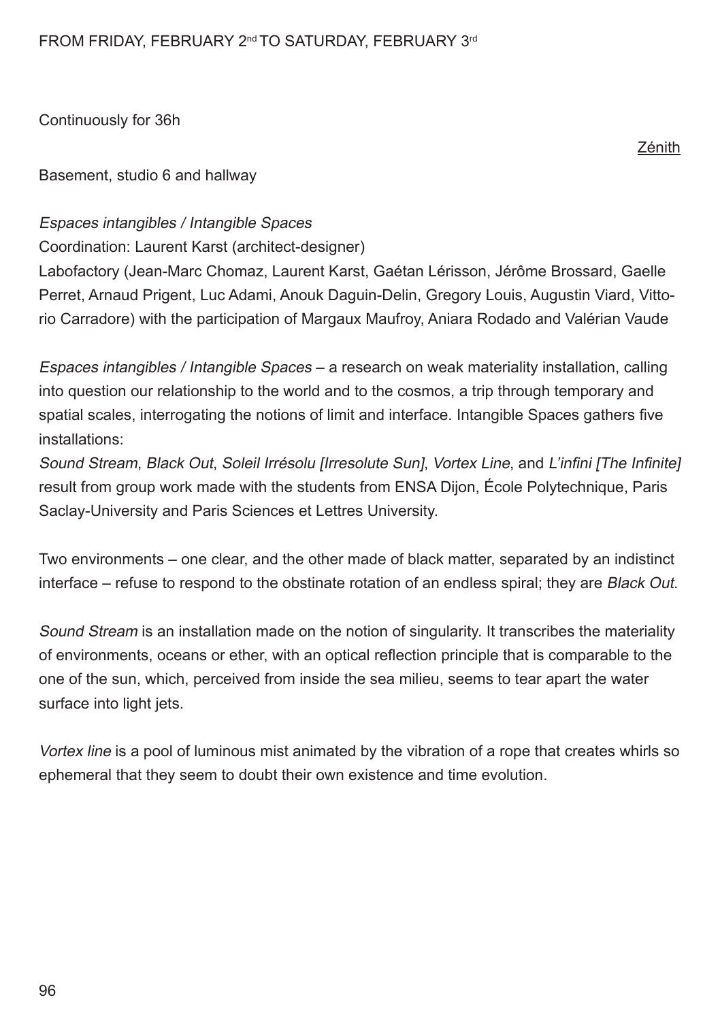Basement, studio 6 and hallway

#### Espaces intangibles / Intangible Spaces

Coordination: Laurent Karst (architect-designer)

Labofactory (Jean-Marc Chomaz, Laurent Karst, Gaétan Lérisson, Jérôme Brossard, Gaelle Perret, Arnaud Prigent, Luc Adami, Anouk Daguin-Delin, Gregory Louis, Augustin Viard, Vittorio Carradore) with the participation of Margaux Maufroy, Aniara Rodado and Valérian Vaude

Espaces intangibles / Intangible Spaces – a research on weak materiality installation, calling into question our relationship to the world and to the cosmos, a trip through temporary and spatial scales, interrogating the notions of limit and interface. Intangible Spaces gathers fve installations:

Sound Stream, Black Out, Soleil Irrésolu [Irresolute Sun], Vortex Line, and L'infini [The Infinite] result from group work made with the students from ENSA Dijon, École Polytechnique, Paris Saclay-University and Paris Sciences et Lettres University.

Two environments – one clear, and the other made of black matter, separated by an indistinct interface – refuse to respond to the obstinate rotation of an endless spiral; they are Black Out.

Sound Stream is an installation made on the notion of singularity. It transcribes the materiality of environments, oceans or ether, with an optical refection principle that is comparable to the one of the sun, which, perceived from inside the sea milieu, seems to tear apart the water surface into light jets.

Vortex line is a pool of luminous mist animated by the vibration of a rope that creates whirls so ephemeral that they seem to doubt their own existence and time evolution.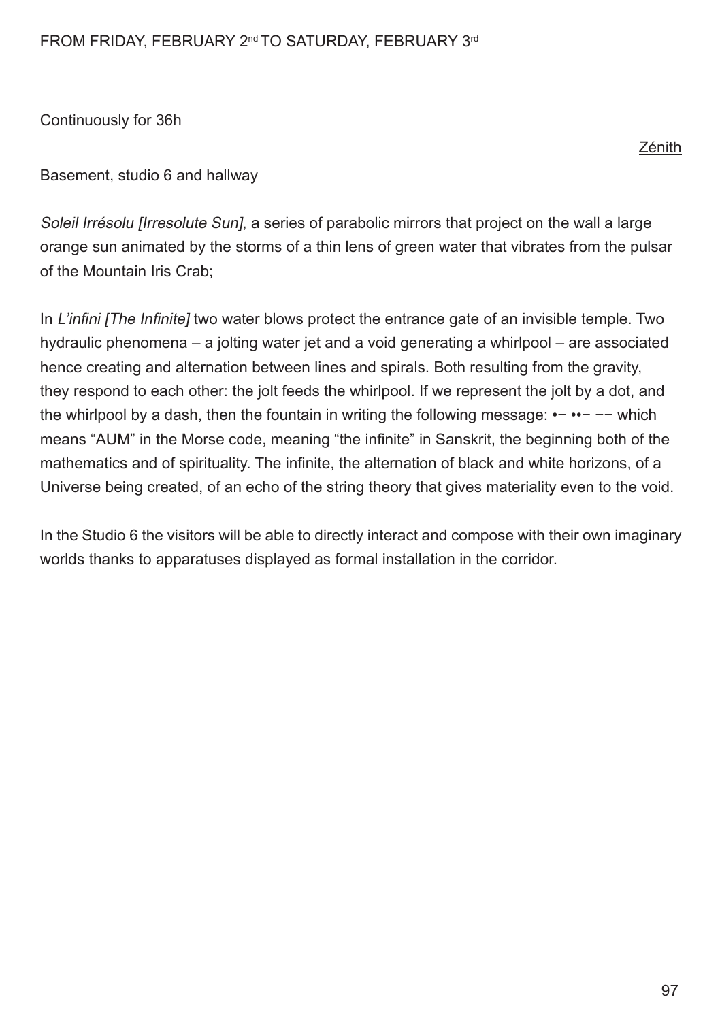#### FROM FRIDAY, FEBRUARY 2<sup>nd</sup> TO SATURDAY, FEBRUARY 3<sup>rd</sup>

Continuously for 36h

Basement, studio 6 and hallway

Soleil Irrésolu [Irresolute Sun], a series of parabolic mirrors that project on the wall a large orange sun animated by the storms of a thin lens of green water that vibrates from the pulsar of the Mountain Iris Crab;

In L'infini [The Infinite] two water blows protect the entrance gate of an invisible temple. Two hydraulic phenomena – a jolting water jet and a void generating a whirlpool – are associated hence creating and alternation between lines and spirals. Both resulting from the gravity, they respond to each other: the jolt feeds the whirlpool. If we represent the jolt by a dot, and the whirlpool by a dash, then the fountain in writing the following message: •− ••− −− which means "AUM" in the Morse code, meaning "the infnite" in Sanskrit, the beginning both of the mathematics and of spirituality. The infinite, the alternation of black and white horizons, of a Universe being created, of an echo of the string theory that gives materiality even to the void.

In the Studio 6 the visitors will be able to directly interact and compose with their own imaginary worlds thanks to apparatuses displayed as formal installation in the corridor.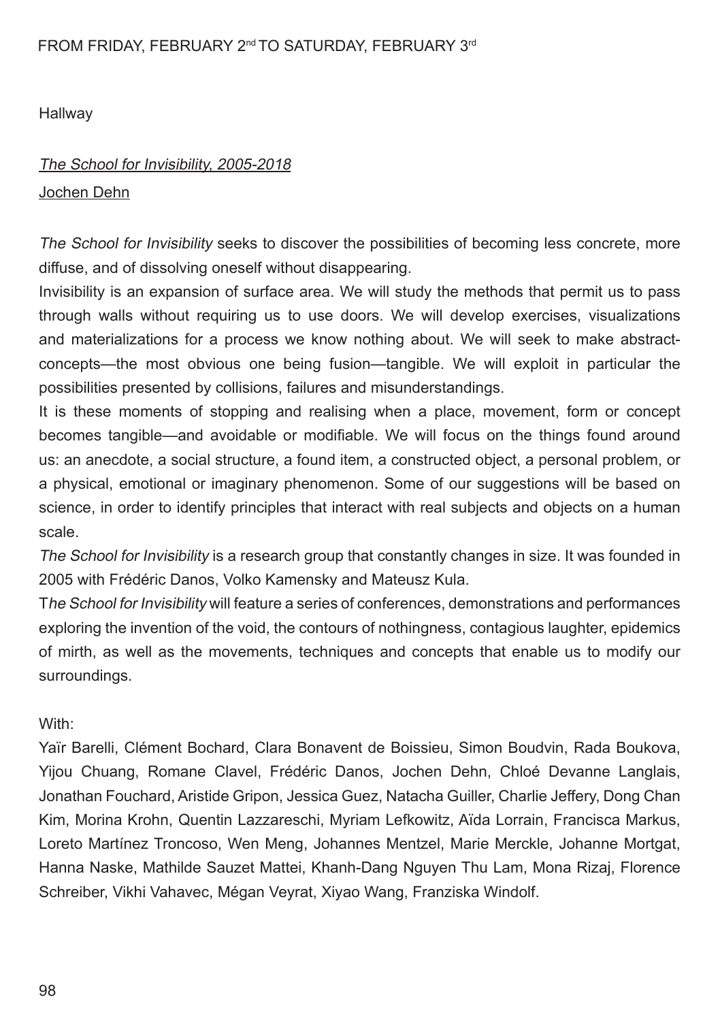**Hallway** 

#### The School for Invisibility, 2005-2018

#### Jochen Dehn

The School for Invisibility seeks to discover the possibilities of becoming less concrete, more diffuse, and of dissolving oneself without disappearing.

Invisibility is an expansion of surface area. We will study the methods that permit us to pass through walls without requiring us to use doors. We will develop exercises, visualizations and materializations for a process we know nothing about. We will seek to make abstractconcepts—the most obvious one being fusion—tangible. We will exploit in particular the possibilities presented by collisions, failures and misunderstandings.

It is these moments of stopping and realising when a place, movement, form or concept becomes tangible—and avoidable or modifable. We will focus on the things found around us: an anecdote, a social structure, a found item, a constructed object, a personal problem, or a physical, emotional or imaginary phenomenon. Some of our suggestions will be based on science, in order to identify principles that interact with real subjects and objects on a human scale.

The School for Invisibility is a research group that constantly changes in size. It was founded in 2005 with Frédéric Danos, Volko Kamensky and Mateusz Kula.

The School for Invisibility will feature a series of conferences, demonstrations and performances exploring the invention of the void, the contours of nothingness, contagious laughter, epidemics of mirth, as well as the movements, techniques and concepts that enable us to modify our surroundings.

#### With:

Yaïr Barelli, Clément Bochard, Clara Bonavent de Boissieu, Simon Boudvin, Rada Boukova, Yijou Chuang, Romane Clavel, Frédéric Danos, Jochen Dehn, Chloé Devanne Langlais, Jonathan Fouchard, Aristide Gripon, Jessica Guez, Natacha Guiller, Charlie Jeffery, Dong Chan Kim, Morina Krohn, Quentin Lazzareschi, Myriam Lefkowitz, Aïda Lorrain, Francisca Markus, Loreto Martínez Troncoso, Wen Meng, Johannes Mentzel, Marie Merckle, Johanne Mortgat, Hanna Naske, Mathilde Sauzet Mattei, Khanh-Dang Nguyen Thu Lam, Mona Rizaj, Florence Schreiber, Vikhi Vahavec, Mégan Veyrat, Xiyao Wang, Franziska Windolf.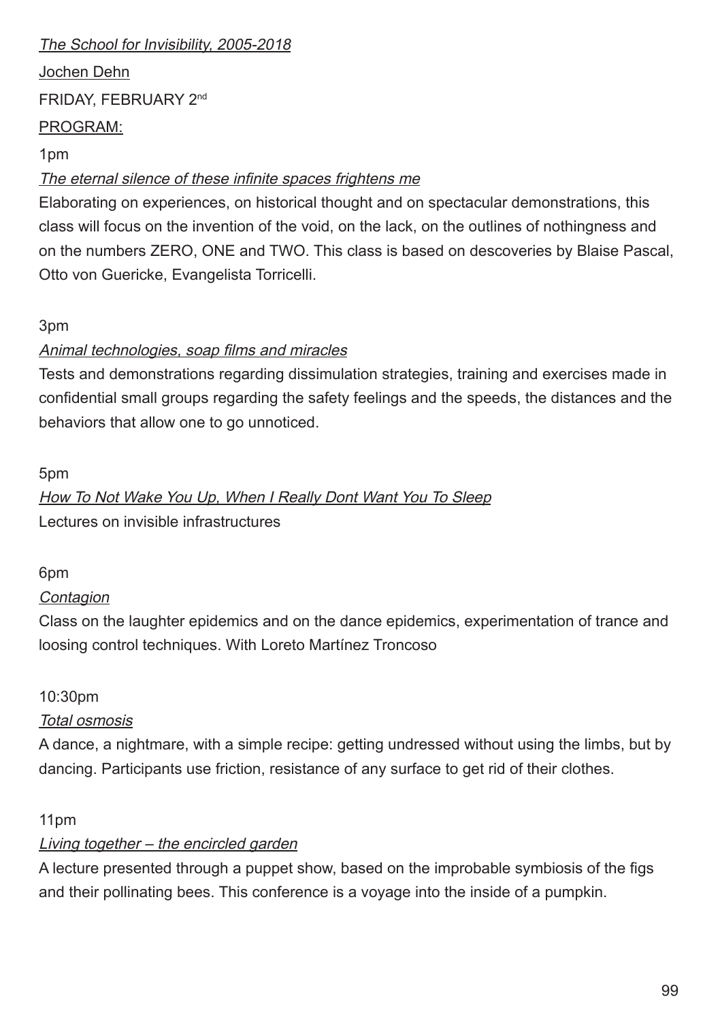## The School for Invisibility, 2005-2018

Jochen Dehn FRIDAY, FEBRUARY 2nd PROGRAM:

#### 1pm

## The eternal silence of these infinite spaces frightens me

Elaborating on experiences, on historical thought and on spectacular demonstrations, this class will focus on the invention of the void, on the lack, on the outlines of nothingness and on the numbers ZERO, ONE and TWO. This class is based on descoveries by Blaise Pascal, Otto von Guericke, Evangelista Torricelli.

#### 3pm

## Animal technologies, soap films and miracles

Tests and demonstrations regarding dissimulation strategies, training and exercises made in confdential small groups regarding the safety feelings and the speeds, the distances and the behaviors that allow one to go unnoticed.

## 5pm

How To Not Wake You Up, When I Really Dont Want You To Sleep Lectures on invisible infrastructures

#### 6pm

## **Contagion**

Class on the laughter epidemics and on the dance epidemics, experimentation of trance and loosing control techniques. With Loreto Martínez Troncoso

## 10:30pm

## Total osmosis

A dance, a nightmare, with a simple recipe: getting undressed without using the limbs, but by dancing. Participants use friction, resistance of any surface to get rid of their clothes.

## 11pm

## Living together – the encircled garden

A lecture presented through a puppet show, based on the improbable symbiosis of the fgs and their pollinating bees. This conference is a voyage into the inside of a pumpkin.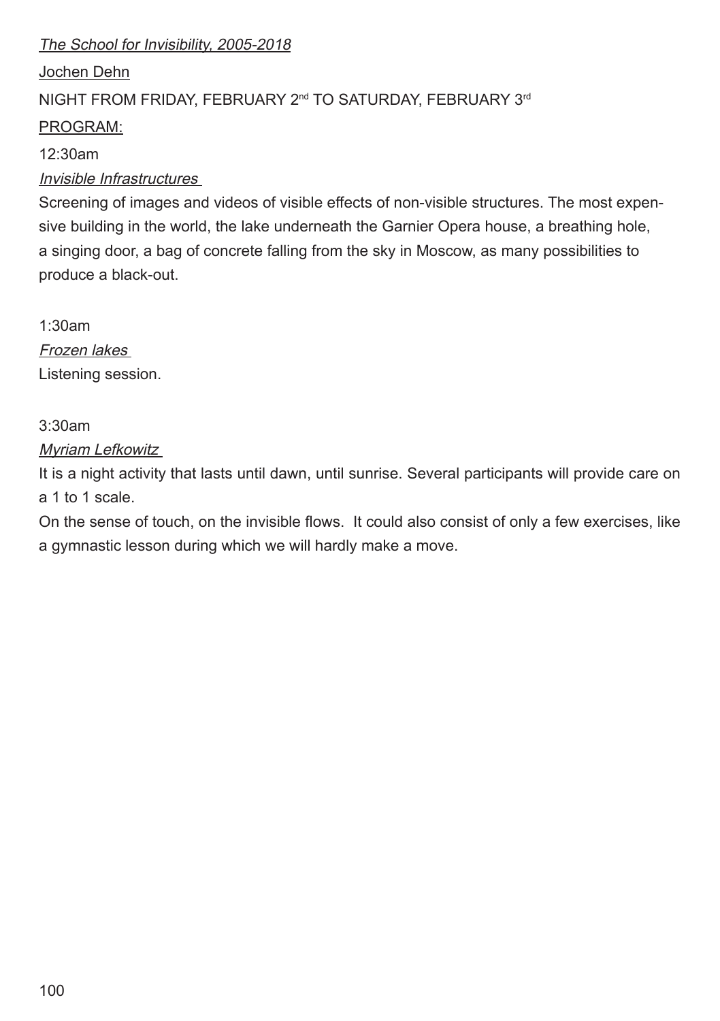## The School for Invisibility, 2005-2018

## Jochen Dehn

## NIGHT FROM FRIDAY, FEBRUARY 2<sup>nd</sup> TO SATURDAY, FEBRUARY 3<sup>rd</sup>

## PROGRAM:

#### 12:30am

## Invisible Infrastructures

Screening of images and videos of visible effects of non-visible structures. The most expensive building in the world, the lake underneath the Garnier Opera house, a breathing hole, a singing door, a bag of concrete falling from the sky in Moscow, as many possibilities to produce a black-out.

1:30am Frozen lakes Listening session.

## 3:30am

## Myriam Lefkowitz

It is a night activity that lasts until dawn, until sunrise. Several participants will provide care on a 1 to 1 scale.

On the sense of touch, on the invisible flows. It could also consist of only a few exercises, like a gymnastic lesson during which we will hardly make a move.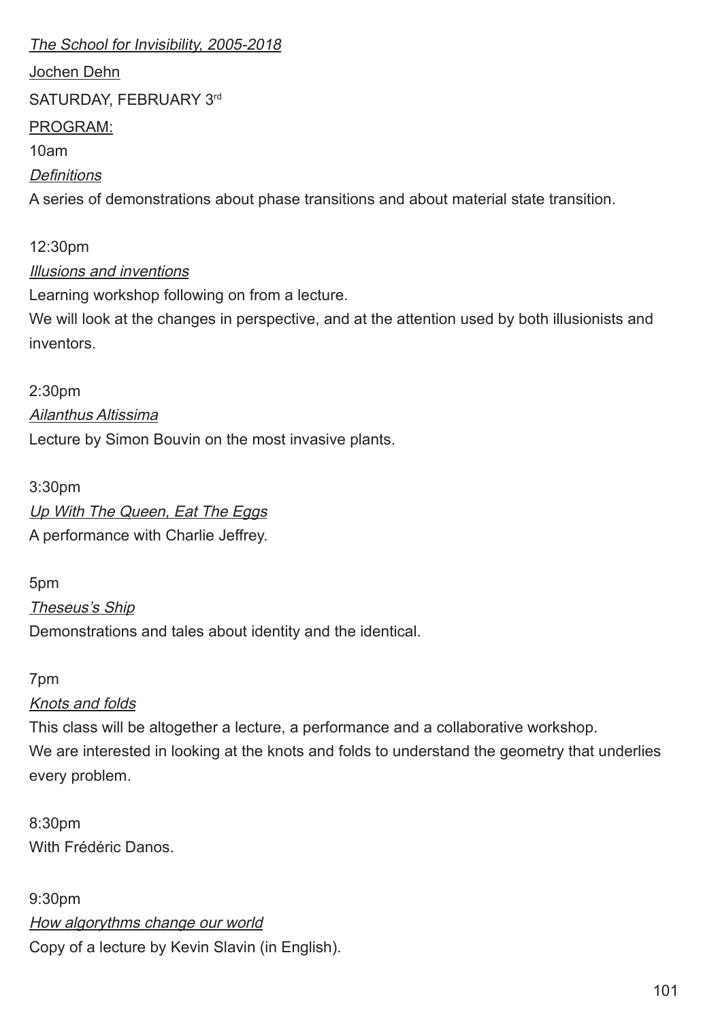#### The School for Invisibility, 2005-2018

Jochen Dehn

SATURDAY, FEBRUARY 3rd

#### PROGRAM:

10am

## **Definitions**

A series of demonstrations about phase transitions and about material state transition.

## 12:30pm

## Illusions and inventions

Learning workshop following on from a lecture.

We will look at the changes in perspective, and at the attention used by both illusionists and inventors.

2:30pm Ailanthus Altissima Lecture by Simon Bouvin on the most invasive plants.

## 3:30pm Up With The Queen, Eat The Eggs A performance with Charlie Jeffrey.

## 5pm

Theseus's Ship

Demonstrations and tales about identity and the identical.

## 7pm

## Knots and folds

This class will be altogether a lecture, a performance and a collaborative workshop. We are interested in looking at the knots and folds to understand the geometry that underlies every problem.

8:30pm With Frédéric Danos.

9:30pm How algorythms change our world Copy of a lecture by Kevin Slavin (in English).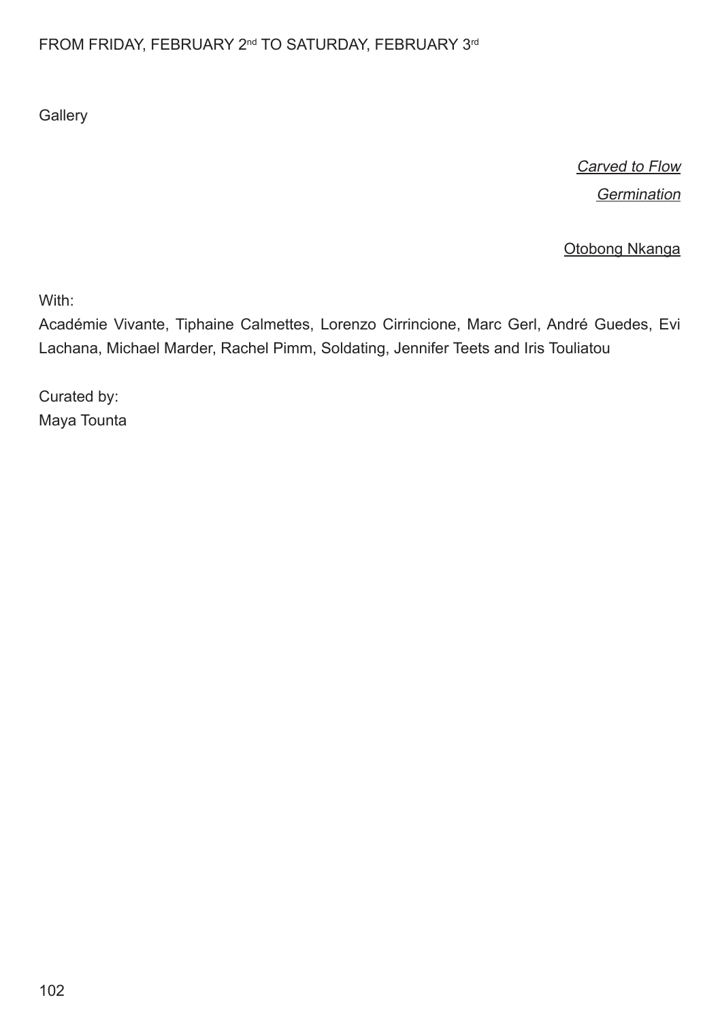## FROM FRIDAY, FEBRUARY 2<sup>nd</sup> TO SATURDAY, FEBRUARY 3<sup>rd</sup>

**Gallery** 

Carved to Flow Germination

Otobong Nkanga

With:

Académie Vivante, Tiphaine Calmettes, Lorenzo Cirrincione, Marc Gerl, André Guedes, Evi Lachana, Michael Marder, Rachel Pimm, Soldating, Jennifer Teets and Iris Touliatou

Curated by: Maya Tounta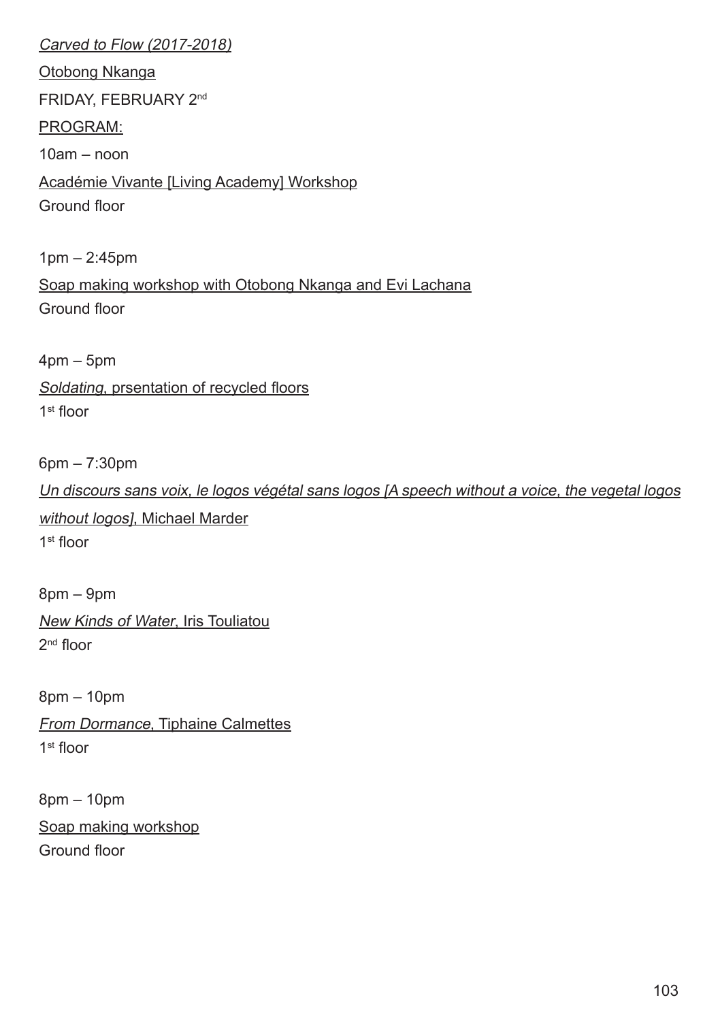Carved to Flow (2017-2018) Otobong Nkanga FRIDAY, FEBRUARY 2nd PROGRAM:  $10$ am – noon Académie Vivante [Living Academy] Workshop Ground floor 1pm – 2:45pm Soap making workshop with Otobong Nkanga and Evi Lachana Ground foor 4pm – 5pm Soldating, prsentation of recycled floors  $1<sup>st</sup>$  floor 6pm – 7:30pm

Un discours sans voix, le logos végétal sans logos [A speech without a voice, the vegetal logos without logos], Michael Marder  $1<sup>st</sup>$  floor

8pm – 9pm New Kinds of Water, Iris Touliatou  $2<sup>nd</sup>$  floor

8pm – 10pm From Dormance, Tiphaine Calmettes 1<sup>st</sup> floor

8pm – 10pm Soap making workshop Ground foor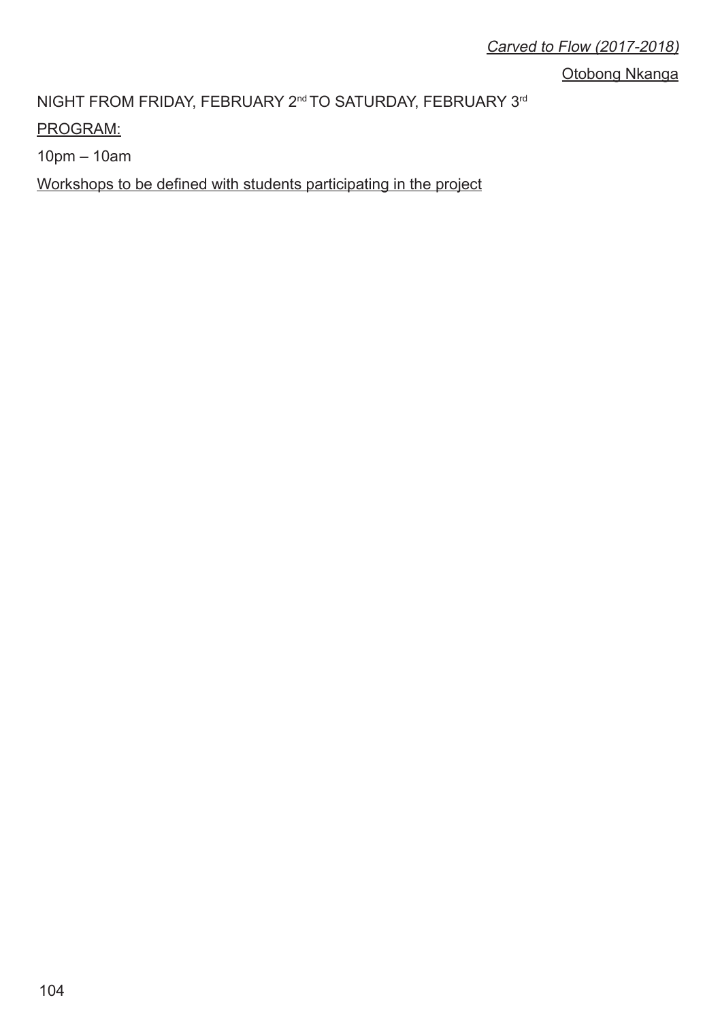Otobong Nkanga

NIGHT FROM FRIDAY, FEBRUARY 2<sup>nd</sup> TO SATURDAY, FEBRUARY 3<sup>rd</sup>

PROGRAM:

10pm – 10am

Workshops to be defned with students participating in the project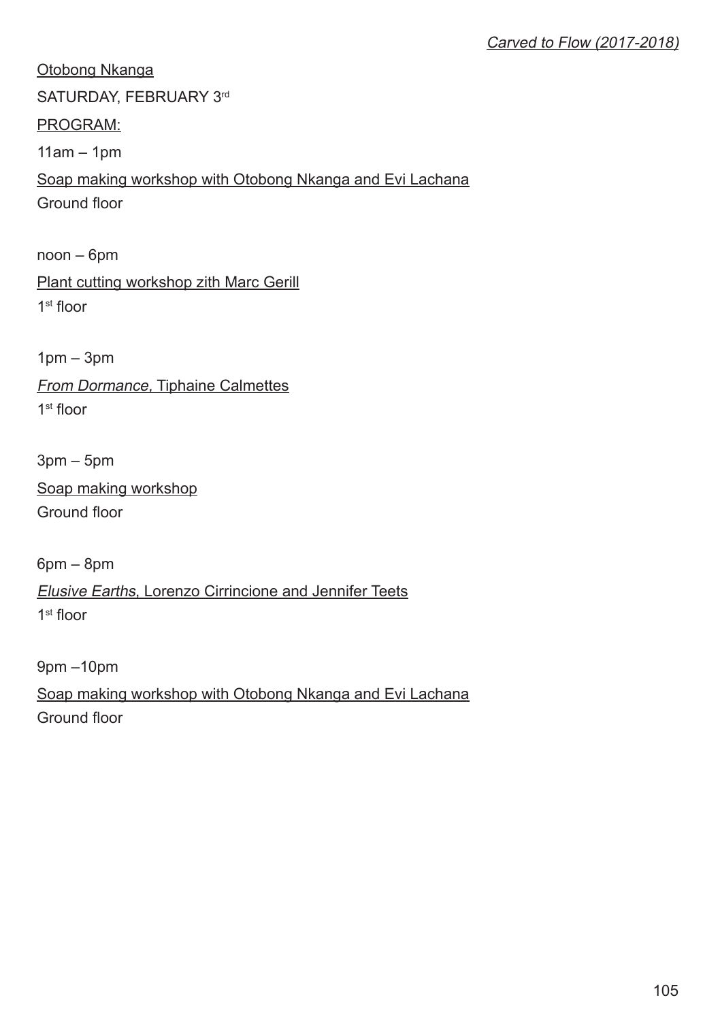Otobong Nkanga SATURDAY, FEBRUARY 3rd PROGRAM:  $11am - 1pm$ Soap making workshop with Otobong Nkanga and Evi Lachana Ground foor noon – 6pm

Plant cutting workshop zith Marc Gerill  $1<sup>st</sup>$  floor

1pm – 3pm From Dormance, Tiphaine Calmettes  $1<sup>st</sup>$  floor

3pm – 5pm Soap making workshop Ground floor

6pm – 8pm Elusive Earths, Lorenzo Cirrincione and Jennifer Teets 1<sup>st</sup> floor

9pm –10pm Soap making workshop with Otobong Nkanga and Evi Lachana Ground floor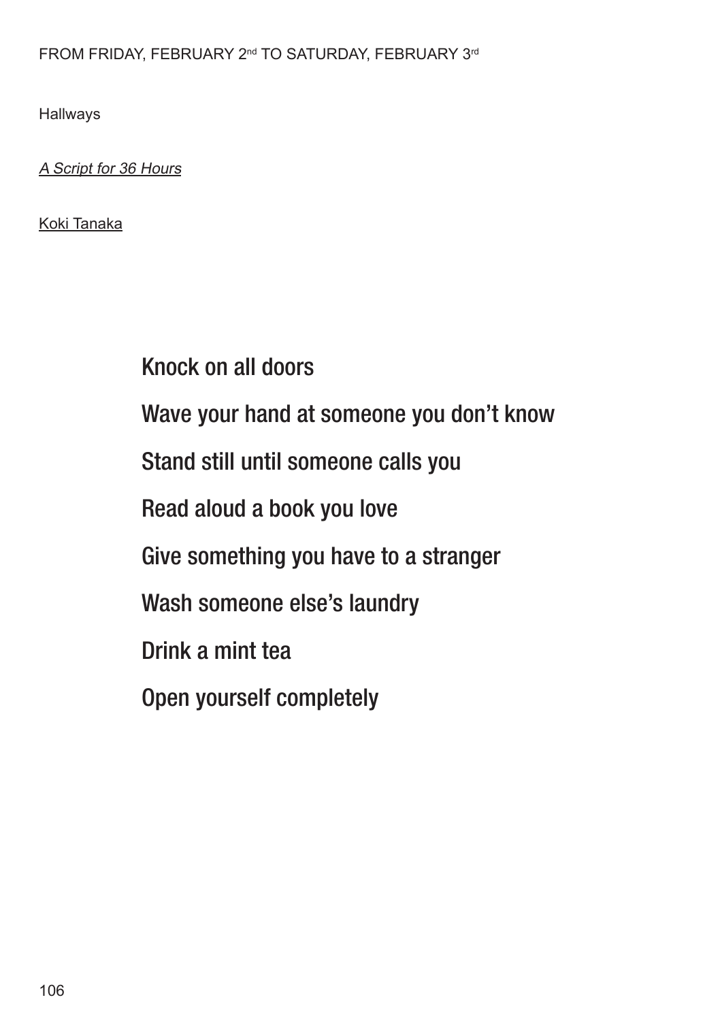## FROM FRIDAY, FEBRUARY 2<sup>nd</sup> TO SATURDAY, FEBRUARY 3<sup>rd</sup>

Hallways

A Script for 36 Hours

Koki Tanaka

Knock on all doors Wave your hand at someone you don't know Stand still until someone calls you Read aloud a book you love Give something you have to a stranger Wash someone else's laundry Drink a mint tea Open yourself completely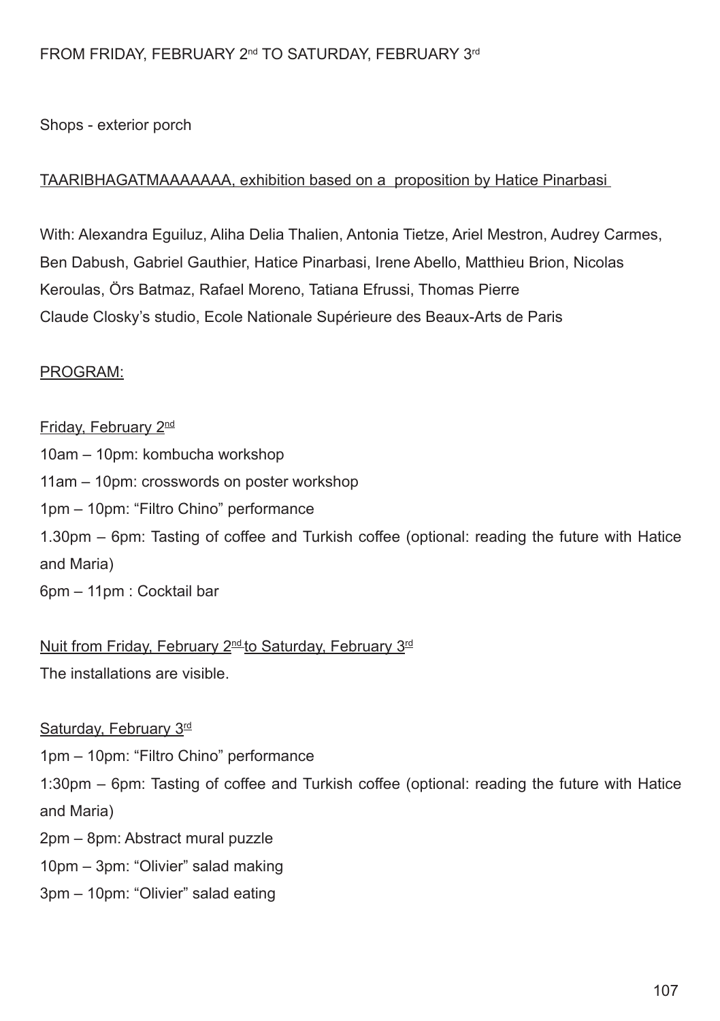#### FROM FRIDAY, FEBRUARY 2<sup>nd</sup> TO SATURDAY, FEBRUARY 3<sup>rd</sup>

Shops - exterior porch

#### TAARIBHAGATMAAAAAAA, exhibition based on a proposition by Hatice Pinarbasi

With: Alexandra Eguiluz, Aliha Delia Thalien, Antonia Tietze, Ariel Mestron, Audrey Carmes, Ben Dabush, Gabriel Gauthier, Hatice Pinarbasi, Irene Abello, Matthieu Brion, Nicolas Keroulas, Örs Batmaz, Rafael Moreno, Tatiana Efrussi, Thomas Pierre Claude Closky's studio, Ecole Nationale Supérieure des Beaux-Arts de Paris

#### PROGRAM:

Friday, February 2nd 10am – 10pm: kombucha workshop 11am – 10pm: crosswords on poster workshop 1pm – 10pm: "Filtro Chino" performance 1.30pm – 6pm: Tasting of coffee and Turkish coffee (optional: reading the future with Hatice and Maria) 6pm – 11pm : Cocktail bar

Nuit from Friday, February 2<sup>nd</sup> to Saturday, February 3<sup>rd</sup> The installations are visible.

Saturday, February 3<sup>rd</sup> 1pm – 10pm: "Filtro Chino" performance 1:30pm – 6pm: Tasting of coffee and Turkish coffee (optional: reading the future with Hatice and Maria) 2pm – 8pm: Abstract mural puzzle 10pm – 3pm: "Olivier" salad making

3pm – 10pm: "Olivier" salad eating